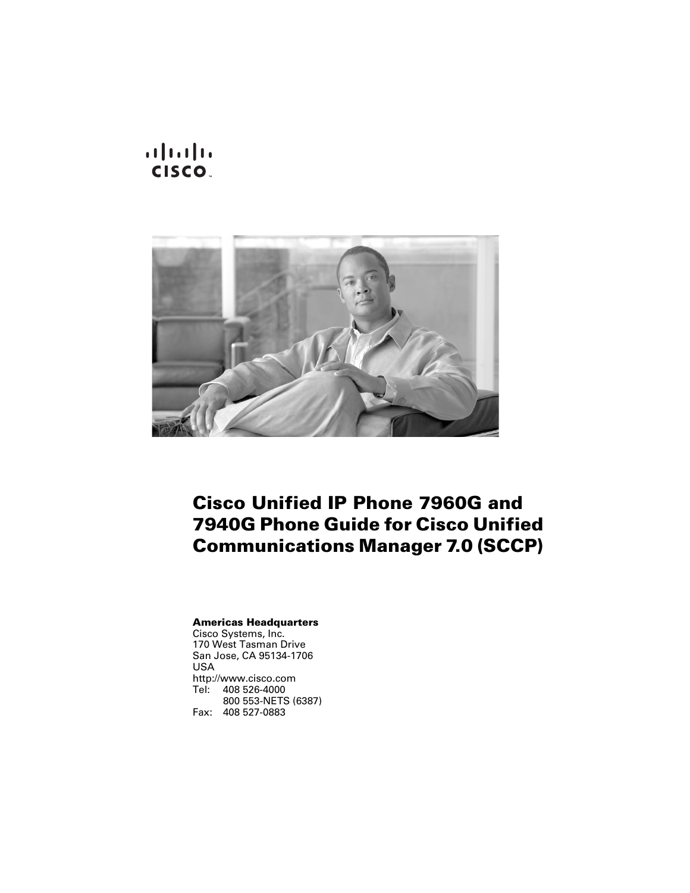**CISCO.** 



### **Cisco Unified IP Phone 7960G and 7940G Phone Guide for Cisco Unified Communications Manager 7.0 (SCCP)**

#### **Americas Headquarters**

Cisco Systems, Inc. 170 West Tasman Drive San Jose, CA 95134-1706 USA <http://www.cisco.com> Tel: 408 526-4000 800 553-NETS (6387) Fax: 408 527-0883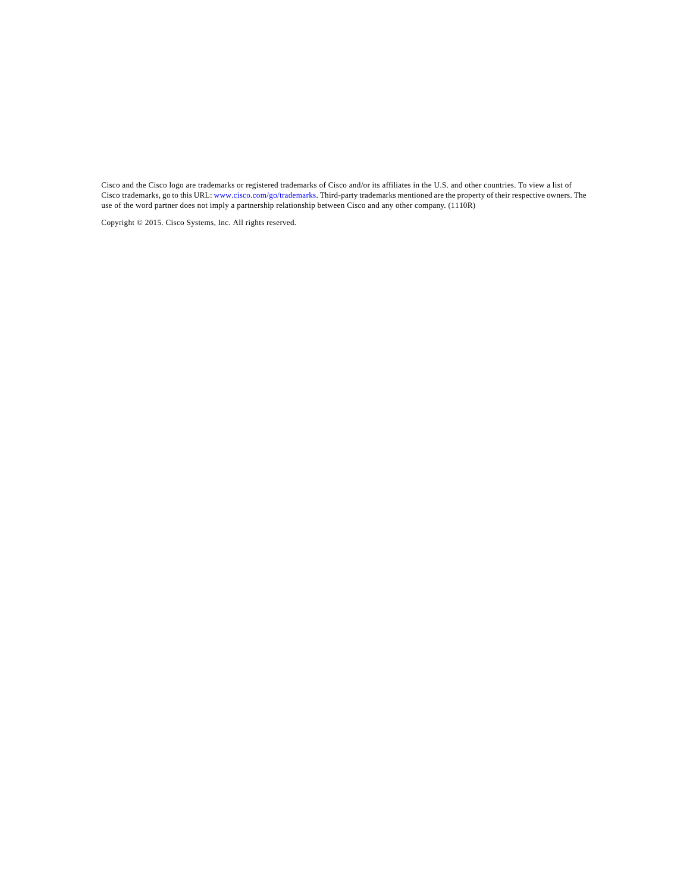Cisco and the Cisco logo are trademarks or registered trademarks of Cisco and/or its affiliates in the U.S. and other countries. To view a list of Cisco trademarks, go to this URL: [www.cisco.com/go/trademarks.](http://www.cisco.com/go/trademarks) Third-party trademarks mentioned are the property of their respective owners. The use of the word partner does not imply a partnership relationship between Cisco and any other company. (1110R)

Copyright © 2015. Cisco Systems, Inc. All rights reserved.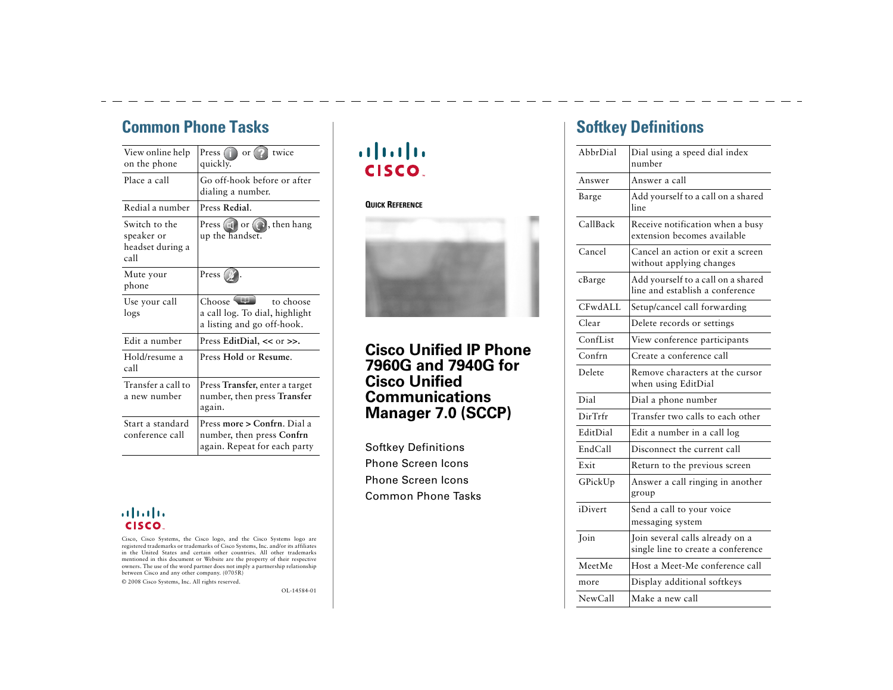### <span id="page-2-1"></span>**Common Phone Tasks**

<span id="page-2-2"></span>

| View online help<br>on the phone                        | Press $($<br>twice<br>$\alpha$ or<br>quickly.                                            |
|---------------------------------------------------------|------------------------------------------------------------------------------------------|
| Place a call                                            | Go off-hook before or after<br>dialing a number.                                         |
| Redial a number                                         | Press Redial.                                                                            |
| Switch to the<br>speaker or<br>headset during a<br>call | Press $\Box$ or $\bigodot$ , then hang<br>up the handset.                                |
| Mute your<br>phone                                      | Press                                                                                    |
| Use your call<br>logs                                   | Choose<br>to choose<br>a call log. To dial, highlight<br>a listing and go off-hook.      |
| Edit a number                                           | Press EditDial, $<< or >>$ .                                                             |
| Hold/resume a<br>call                                   | Press Hold or Resume.                                                                    |
| Transfer a call to<br>a new number                      | Press Transfer, enter a target<br>number, then press Transfer<br>again.                  |
| Start a standard<br>conference call                     | Press more > Confrn. Dial a<br>number, then press Confrn<br>again. Repeat for each party |

#### ahah. CISCO.

Cisco, Cisco Systems, the Cisco logo, and the Cisco Systems logo are registered trademarks or trademarks of Cisco Systems, Inc. and/or its affiliates in the United States and certain other countries. All other trademarks mentioned in this document or Website are the property of their respective owners. The use of the word partner does not imply a partnership relationship between Cisco and any other company. (0705R)

<span id="page-2-3"></span>© 2008 Cisco Systems, Inc. All rights reserved.

OL-14584-01

### $\mathbf{d}$  and  $\mathbf{d}$ **CISCO**

#### **QUICK REFERENCE**



**Cisco Unified IP Phone 7960G and 7940G for Cisco Unified Communications Manager 7.0 (SCCP)**

[Softkey Definitions](#page-2-0) [Phone Screen Icons](#page-3-0)[Phone Screen Icons](#page-3-0)[Common Phone Tasks](#page-2-1)

### <span id="page-2-0"></span>**Softkey Definitions**

| AbbrDial | Dial using a speed dial index<br>number                               |
|----------|-----------------------------------------------------------------------|
| Answer   | Answer a call                                                         |
| Barge    | Add yourself to a call on a shared<br>line                            |
| CallBack | Receive notification when a busy<br>extension becomes available       |
| Cancel   | Cancel an action or exit a screen<br>without applying changes         |
| cBarge   | Add yourself to a call on a shared<br>line and establish a conference |
| CFwdALL  | Setup/cancel call forwarding                                          |
| Clear    | Delete records or settings                                            |
| ConfList | View conference participants                                          |
| Confrn   | Create a conference call                                              |
| Delete   | Remove characters at the cursor<br>when using EditDial                |
| Dial     | Dial a phone number                                                   |
| DirTrfr  | Transfer two calls to each other                                      |
| EditDial | Edit a number in a call log                                           |
| EndCall  | Disconnect the current call                                           |
| Exit     | Return to the previous screen                                         |
| GPickUp  | Answer a call ringing in another<br>group                             |
| iDivert  | Send a call to your voice<br>messaging system                         |
| Join     | Join several calls already on a<br>single line to create a conference |
| MeetMe   | Host a Meet-Me conference call                                        |
| more     | Display additional softkeys                                           |
| NewCall  | Make a new call                                                       |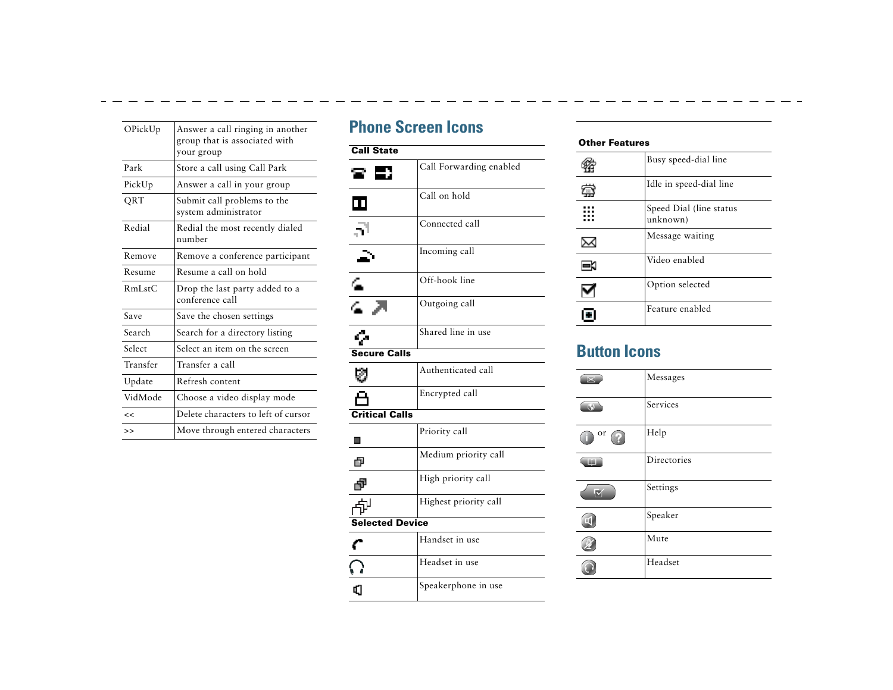<span id="page-3-3"></span><span id="page-3-1"></span>

| OPickUp  | Answer a call ringing in another<br>group that is associated with<br>your group |
|----------|---------------------------------------------------------------------------------|
| Park     | Store a call using Call Park                                                    |
| PickUp   | Answer a call in your group                                                     |
| QRT      | Submit call problems to the<br>system administrator                             |
| Redial   | Redial the most recently dialed<br>number                                       |
| Remove   | Remove a conference participant                                                 |
| Resume   | Resume a call on hold                                                           |
| RmListC  | Drop the last party added to a<br>conference call                               |
| Save     | Save the chosen settings                                                        |
| Search   | Search for a directory listing                                                  |
| Select   | Select an item on the screen                                                    |
| Transfer | Transfer a call                                                                 |
| Update   | Refresh content                                                                 |
| VidMode  | Choose a video display mode                                                     |
| <<       | Delete characters to left of cursor                                             |
| >        | Move through entered characters                                                 |

### <span id="page-3-0"></span>**Phone Screen Icons**

<span id="page-3-2"></span>

| <b>Call State</b>      |                         |
|------------------------|-------------------------|
|                        | Call Forwarding enabled |
| ш                      | Call on hold            |
|                        | Connected call          |
|                        | Incoming call           |
| ∕∍                     | Off-hook line           |
| $\overline{a}$         | Outgoing call           |
|                        | Shared line in use      |
| <b>Secure Calls</b>    |                         |
|                        | Authenticated call      |
|                        | Encrypted call          |
| <b>Critical Calls</b>  |                         |
| ■                      | Priority call           |
| ø                      | Medium priority call    |
| Ð                      | High priority call      |
|                        | Highest priority call   |
| <b>Selected Device</b> |                         |
|                        | Handset in use          |
|                        | Headset in use          |
| C                      | Speakerphone in use     |

#### **Other Features**

| Busy speed-dial line                |
|-------------------------------------|
| Idle in speed-dial line             |
| Speed Dial (line status<br>unknown) |
| Message waiting                     |
| Video enabled                       |
| Option selected                     |
| Feature enabled                     |

### **Button Icons**

| 図              | Messages    |
|----------------|-------------|
| $\overline{a}$ | Services    |
| or             | Help        |
| 理由             | Directories |
|                | Settings    |
|                | Speaker     |
|                | Mute        |
|                | Headset     |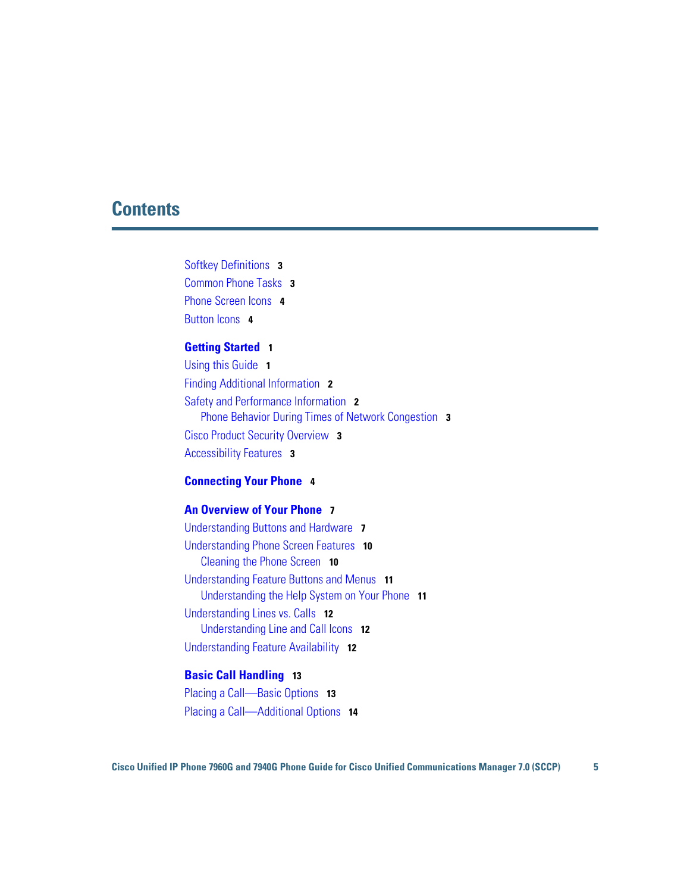### **Contents**

[Softkey Definitions](#page-2-2) **3** [Common Phone Tasks](#page-2-3) **3** [Phone Screen Icons](#page-3-1) **4** [Button Icons](#page-3-2) **4**

#### **[Getting Started](#page-8-0) 1**

[Using this Guide](#page-8-1) **1** [Finding Additional Information](#page-9-0) **2** [Safety and Performance Information](#page-9-1) **2** [Phone Behavior During Times of Network Congestion](#page-10-0) **3** [Cisco Product Security Overview](#page-10-1) **3** [Accessibility Features](#page-10-2) **3**

#### **[Connecting Your Phone](#page-11-0) 4**

#### **[An Overview of Your Phone](#page-14-0) 7**

[Understanding Buttons and Hardware](#page-14-1) **7** [Understanding Phone Screen Features](#page-17-0) **10** [Cleaning the Phone Screen](#page-17-1) **10** [Understanding Feature Buttons and Menus](#page-18-0) **11** [Understanding the Help System on Your Phone](#page-18-1) **11** [Understanding Lines vs. Calls](#page-19-0) **12** [Understanding Line and Call Icons](#page-19-1) **12** [Understanding Feature Availability](#page-19-2) **12**

#### **[Basic Call Handling](#page-20-0) 13**

[Placing a Call—Basic Options](#page-20-1) **13** [Placing a Call—Additional Options](#page-21-0) **14**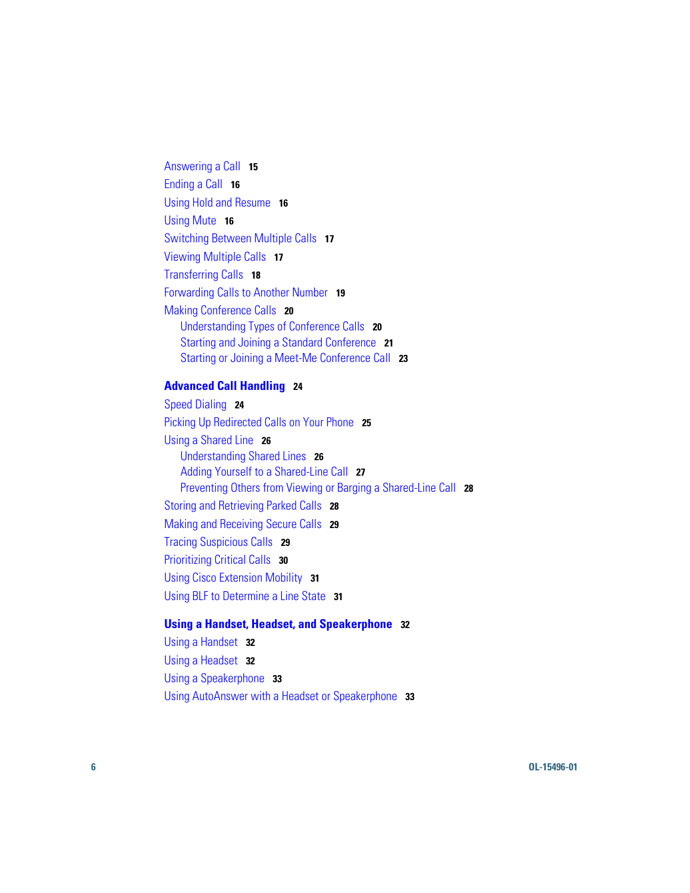[Answering a Call](#page-22-0) **15** [Ending a Call](#page-23-0) **16** [Using Hold and Resume](#page-23-1) **16** [Using Mute](#page-23-2) **16** [Switching Between Multiple Calls](#page-24-0) **17** [Viewing Multiple Calls](#page-24-1) **17** [Transferring Calls](#page-25-0) **18** [Forwarding Calls to Another Number](#page-26-0) **19** [Making Conference Calls](#page-27-0) **20** [Understanding Types of Conference Calls](#page-27-1) **20** [Starting and Joining a Standard Conference](#page-28-0) **21** [Starting or Joining a Meet-Me Conference Call](#page-30-0) **23**

#### **[Advanced Call Handling](#page-31-0) 24**

[Speed Dialing](#page-31-1) **24** [Picking Up Redirected Calls on Your Phone](#page-32-0) **25** [Using a Shared Line](#page-33-0) **26** [Understanding Shared Lines](#page-33-1) **26** [Adding Yourself to a Shared-Line Call](#page-34-0) **27** [Preventing Others from Viewing or Barging a Shared-Line Call](#page-35-0) **28** [Storing and Retrieving Parked Calls](#page-35-1) **28** [Making and Receiving Secure Calls](#page-36-0) **29** [Tracing Suspicious Calls](#page-36-1) **29** [Prioritizing Critical Calls](#page-37-0) **30** [Using Cisco Extension Mobility](#page-38-0) **31** [Using BLF to Determine a Line State](#page-38-1) **31**

#### **[Using a Handset, Headset, and Speakerphone](#page-39-0) 32**

[Using a Handset](#page-39-1) **32** [Using a Headset](#page-39-2) **32** [Using a Speakerphone](#page-40-0) **33** [Using AutoAnswer with a Headset or Speakerphone](#page-40-1) **33**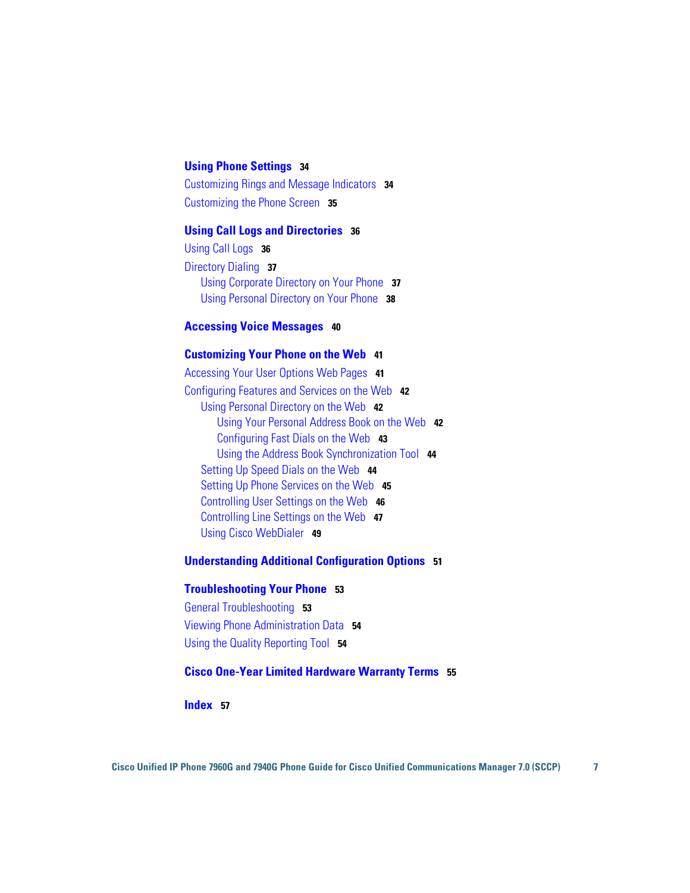#### **[Using Phone Settings](#page-41-0) 34**

[Customizing Rings and Message Indicators](#page-41-1) **34** [Customizing the Phone Screen](#page-42-0) **35**

#### **[Using Call Logs and Directories](#page-43-0) 36**

[Using Call Logs](#page-43-1) **36** [Directory Dialing](#page-44-0) **37** [Using Corporate Directory on Your Phone](#page-44-1) **37** [Using Personal Directory on Your Phone](#page-45-0) **38**

#### **[Accessing Voice Messages](#page-47-0) 40**

#### **[Customizing Your Phone on the Web](#page-48-0) 41**

[Accessing Your User](#page-48-1) Options Web Pages **41** [Configuring Features and Services on the Web](#page-49-0) **42** [Using Personal Directory on the Web](#page-49-1) **42** [Using Your Personal Address Book on the Web](#page-49-2) **42** [Configuring Fast Dials on the Web](#page-50-0) **43** [Using the Address Book Synchronization Tool](#page-51-0) **44** [Setting Up Speed Dials on the Web](#page-51-1) **44** [Setting Up Phone Services on the Web](#page-52-0) **45** [Controlling User Settings on the Web](#page-53-0) **46** [Controlling Line Settings on the Web](#page-54-0) **47** [Using Cisco](#page-56-0) WebDialer **49**

#### **[Understanding Additional Configuration Options](#page-58-0) 51**

#### **[Troubleshooting Your Phone](#page-60-0) 53**

[General Troubleshooting](#page-60-1) **53** [Viewing Phone Administration Data](#page-61-0) **54** [Using the Quality Reporting Tool](#page-61-1) **54**

#### **[Cisco One-Year Limited Hardware Warranty Terms](#page-62-0) 55**

#### **[Index](#page-64-0) 57**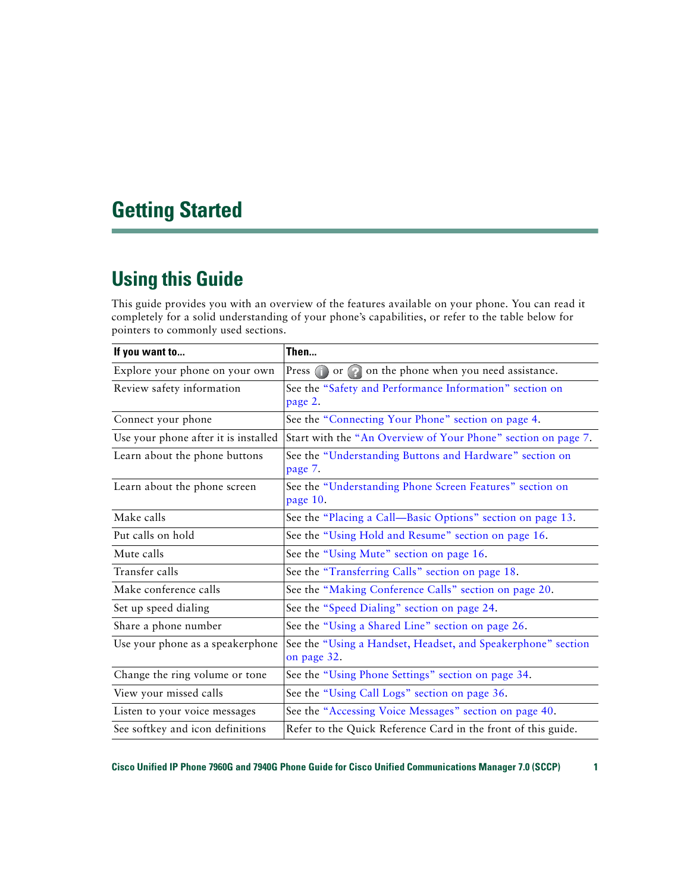# <span id="page-8-0"></span>**Getting Started**

## <span id="page-8-1"></span>**Using this Guide**

This guide provides you with an overview of the features available on your phone. You can read it completely for a solid understanding of your phone's capabilities, or refer to the table below for pointers to commonly used sections.

| If you want to                       | Then                                                                        |  |  |
|--------------------------------------|-----------------------------------------------------------------------------|--|--|
| Explore your phone on your own       | Press or on the phone when you need assistance.                             |  |  |
| Review safety information            | See the "Safety and Performance Information" section on<br>page 2.          |  |  |
| Connect your phone                   | See the "Connecting Your Phone" section on page 4.                          |  |  |
| Use your phone after it is installed | Start with the "An Overview of Your Phone" section on page 7.               |  |  |
| Learn about the phone buttons        | See the "Understanding Buttons and Hardware" section on<br>page 7.          |  |  |
| Learn about the phone screen         | See the "Understanding Phone Screen Features" section on<br>page 10.        |  |  |
| Make calls                           | See the "Placing a Call—Basic Options" section on page 13.                  |  |  |
| Put calls on hold                    | See the "Using Hold and Resume" section on page 16.                         |  |  |
| Mute calls                           | See the "Using Mute" section on page 16.                                    |  |  |
| Transfer calls                       | See the "Transferring Calls" section on page 18.                            |  |  |
| Make conference calls                | See the "Making Conference Calls" section on page 20.                       |  |  |
| Set up speed dialing                 | See the "Speed Dialing" section on page 24.                                 |  |  |
| Share a phone number                 | See the "Using a Shared Line" section on page 26.                           |  |  |
| Use your phone as a speakerphone     | See the "Using a Handset, Headset, and Speakerphone" section<br>on page 32. |  |  |
| Change the ring volume or tone       | See the "Using Phone Settings" section on page 34.                          |  |  |
| View your missed calls               | See the "Using Call Logs" section on page 36.                               |  |  |
| Listen to your voice messages        | See the "Accessing Voice Messages" section on page 40.                      |  |  |
| See softkey and icon definitions     | Refer to the Quick Reference Card in the front of this guide.               |  |  |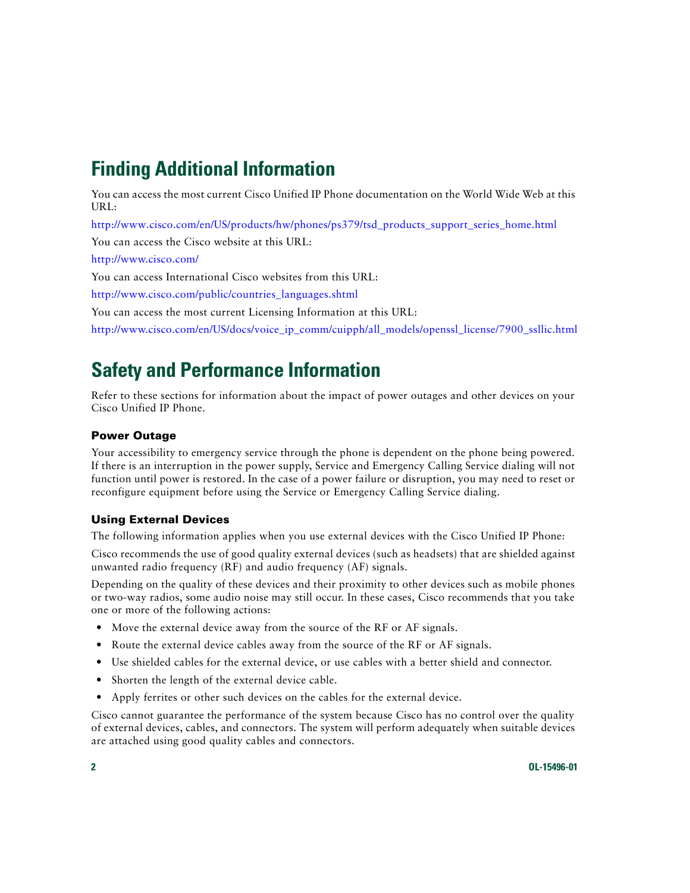# <span id="page-9-3"></span><span id="page-9-0"></span>**Finding Additional Information**

You can access the most current Cisco Unified IP Phone documentation on the World Wide Web at this URL:

[http://www.cisco.com/en/US/products/hw/phones/ps379/tsd\\_products\\_support\\_series\\_home.html](http://www.cisco.com/en/US/products/hw/phones/ps379/tsd_products_support_series_home.html)

You can access the Cisco website at this URL:

[http://www.cisco.com/](http://www.cisco.com)

You can access International Cisco websites from this URL:

[http://www.cisco.com/public/countries\\_languages.shtml](http://www.cisco.com/public/countries_languages.shtml)

You can access the most current Licensing Information at this URL:

[http://www.cisco.com/en/US/docs/voice\\_ip\\_comm/cuipph/all\\_models/openssl\\_license/7900\\_ssllic.html](http://www.cisco.com/en/US/docs/voice_ip_comm/cuipph/all_models/openssl_license/7900_ssllic.html)

# <span id="page-9-4"></span><span id="page-9-1"></span>**Safety and Performance Information**

Refer to these sections for information about the impact of power outages and other devices on your Cisco Unified IP Phone.

#### **Power Outage**

Your accessibility to emergency service through the phone is dependent on the phone being powered. If there is an interruption in the power supply, Service and Emergency Calling Service dialing will not function until power is restored. In the case of a power failure or disruption, you may need to reset or reconfigure equipment before using the Service or Emergency Calling Service dialing.

#### <span id="page-9-2"></span>**Using External Devices**

The following information applies when you use external devices with the Cisco Unified IP Phone:

Cisco recommends the use of good quality external devices (such as headsets) that are shielded against unwanted radio frequency (RF) and audio frequency (AF) signals.

Depending on the quality of these devices and their proximity to other devices such as mobile phones or two-way radios, some audio noise may still occur. In these cases, Cisco recommends that you take one or more of the following actions:

- **•** Move the external device away from the source of the RF or AF signals.
- **•** Route the external device cables away from the source of the RF or AF signals.
- **•** Use shielded cables for the external device, or use cables with a better shield and connector.
- Shorten the length of the external device cable.
- **•** Apply ferrites or other such devices on the cables for the external device.

Cisco cannot guarantee the performance of the system because Cisco has no control over the quality of external devices, cables, and connectors. The system will perform adequately when suitable devices are attached using good quality cables and connectors.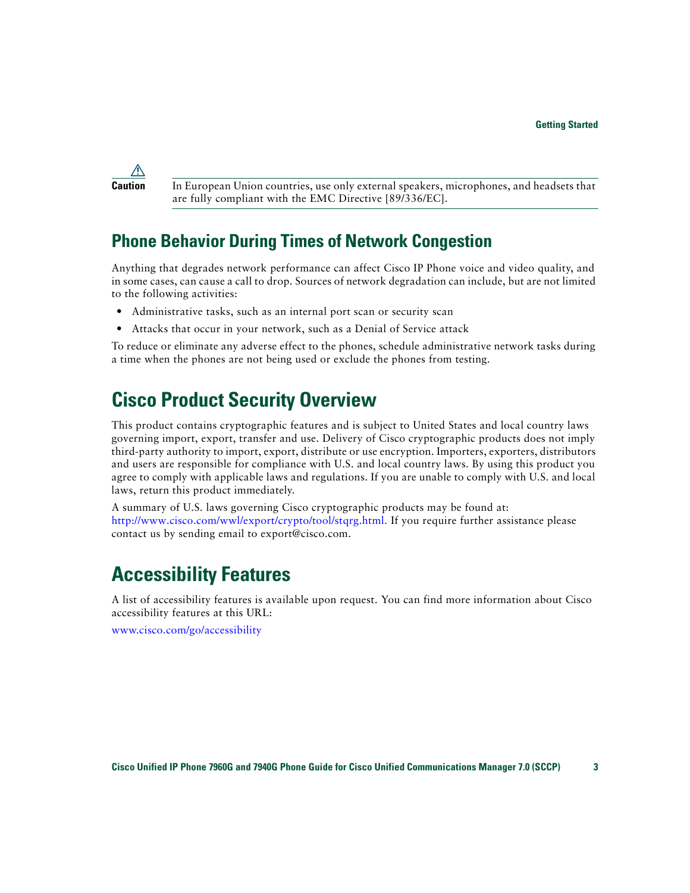

**Caution** In European Union countries, use only external speakers, microphones, and headsets that are fully compliant with the EMC Directive [89/336/EC].

### <span id="page-10-0"></span>**Phone Behavior During Times of Network Congestion**

Anything that degrades network performance can affect Cisco IP Phone voice and video quality, and in some cases, can cause a call to drop. Sources of network degradation can include, but are not limited to the following activities:

- **•** Administrative tasks, such as an internal port scan or security scan
- **•** Attacks that occur in your network, such as a Denial of Service attack

To reduce or eliminate any adverse effect to the phones, schedule administrative network tasks during a time when the phones are not being used or exclude the phones from testing.

## <span id="page-10-1"></span>**Cisco Product Security Overview**

This product contains cryptographic features and is subject to United States and local country laws governing import, export, transfer and use. Delivery of Cisco cryptographic products does not imply third-party authority to import, export, distribute or use encryption. Importers, exporters, distributors and users are responsible for compliance with U.S. and local country laws. By using this product you agree to comply with applicable laws and regulations. If you are unable to comply with U.S. and local laws, return this product immediately.

A summary of U.S. laws governing Cisco cryptographic products may be found at: [http://www.cisco.com/wwl/export/crypto/tool/stqrg.html.](http://www.cisco.com/wwl/export/crypto/tool/stqrg.html) If you require further assistance please contact us by sending email to export@cisco.com.

# <span id="page-10-2"></span>**Accessibility Features**

A list of accessibility features is available upon request. You can find more information about Cisco accessibility features at this URL:

<www.cisco.com/go/accessibility>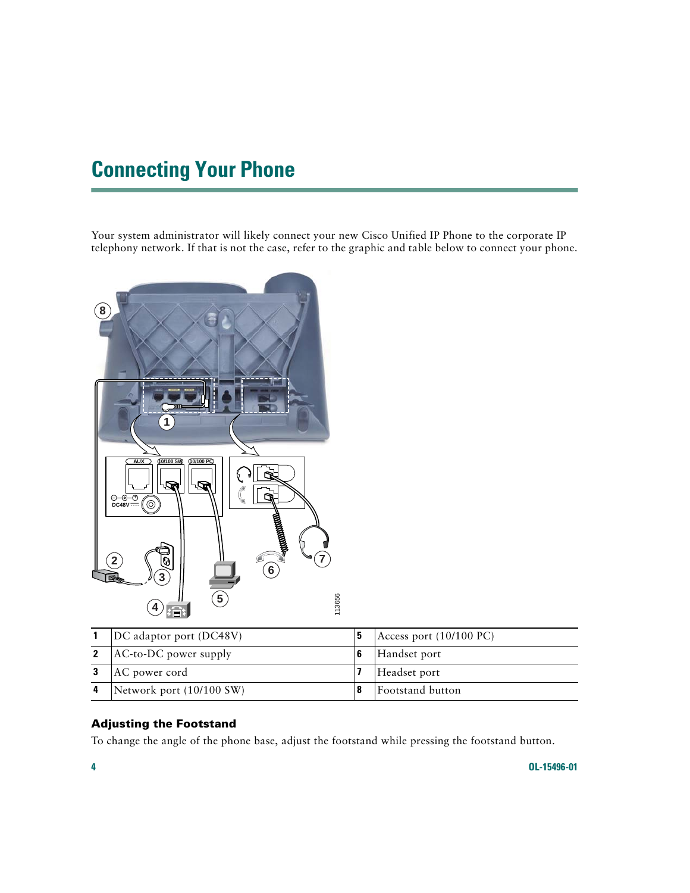# <span id="page-11-4"></span><span id="page-11-1"></span><span id="page-11-0"></span>**Connecting Your Phone**

Your system administrator will likely connect your new Cisco Unified IP Phone to the corporate IP telephony network. If that is not the case, refer to the graphic and table below to connect your phone.



| DC adaptor port (DC48V)     |              | Access port $(10/100 \text{ PC})$ |
|-----------------------------|--------------|-----------------------------------|
| 2 $ $ AC-to-DC power supply |              | Handset port                      |
| AC power cord               | Headset port |                                   |
| Network port (10/100 SW)    |              | Footstand button                  |

#### <span id="page-11-3"></span><span id="page-11-2"></span>**Adjusting the Footstand**

To change the angle of the phone base, adjust the footstand while pressing the footstand button.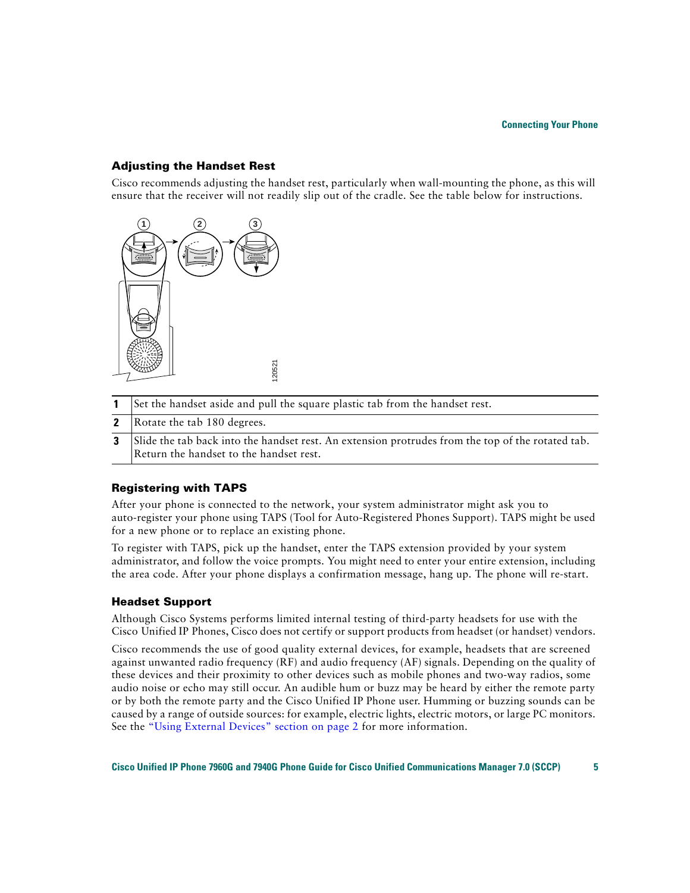#### <span id="page-12-2"></span>**Adjusting the Handset Rest**

Cisco recommends adjusting the handset rest, particularly when wall-mounting the phone, as this will ensure that the receiver will not readily slip out of the cradle. See the table below for instructions.



|  | 1 Set the handset aside and pull the square plastic tab from the handset rest. |  |  |  |  |  |  |  |  |
|--|--------------------------------------------------------------------------------|--|--|--|--|--|--|--|--|
|--|--------------------------------------------------------------------------------|--|--|--|--|--|--|--|--|

- **2** Rotate the tab 180 degrees.
- **3** Slide the tab back into the handset rest. An extension protrudes from the top of the rotated tab. Return the handset to the handset rest.

#### <span id="page-12-1"></span>**Registering with TAPS**

After your phone is connected to the network, your system administrator might ask you to auto-register your phone using TAPS (Tool for Auto-Registered Phones Support). TAPS might be used for a new phone or to replace an existing phone.

To register with TAPS, pick up the handset, enter the TAPS extension provided by your system administrator, and follow the voice prompts. You might need to enter your entire extension, including the area code. After your phone displays a confirmation message, hang up. The phone will re-start.

#### <span id="page-12-3"></span><span id="page-12-0"></span>**Headset Support**

Although Cisco Systems performs limited internal testing of third-party headsets for use with the Cisco Unified IP Phones, Cisco does not certify or support products from headset (or handset) vendors.

Cisco recommends the use of good quality external devices, for example, headsets that are screened against unwanted radio frequency (RF) and audio frequency (AF) signals. Depending on the quality of these devices and their proximity to other devices such as mobile phones and two-way radios, some audio noise or echo may still occur. An audible hum or buzz may be heard by either the remote party or by both the remote party and the Cisco Unified IP Phone user. Humming or buzzing sounds can be caused by a range of outside sources: for example, electric lights, electric motors, or large PC monitors. See the ["Using External Devices" section on page](#page-9-2) 2 for more information.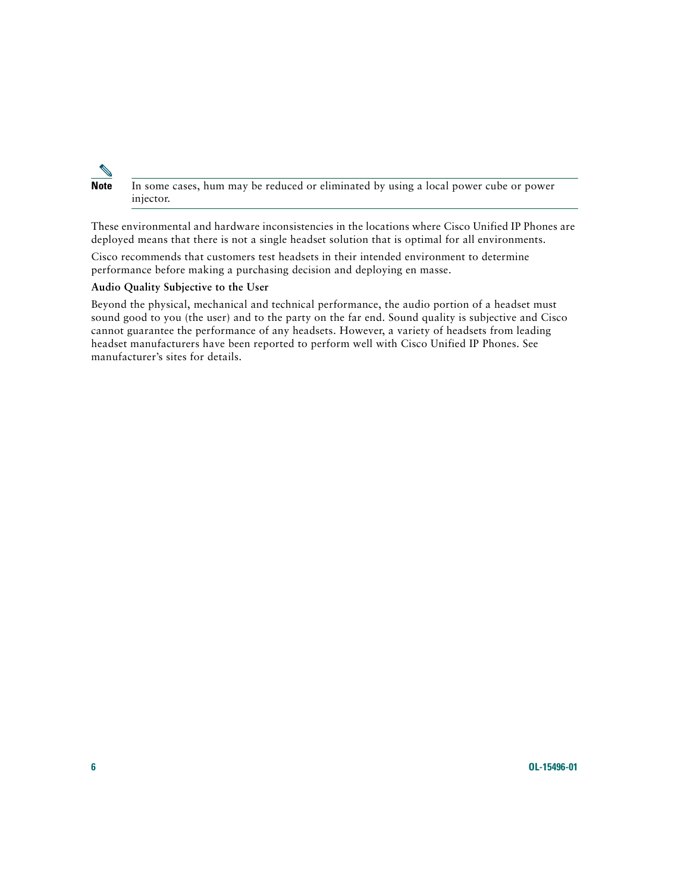

**Note** In some cases, hum may be reduced or eliminated by using a local power cube or power injector.

These environmental and hardware inconsistencies in the locations where Cisco Unified IP Phones are deployed means that there is not a single headset solution that is optimal for all environments.

Cisco recommends that customers test headsets in their intended environment to determine performance before making a purchasing decision and deploying en masse.

#### <span id="page-13-0"></span>**Audio Quality Subjective to the User**

Beyond the physical, mechanical and technical performance, the audio portion of a headset must sound good to you (the user) and to the party on the far end. Sound quality is subjective and Cisco cannot guarantee the performance of any headsets. However, a variety of headsets from leading headset manufacturers have been reported to perform well with Cisco Unified IP Phones. See manufacturer's sites for details.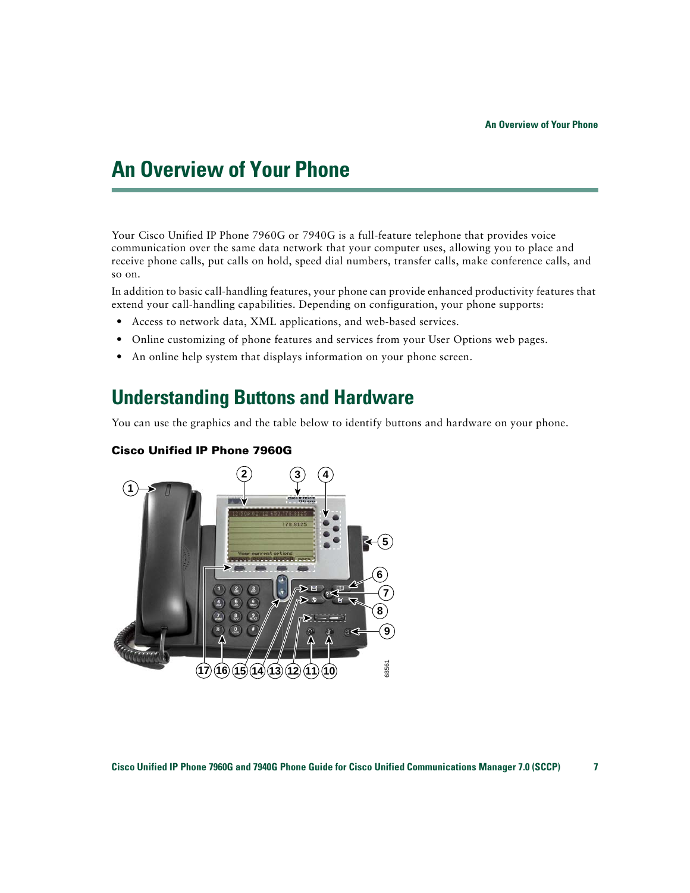# <span id="page-14-4"></span><span id="page-14-2"></span><span id="page-14-0"></span>**An Overview of Your Phone**

Your Cisco Unified IP Phone 7960G or 7940G is a full-feature telephone that provides voice communication over the same data network that your computer uses, allowing you to place and receive phone calls, put calls on hold, speed dial numbers, transfer calls, make conference calls, and so on.

In addition to basic call-handling features, your phone can provide enhanced productivity features that extend your call-handling capabilities. Depending on configuration, your phone supports:

- **•** Access to network data, XML applications, and web-based services.
- Online customizing of phone features and services from your User Options web pages.
- **•** An online help system that displays information on your phone screen.

### <span id="page-14-3"></span><span id="page-14-1"></span>**Understanding Buttons and Hardware**

You can use the graphics and the table below to identify buttons and hardware on your phone.



#### <span id="page-14-5"></span>**Cisco Unified IP Phone 7960G**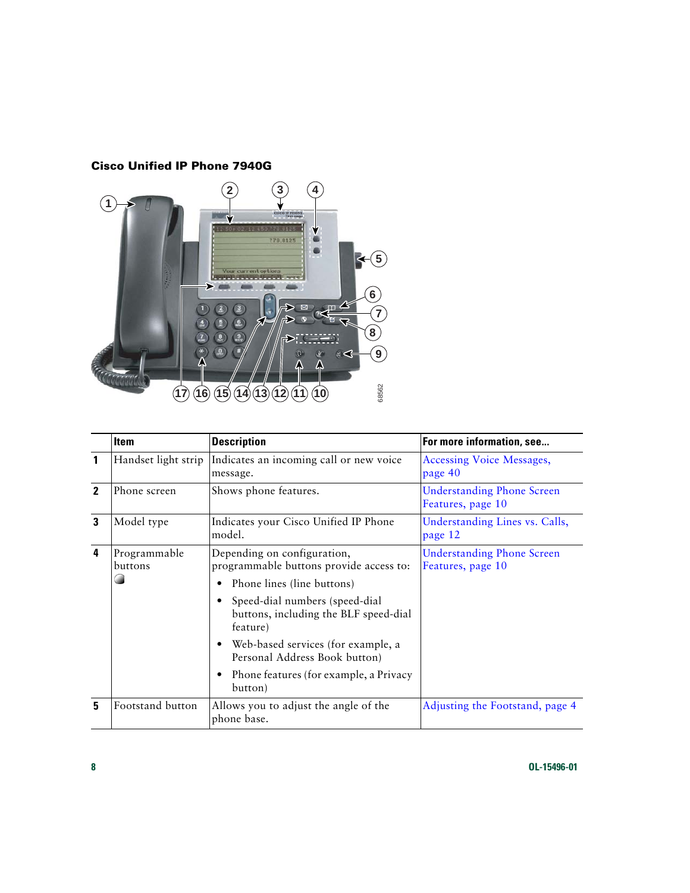#### **Cisco Unified IP Phone 7940G**

![](_page_15_Picture_1.jpeg)

<span id="page-15-2"></span><span id="page-15-1"></span><span id="page-15-0"></span>

|              | <b>Item</b>             | <b>Description</b>                                                                  | For more information, see                              |
|--------------|-------------------------|-------------------------------------------------------------------------------------|--------------------------------------------------------|
| 1            | Handset light strip     | Indicates an incoming call or new voice<br>message.                                 | <b>Accessing Voice Messages,</b><br>page 40            |
| $\mathbf{2}$ | Phone screen            | Shows phone features.                                                               | <b>Understanding Phone Screen</b><br>Features, page 10 |
| 3            | Model type              | Indicates your Cisco Unified IP Phone<br>model.                                     | Understanding Lines vs. Calls,<br>page 12              |
| 4            | Programmable<br>buttons | Depending on configuration,<br>programmable buttons provide access to:              | <b>Understanding Phone Screen</b><br>Features, page 10 |
|              |                         | Phone lines (line buttons)                                                          |                                                        |
|              |                         | Speed-dial numbers (speed-dial<br>buttons, including the BLF speed-dial<br>feature) |                                                        |
|              |                         | Web-based services (for example, a<br>Personal Address Book button)                 |                                                        |
|              |                         | Phone features (for example, a Privacy<br>button)                                   |                                                        |
| 5            | Footstand button        | Allows you to adjust the angle of the<br>phone base.                                | Adjusting the Footstand, page 4                        |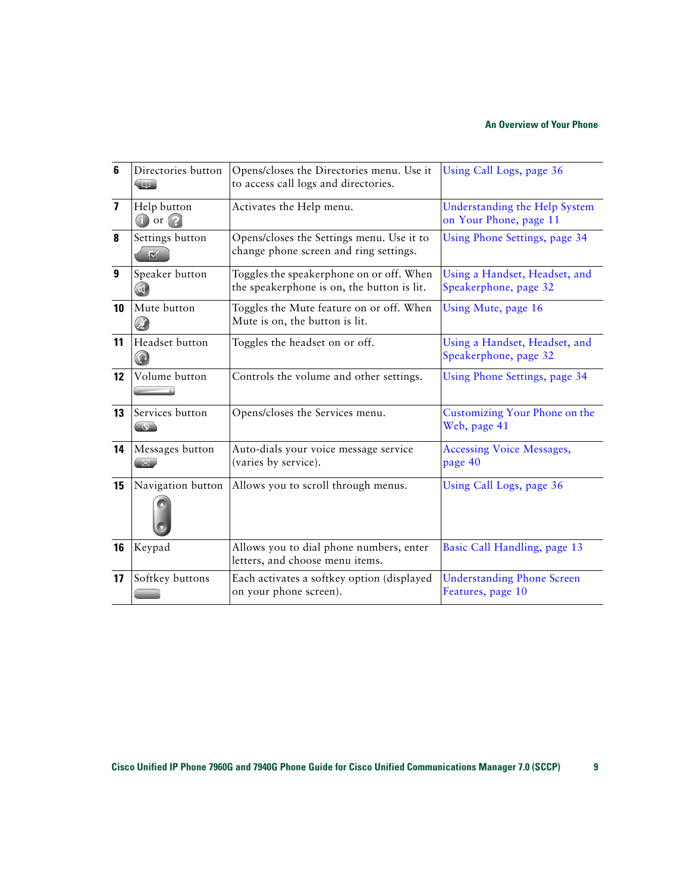<span id="page-16-11"></span><span id="page-16-10"></span><span id="page-16-9"></span><span id="page-16-8"></span><span id="page-16-7"></span><span id="page-16-6"></span><span id="page-16-5"></span><span id="page-16-4"></span><span id="page-16-3"></span><span id="page-16-2"></span><span id="page-16-1"></span><span id="page-16-0"></span>

| 6                | Directories button                    | Opens/closes the Directories menu. Use it<br>to access call logs and directories.      | Using Call Logs, page 36                                |
|------------------|---------------------------------------|----------------------------------------------------------------------------------------|---------------------------------------------------------|
| $\overline{ }$   | Help button<br>$\bigcap$ or $\bigcap$ | Activates the Help menu.                                                               | Understanding the Help System<br>on Your Phone, page 11 |
| 8                | Settings button<br>M                  | Opens/closes the Settings menu. Use it to<br>change phone screen and ring settings.    | Using Phone Settings, page 34                           |
| $\boldsymbol{9}$ | Speaker button                        | Toggles the speakerphone on or off. When<br>the speakerphone is on, the button is lit. | Using a Handset, Headset, and<br>Speakerphone, page 32  |
| 10               | Mute button                           | Toggles the Mute feature on or off. When<br>Mute is on, the button is lit.             | Using Mute, page 16                                     |
| 11               | Headset button                        | Toggles the headset on or off.                                                         | Using a Handset, Headset, and<br>Speakerphone, page 32  |
| 12               | Volume button                         | Controls the volume and other settings.                                                | Using Phone Settings, page 34                           |
| 13               | Services button                       | Opens/closes the Services menu.                                                        | Customizing Your Phone on the<br>Web, page 41           |
| 14               | Messages button                       | Auto-dials your voice message service<br>(varies by service).                          | <b>Accessing Voice Messages,</b><br>page 40             |
| 15               | Navigation button                     | Allows you to scroll through menus.                                                    | Using Call Logs, page 36                                |
| 16               | Keypad                                | Allows you to dial phone numbers, enter<br>letters, and choose menu items.             | Basic Call Handling, page 13                            |
| 17               | Softkey buttons                       | Each activates a softkey option (displayed<br>on your phone screen).                   | <b>Understanding Phone Screen</b><br>Features, page 10  |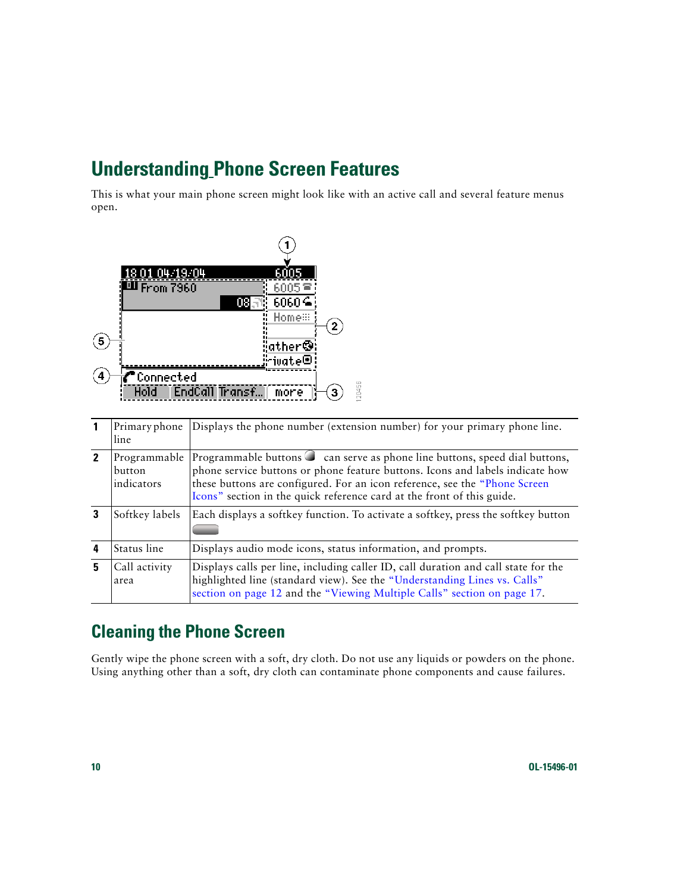## <span id="page-17-2"></span><span id="page-17-0"></span>**Understanding Phone Screen Features**

This is what your main phone screen might look like with an active call and several feature menus open.

![](_page_17_Figure_2.jpeg)

<span id="page-17-5"></span>

|                            | Primary phone<br>line                | Displays the phone number (extension number) for your primary phone line.                                                                                                                                                                                                                                            |
|----------------------------|--------------------------------------|----------------------------------------------------------------------------------------------------------------------------------------------------------------------------------------------------------------------------------------------------------------------------------------------------------------------|
| $\boldsymbol{\mathcal{P}}$ | Programmable<br>button<br>indicators | Programmable buttons C can serve as phone line buttons, speed dial buttons,<br>phone service buttons or phone feature buttons. Icons and labels indicate how<br>these buttons are configured. For an icon reference, see the "Phone Screen<br>Icons" section in the quick reference card at the front of this guide. |
|                            | Softkey labels                       | Each displays a softkey function. To activate a softkey, press the softkey button                                                                                                                                                                                                                                    |
| 4                          | Status line                          | Displays audio mode icons, status information, and prompts.                                                                                                                                                                                                                                                          |
| 5                          | Call activity<br>area                | Displays calls per line, including caller ID, call duration and call state for the<br>highlighted line (standard view). See the "Understanding Lines vs. Calls"<br>section on page 12 and the "Viewing Multiple Calls" section on page 17.                                                                           |

### <span id="page-17-4"></span><span id="page-17-3"></span><span id="page-17-1"></span>**Cleaning the Phone Screen**

Gently wipe the phone screen with a soft, dry cloth. Do not use any liquids or powders on the phone. Using anything other than a soft, dry cloth can contaminate phone components and cause failures.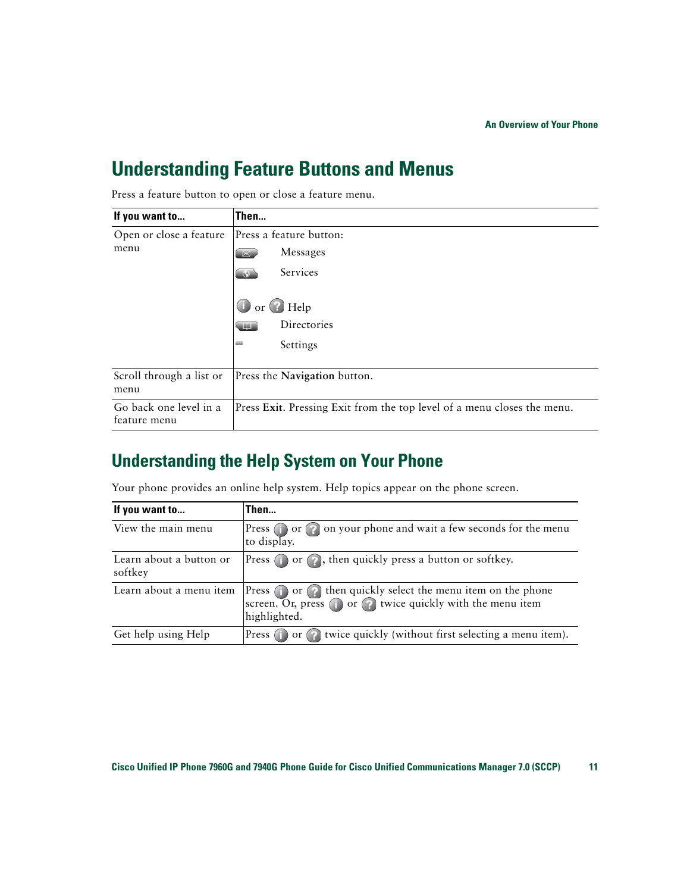### <span id="page-18-2"></span><span id="page-18-0"></span>**Understanding Feature Buttons and Menus**

| If you want to                         | Then                                                                    |
|----------------------------------------|-------------------------------------------------------------------------|
| Open or close a feature<br>menu        | Press a feature button:                                                 |
|                                        | Messages<br>四                                                           |
|                                        | Services                                                                |
|                                        | O or Help                                                               |
|                                        | Directories                                                             |
|                                        | Settings<br>ست                                                          |
| Scroll through a list or<br>menu       | Press the Navigation button.                                            |
| Go back one level in a<br>feature menu | Press Exit. Pressing Exit from the top level of a menu closes the menu. |

Press a feature button to open or close a feature menu.

### <span id="page-18-3"></span><span id="page-18-1"></span>**Understanding the Help System on Your Phone**

Your phone provides an online help system. Help topics appear on the phone screen.

| If you want to                     | Then                                                                                                                                                         |
|------------------------------------|--------------------------------------------------------------------------------------------------------------------------------------------------------------|
| View the main menu                 | Press or on your phone and wait a few seconds for the menu<br>to display.                                                                                    |
| Learn about a button or<br>softkey | Press (i) or (2), then quickly press a button or softkey.                                                                                                    |
| Learn about a menu item            | Press $\bigcap$ or $\bigcap$ then quickly select the menu item on the phone<br>screen. Or, press (i) or (?) twice quickly with the menu item<br>highlighted. |
| Get help using Help                | Press (i) or (2) twice quickly (without first selecting a menu item).                                                                                        |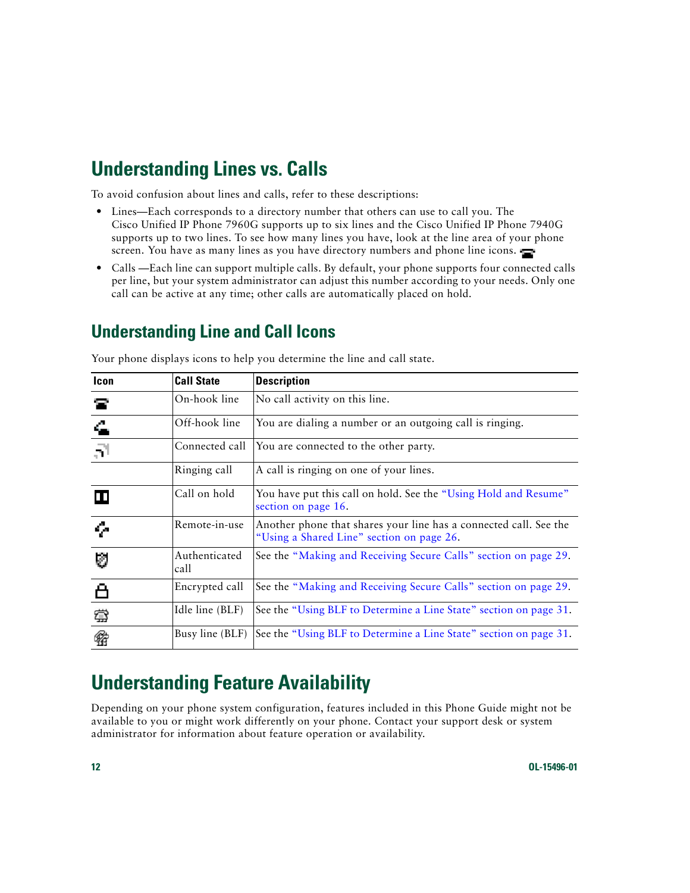# <span id="page-19-3"></span><span id="page-19-0"></span>**Understanding Lines vs. Calls**

To avoid confusion about lines and calls, refer to these descriptions:

- **•** Lines—Each corresponds to a directory number that others can use to call you. The Cisco Unified IP Phone 7960G supports up to six lines and the Cisco Unified IP Phone 7940G supports up to two lines. To see how many lines you have, look at the line area of your phone screen. You have as many lines as you have directory numbers and phone line icons.
- **•** Calls —Each line can support multiple calls. By default, your phone supports four connected calls per line, but your system administrator can adjust this number according to your needs. Only one call can be active at any time; other calls are automatically placed on hold.

### <span id="page-19-5"></span><span id="page-19-4"></span><span id="page-19-1"></span>**Understanding Line and Call Icons**

| <b>Icon</b> | <b>Call State</b>     | <b>Description</b>                                                                                             |
|-------------|-----------------------|----------------------------------------------------------------------------------------------------------------|
| 宮           | On-hook line          | No call activity on this line.                                                                                 |
| 4           | Off-hook line         | You are dialing a number or an outgoing call is ringing.                                                       |
| $\vec{r}$   | Connected call        | You are connected to the other party.                                                                          |
|             | Ringing call          | A call is ringing on one of your lines.                                                                        |
| ш           | Call on hold          | You have put this call on hold. See the "Using Hold and Resume"<br>section on page 16.                         |
| ç.          | Remote-in-use         | Another phone that shares your line has a connected call. See the<br>"Using a Shared Line" section on page 26. |
| Ø           | Authenticated<br>call | See the "Making and Receiving Secure Calls" section on page 29.                                                |
|             | Encrypted call        | See the "Making and Receiving Secure Calls" section on page 29.                                                |
| 蚕           | Idle line (BLF)       | See the "Using BLF to Determine a Line State" section on page 31.                                              |
| R           | Busy line (BLF)       | See the "Using BLF to Determine a Line State" section on page 31.                                              |

Your phone displays icons to help you determine the line and call state.

# <span id="page-19-6"></span><span id="page-19-2"></span>**Understanding Feature Availability**

Depending on your phone system configuration, features included in this Phone Guide might not be available to you or might work differently on your phone. Contact your support desk or system administrator for information about feature operation or availability.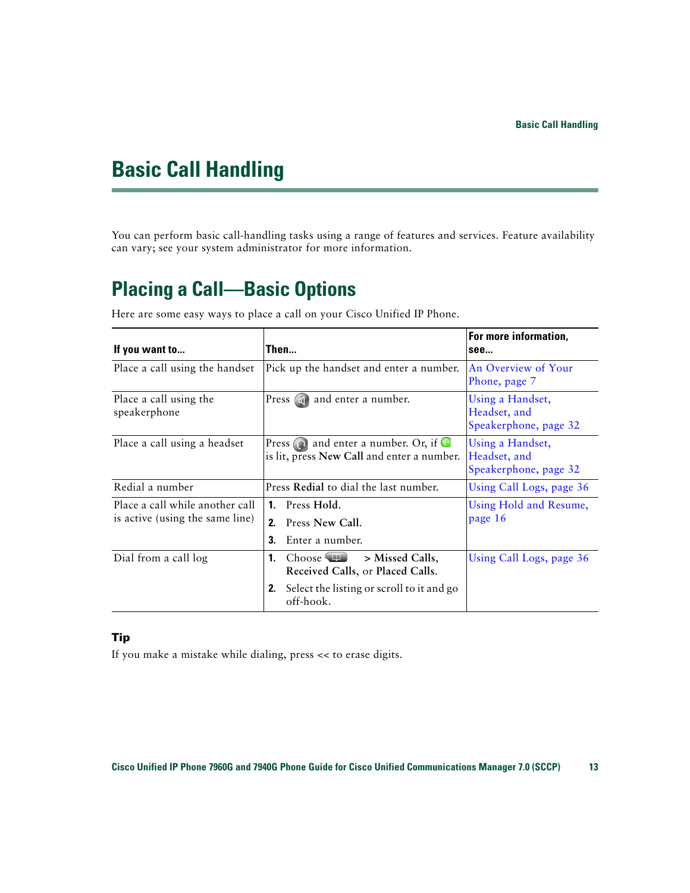# <span id="page-20-4"></span><span id="page-20-3"></span><span id="page-20-0"></span>**Basic Call Handling**

You can perform basic call-handling tasks using a range of features and services. Feature availability can vary; see your system administrator for more information.

## <span id="page-20-5"></span><span id="page-20-2"></span><span id="page-20-1"></span>**Placing a Call—Basic Options**

Here are some easy ways to place a call on your Cisco Unified IP Phone.

<span id="page-20-8"></span><span id="page-20-7"></span><span id="page-20-6"></span>

| If you want to                                                     | Then                                                                                                                              | For more information,<br>see                              |
|--------------------------------------------------------------------|-----------------------------------------------------------------------------------------------------------------------------------|-----------------------------------------------------------|
| Place a call using the handset                                     | Pick up the handset and enter a number.                                                                                           | An Overview of Your<br>Phone, page 7                      |
| Place a call using the<br>speakerphone                             | Press (a) and enter a number.                                                                                                     | Using a Handset,<br>Headset, and<br>Speakerphone, page 32 |
| Place a call using a headset                                       | Press $\odot$ and enter a number. Or, if $\odot$<br>is lit, press New Call and enter a number.                                    | Using a Handset,<br>Headset, and<br>Speakerphone, page 32 |
| Redial a number                                                    | Press Redial to dial the last number.                                                                                             | Using Call Logs, page 36                                  |
| Place a call while another call<br>is active (using the same line) | Press Hold.<br>$\mathbf{1}$ .<br>2.<br>Press New Call.<br>3.<br>Enter a number.                                                   | Using Hold and Resume,<br>page 16                         |
| Dial from a call log                                               | Choose <b>III</b><br>1.<br>> Missed Calls,<br>Received Calls, or Placed Calls.<br>Select the listing or scroll to it and go<br>2. | Using Call Logs, page 36                                  |
|                                                                    | off-hook.                                                                                                                         |                                                           |

#### **Tip**

If you make a mistake while dialing, press << to erase digits.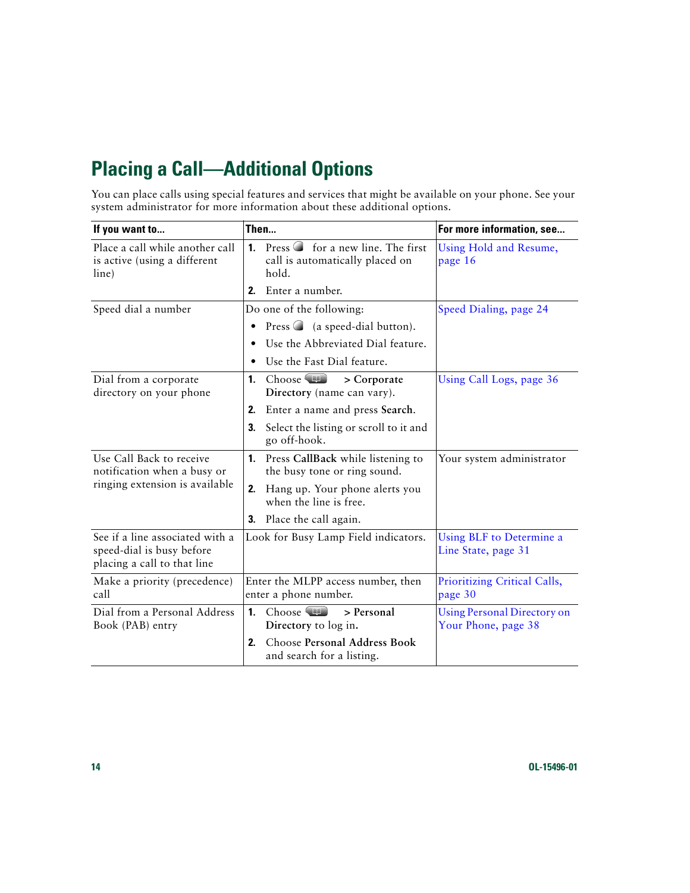# <span id="page-21-2"></span><span id="page-21-0"></span>**Placing a Call—Additional Options**

You can place calls using special features and services that might be available on your phone. See your system administrator for more information about these additional options.

<span id="page-21-3"></span><span id="page-21-1"></span>

| If you want to                                                                              | Then                                                                                                     | For more information, see                                 |
|---------------------------------------------------------------------------------------------|----------------------------------------------------------------------------------------------------------|-----------------------------------------------------------|
| Place a call while another call<br>is active (using a different<br>line)                    | Press $\bigcirc$ for a new line. The first<br>$\mathbf{1}$ .<br>call is automatically placed on<br>hold. | Using Hold and Resume,<br>page 16                         |
|                                                                                             | 2.<br>Enter a number.                                                                                    |                                                           |
| Speed dial a number                                                                         | Do one of the following:                                                                                 | Speed Dialing, page 24                                    |
|                                                                                             | Press $\bigcirc$ (a speed-dial button).<br>$\bullet$                                                     |                                                           |
|                                                                                             | Use the Abbreviated Dial feature.                                                                        |                                                           |
|                                                                                             | Use the Fast Dial feature.                                                                               |                                                           |
| Dial from a corporate<br>directory on your phone                                            | Choose $\Box$<br>> Corporate<br>1.<br>Directory (name can vary).                                         | Using Call Logs, page 36                                  |
|                                                                                             | Enter a name and press Search.<br>2.                                                                     |                                                           |
|                                                                                             | 3.<br>Select the listing or scroll to it and<br>go off-hook.                                             |                                                           |
| Use Call Back to receive<br>notification when a busy or                                     | Press CallBack while listening to<br>1.<br>the busy tone or ring sound.                                  | Your system administrator                                 |
| ringing extension is available                                                              | Hang up. Your phone alerts you<br>2.<br>when the line is free.                                           |                                                           |
|                                                                                             | Place the call again.<br>3.                                                                              |                                                           |
| See if a line associated with a<br>speed-dial is busy before<br>placing a call to that line | Look for Busy Lamp Field indicators.                                                                     | Using BLF to Determine a<br>Line State, page 31           |
| Make a priority (precedence)<br>call                                                        | Enter the MLPP access number, then<br>enter a phone number.                                              | Prioritizing Critical Calls,<br>page 30                   |
| Dial from a Personal Address<br>Book (PAB) entry                                            | Choose <b>ID</b><br>> Personal<br>$\mathbf{1}$ .<br>Directory to log in.                                 | <b>Using Personal Directory on</b><br>Your Phone, page 38 |
|                                                                                             | Choose Personal Address Book<br>2.<br>and search for a listing.                                          |                                                           |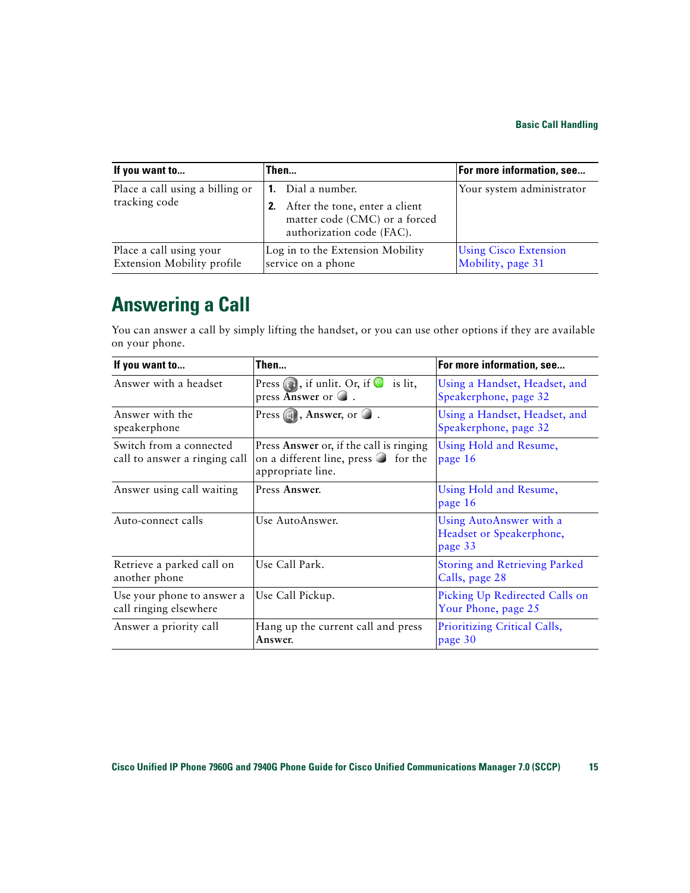| If you want to                                               | Then                                                                                                                     | For more information, see                         |
|--------------------------------------------------------------|--------------------------------------------------------------------------------------------------------------------------|---------------------------------------------------|
| Place a call using a billing or<br>tracking code             | <b>1.</b> Dial a number.<br>After the tone, enter a client<br>matter code (CMC) or a forced<br>authorization code (FAC). | Your system administrator                         |
| Place a call using your<br><b>Extension Mobility profile</b> | Log in to the Extension Mobility<br>service on a phone                                                                   | <b>Using Cisco Extension</b><br>Mobility, page 31 |

## <span id="page-22-1"></span><span id="page-22-0"></span>**Answering a Call**

You can answer a call by simply lifting the handset, or you can use other options if they are available on your phone.

<span id="page-22-4"></span><span id="page-22-3"></span><span id="page-22-2"></span>

| If you want to                                           | Then                                                                                                          | For more information, see                                      |
|----------------------------------------------------------|---------------------------------------------------------------------------------------------------------------|----------------------------------------------------------------|
| Answer with a headset                                    | Press $\bigodot$ , if unlit. Or, if $\bigodot$<br>is lit,<br>press Answer or $\bigcirc$ .                     | Using a Handset, Headset, and<br>Speakerphone, page 32         |
| Answer with the<br>speakerphone                          | Press $\Box$ , Answer, or $\Box$ .                                                                            | Using a Handset, Headset, and<br>Speakerphone, page 32         |
| Switch from a connected<br>call to answer a ringing call | Press Answer or, if the call is ringing<br>on a different line, press $\bigcirc$ for the<br>appropriate line. | Using Hold and Resume,<br>page 16                              |
| Answer using call waiting                                | Press Answer.                                                                                                 | Using Hold and Resume,<br>page 16                              |
| Auto-connect calls                                       | Use AutoAnswer.                                                                                               | Using AutoAnswer with a<br>Headset or Speakerphone,<br>page 33 |
| Retrieve a parked call on<br>another phone               | Use Call Park.                                                                                                | <b>Storing and Retrieving Parked</b><br>Calls, page 28         |
| Use your phone to answer a<br>call ringing elsewhere     | Use Call Pickup.                                                                                              | Picking Up Redirected Calls on<br>Your Phone, page 25          |
| Answer a priority call                                   | Hang up the current call and press<br>Answer.                                                                 | Prioritizing Critical Calls,<br>page 30                        |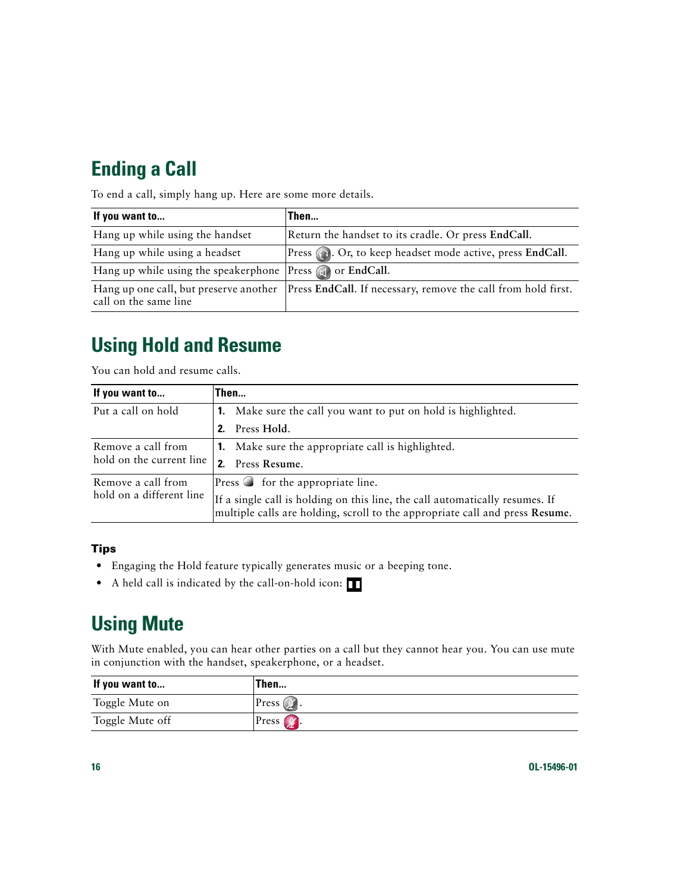# <span id="page-23-5"></span><span id="page-23-0"></span>**Ending a Call**

To end a call, simply hang up. Here are some more details.

| If you want to                                                  | Then                                                          |
|-----------------------------------------------------------------|---------------------------------------------------------------|
| Hang up while using the handset                                 | Return the handset to its cradle. Or press EndCall.           |
| Hang up while using a headset                                   | Press (a). Or, to keep headset mode active, press EndCall.    |
| Hang up while using the speakerphone Press (1) or EndCall.      |                                                               |
| Hang up one call, but preserve another<br>call on the same line | Press EndCall. If necessary, remove the call from hold first. |

# <span id="page-23-6"></span><span id="page-23-3"></span><span id="page-23-1"></span>**Using Hold and Resume**

You can hold and resume calls.

| If you want to                                 | Then                                                                                                                                                         |
|------------------------------------------------|--------------------------------------------------------------------------------------------------------------------------------------------------------------|
| Put a call on hold                             | <b>1.</b> Make sure the call you want to put on hold is highlighted.                                                                                         |
|                                                | Press Hold.<br>2 <sup>2</sup>                                                                                                                                |
| Remove a call from<br>hold on the current line | <b>1.</b> Make sure the appropriate call is highlighted.                                                                                                     |
|                                                | Press Resume.<br>2.                                                                                                                                          |
| Remove a call from                             | Press $\bigcirc$ for the appropriate line.                                                                                                                   |
| hold on a different line                       | If a single call is holding on this line, the call automatically resumes. If<br>multiple calls are holding, scroll to the appropriate call and press Resume. |

#### **Tips**

- **•** Engaging the Hold feature typically generates music or a beeping tone.
- A held call is indicated by the call-on-hold icon:

# <span id="page-23-7"></span><span id="page-23-4"></span><span id="page-23-2"></span>**Using Mute**

With Mute enabled, you can hear other parties on a call but they cannot hear you. You can use mute in conjunction with the handset, speakerphone, or a headset.

| If you want to  | Then                           |
|-----------------|--------------------------------|
| Toggle Mute on  | $\text{Press } (\mathbb{Z})$ . |
| Toggle Mute off | $\text{Press}$ $\bullet$ .     |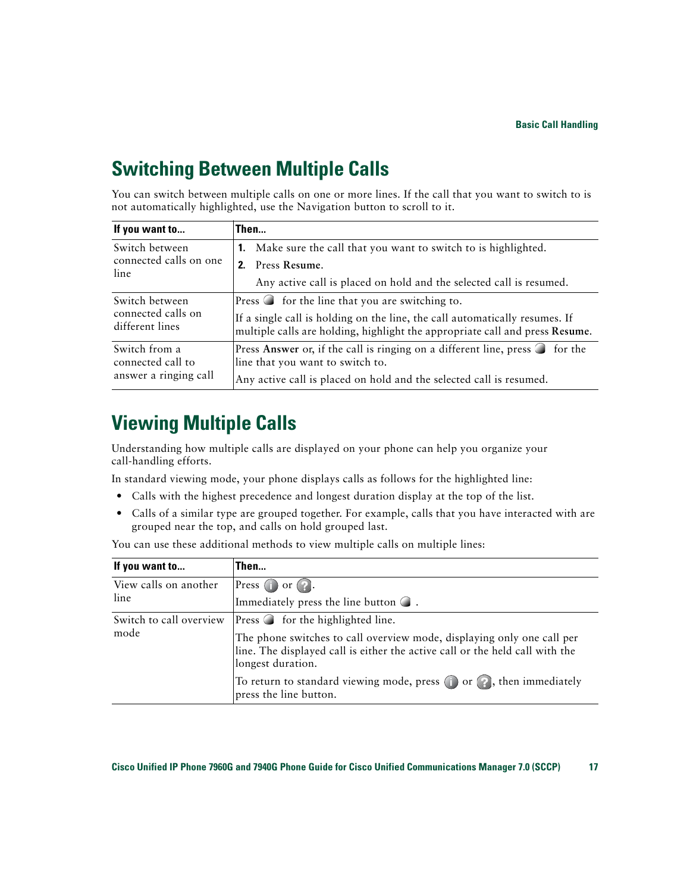## <span id="page-24-4"></span><span id="page-24-0"></span>**Switching Between Multiple Calls**

You can switch between multiple calls on one or more lines. If the call that you want to switch to is not automatically highlighted, use the Navigation button to scroll to it.

| If you want to                                              | Then                                                                                                                                                        |
|-------------------------------------------------------------|-------------------------------------------------------------------------------------------------------------------------------------------------------------|
| Switch between<br>connected calls on one<br>line            | <b>1.</b> Make sure the call that you want to switch to is highlighted.<br>Press Resume.<br>2.                                                              |
|                                                             | Any active call is placed on hold and the selected call is resumed.                                                                                         |
| Switch between<br>connected calls on<br>different lines     | Press $\bigcirc$ for the line that you are switching to.                                                                                                    |
|                                                             | If a single call is holding on the line, the call automatically resumes. If<br>multiple calls are holding, highlight the appropriate call and press Resume. |
| Switch from a<br>connected call to<br>answer a ringing call | Press Answer or, if the call is ringing on a different line, press $\bigcirc$ for the<br>line that you want to switch to.                                   |
|                                                             | Any active call is placed on hold and the selected call is resumed.                                                                                         |

## <span id="page-24-3"></span><span id="page-24-2"></span><span id="page-24-1"></span>**Viewing Multiple Calls**

Understanding how multiple calls are displayed on your phone can help you organize your call-handling efforts.

In standard viewing mode, your phone displays calls as follows for the highlighted line:

- **•** Calls with the highest precedence and longest duration display at the top of the list.
- **•** Calls of a similar type are grouped together. For example, calls that you have interacted with are grouped near the top, and calls on hold grouped last.

You can use these additional methods to view multiple calls on multiple lines:

<span id="page-24-6"></span><span id="page-24-5"></span>

| If you want to                  | Then                                                                                                                                                                        |
|---------------------------------|-----------------------------------------------------------------------------------------------------------------------------------------------------------------------------|
| View calls on another<br>line   | Press $\bigcirc$ or $\bigcirc$ .                                                                                                                                            |
|                                 | Immediately press the line button $\bigcirc$ .                                                                                                                              |
| Switch to call overview<br>mode | <b>Press</b> $\bigcirc$ for the highlighted line.                                                                                                                           |
|                                 | The phone switches to call overview mode, displaying only one call per<br>line. The displayed call is either the active call or the held call with the<br>longest duration. |
|                                 | To return to standard viewing mode, press $\bigcirc$ or $\bigcirc$ , then immediately<br>press the line button.                                                             |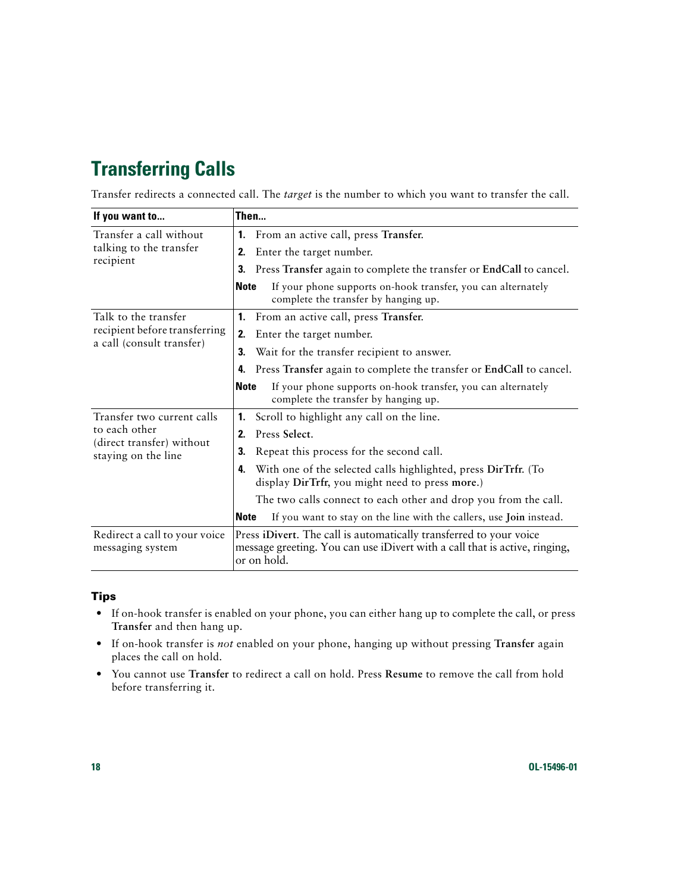# <span id="page-25-2"></span><span id="page-25-1"></span><span id="page-25-0"></span>**Transferring Calls**

Transfer redirects a connected call. The *target* is the number to which you want to transfer the call.

| If you want to                                    |              | Then                                                                                                                                                            |  |  |
|---------------------------------------------------|--------------|-----------------------------------------------------------------------------------------------------------------------------------------------------------------|--|--|
| Transfer a call without                           |              | 1. From an active call, press Transfer.                                                                                                                         |  |  |
| talking to the transfer                           | 2.           | Enter the target number.                                                                                                                                        |  |  |
| recipient                                         | 3.           | Press Transfer again to complete the transfer or EndCall to cancel.                                                                                             |  |  |
|                                                   | <b>Note</b>  | If your phone supports on-hook transfer, you can alternately<br>complete the transfer by hanging up.                                                            |  |  |
| Talk to the transfer                              |              | 1. From an active call, press Transfer.                                                                                                                         |  |  |
| recipient before transferring                     | 2.           | Enter the target number.                                                                                                                                        |  |  |
| a call (consult transfer)                         | З.           | Wait for the transfer recipient to answer.                                                                                                                      |  |  |
|                                                   | 4.           | Press Transfer again to complete the transfer or EndCall to cancel.                                                                                             |  |  |
|                                                   | <b>Note</b>  | If your phone supports on-hook transfer, you can alternately<br>complete the transfer by hanging up.                                                            |  |  |
| Transfer two current calls                        | 1.           | Scroll to highlight any call on the line.                                                                                                                       |  |  |
| to each other                                     | $\mathbf{2}$ | Press Select.                                                                                                                                                   |  |  |
| (direct transfer) without<br>staying on the line  | 3.           | Repeat this process for the second call.                                                                                                                        |  |  |
|                                                   | 4.           | With one of the selected calls highlighted, press DirTrfr. (To<br>display DirTrfr, you might need to press more.)                                               |  |  |
|                                                   |              | The two calls connect to each other and drop you from the call.                                                                                                 |  |  |
|                                                   | <b>Note</b>  | If you want to stay on the line with the callers, use Join instead.                                                                                             |  |  |
| Redirect a call to your voice<br>messaging system |              | Press iDivert. The call is automatically transferred to your voice<br>message greeting. You can use iDivert with a call that is active, ringing,<br>or on hold. |  |  |

#### **Tips**

- **•** If on-hook transfer is enabled on your phone, you can either hang up to complete the call, or press **Transfer** and then hang up.
- **•** If on-hook transfer is *not* enabled on your phone, hanging up without pressing **Transfer** again places the call on hold.
- **•** You cannot use **Transfer** to redirect a call on hold. Press **Resume** to remove the call from hold before transferring it.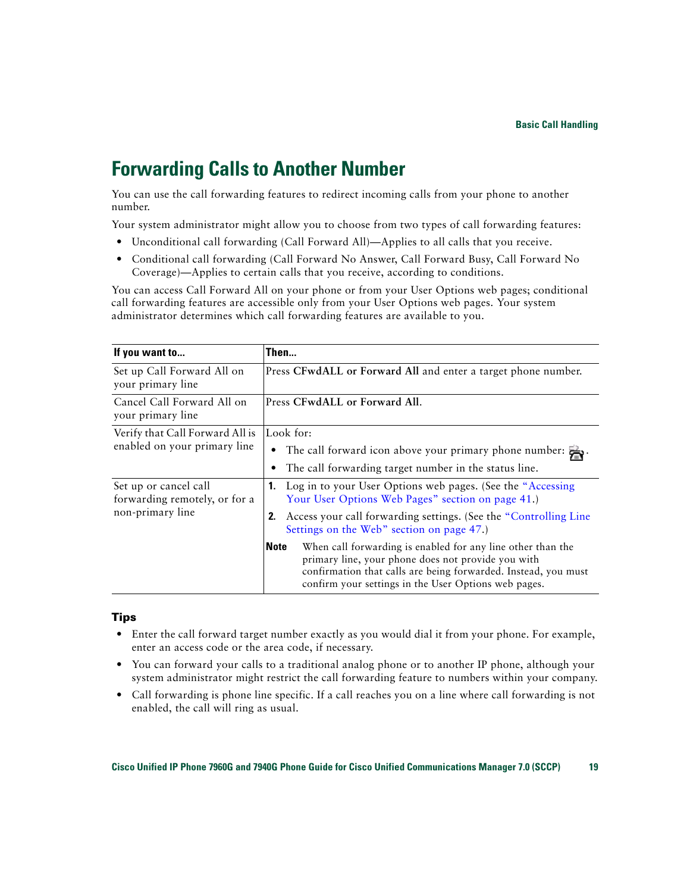## <span id="page-26-2"></span><span id="page-26-1"></span><span id="page-26-0"></span>**Forwarding Calls to Another Number**

You can use the call forwarding features to redirect incoming calls from your phone to another number.

Your system administrator might allow you to choose from two types of call forwarding features:

- Unconditional call forwarding (Call Forward All)—Applies to all calls that you receive.
- **•** Conditional call forwarding (Call Forward No Answer, Call Forward Busy, Call Forward No Coverage)—Applies to certain calls that you receive, according to conditions.

You can access Call Forward All on your phone or from your User Options web pages; conditional call forwarding features are accessible only from your User Options web pages. Your system administrator determines which call forwarding features are available to you.

| If you want to                                         | Then                                                                                                                                                                                                                                                       |  |  |  |
|--------------------------------------------------------|------------------------------------------------------------------------------------------------------------------------------------------------------------------------------------------------------------------------------------------------------------|--|--|--|
| Set up Call Forward All on<br>your primary line        | Press CFwdALL or Forward All and enter a target phone number.                                                                                                                                                                                              |  |  |  |
| Cancel Call Forward All on<br>your primary line        | Press CFwdALL or Forward All.                                                                                                                                                                                                                              |  |  |  |
| Verify that Call Forward All is                        | Look for:                                                                                                                                                                                                                                                  |  |  |  |
| enabled on your primary line                           | The call forward icon above your primary phone number: $\frac{1}{2}$ .                                                                                                                                                                                     |  |  |  |
|                                                        | The call forwarding target number in the status line.                                                                                                                                                                                                      |  |  |  |
| Set up or cancel call<br>forwarding remotely, or for a | <b>1.</b> Log in to your User Options web pages. (See the "Accessing"<br>Your User Options Web Pages" section on page 41.)                                                                                                                                 |  |  |  |
| non-primary line                                       | Access your call forwarding settings. (See the "Controlling Line"<br>2.<br>Settings on the Web" section on page 47.)                                                                                                                                       |  |  |  |
|                                                        | <b>Note</b><br>When call forwarding is enabled for any line other than the<br>primary line, your phone does not provide you with<br>confirmation that calls are being forwarded. Instead, you must<br>confirm your settings in the User Options web pages. |  |  |  |

#### **Tips**

- **•** Enter the call forward target number exactly as you would dial it from your phone. For example, enter an access code or the area code, if necessary.
- **•** You can forward your calls to a traditional analog phone or to another IP phone, although your system administrator might restrict the call forwarding feature to numbers within your company.
- **•** Call forwarding is phone line specific. If a call reaches you on a line where call forwarding is not enabled, the call will ring as usual.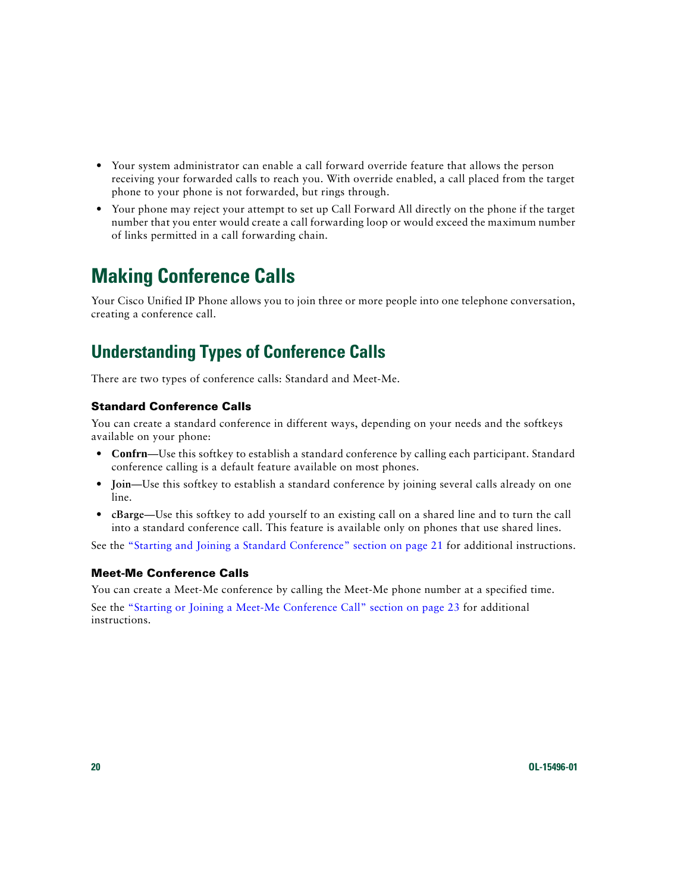- **•** Your system administrator can enable a call forward override feature that allows the person receiving your forwarded calls to reach you. With override enabled, a call placed from the target phone to your phone is not forwarded, but rings through.
- **•** Your phone may reject your attempt to set up Call Forward All directly on the phone if the target number that you enter would create a call forwarding loop or would exceed the maximum number of links permitted in a call forwarding chain.

# <span id="page-27-3"></span><span id="page-27-2"></span><span id="page-27-0"></span>**Making Conference Calls**

Your Cisco Unified IP Phone allows you to join three or more people into one telephone conversation, creating a conference call.

### <span id="page-27-1"></span>**Understanding Types of Conference Calls**

There are two types of conference calls: Standard and Meet-Me.

#### <span id="page-27-5"></span>**Standard Conference Calls**

You can create a standard conference in different ways, depending on your needs and the softkeys available on your phone:

- **• Confrn**—Use this softkey to establish a standard conference by calling each participant. Standard conference calling is a default feature available on most phones.
- **• Join**—Use this softkey to establish a standard conference by joining several calls already on one line.
- **• cBarge**—Use this softkey to add yourself to an existing call on a shared line and to turn the call into a standard conference call. This feature is available only on phones that use shared lines.

See the ["Starting and Joining a Standard Conference" section on page](#page-28-0) 21 for additional instructions.

#### <span id="page-27-4"></span>**Meet-Me Conference Calls**

You can create a Meet-Me conference by calling the Meet-Me phone number at a specified time. See the ["Starting or Joining a Meet-Me Conference Call" section on page](#page-30-0) 23 for additional instructions.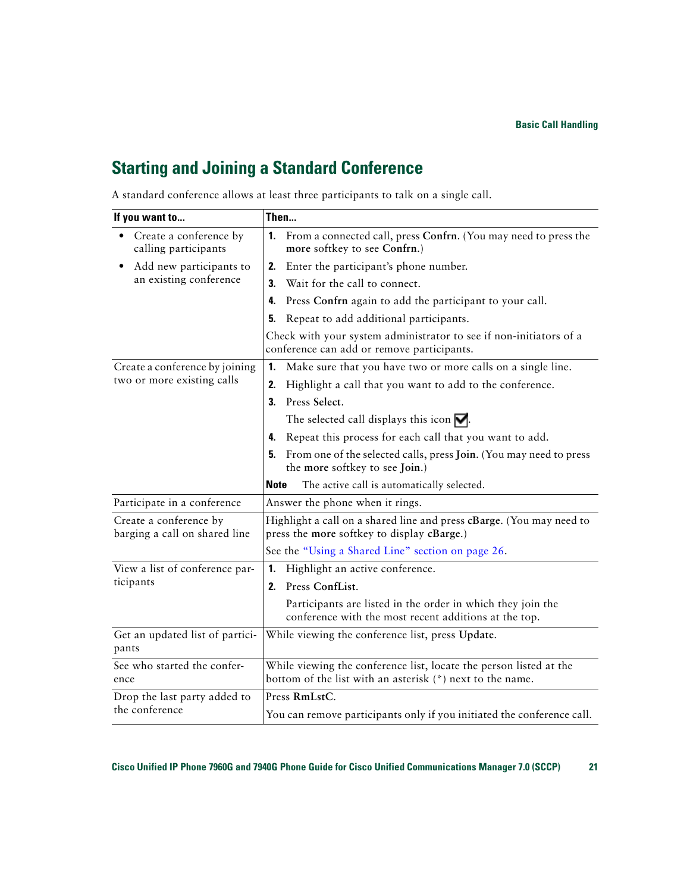### <span id="page-28-2"></span><span id="page-28-0"></span>**Starting and Joining a Standard Conference**

Get an updated list of partici-

See who started the confer-

Drop the last party added to

pants

ence

the conference

<span id="page-28-1"></span>

| If you want to                                          | Then                                                                                                                 |  |  |
|---------------------------------------------------------|----------------------------------------------------------------------------------------------------------------------|--|--|
| Create a conference by<br>calling participants          | From a connected call, press Confrn. (You may need to press the<br>1.<br>more softkey to see Confrn.)                |  |  |
| Add new participants to                                 | Enter the participant's phone number.<br>2.                                                                          |  |  |
| an existing conference                                  | Wait for the call to connect.<br>3.                                                                                  |  |  |
|                                                         | Press Confrn again to add the participant to your call.<br>4.                                                        |  |  |
|                                                         | Repeat to add additional participants.<br>5.                                                                         |  |  |
|                                                         | Check with your system administrator to see if non-initiators of a<br>conference can add or remove participants.     |  |  |
| Create a conference by joining                          | Make sure that you have two or more calls on a single line.<br>1.                                                    |  |  |
| two or more existing calls                              | Highlight a call that you want to add to the conference.<br>2.                                                       |  |  |
|                                                         | Press Select.<br>3.                                                                                                  |  |  |
|                                                         | The selected call displays this icon $\nabla$ .                                                                      |  |  |
|                                                         | Repeat this process for each call that you want to add.<br>4.                                                        |  |  |
|                                                         | From one of the selected calls, press Join. (You may need to press<br>5.<br>the more softkey to see Join.)           |  |  |
|                                                         | <b>Note</b><br>The active call is automatically selected.                                                            |  |  |
| Participate in a conference                             | Answer the phone when it rings.                                                                                      |  |  |
| Create a conference by<br>barging a call on shared line | Highlight a call on a shared line and press cBarge. (You may need to<br>press the more softkey to display cBarge.)   |  |  |
|                                                         | See the "Using a Shared Line" section on page 26.                                                                    |  |  |
| View a list of conference par-                          | Highlight an active conference.<br>1.                                                                                |  |  |
| ticipants                                               | Press ConfList.<br>2.                                                                                                |  |  |
|                                                         | Participants are listed in the order in which they join the<br>conference with the most recent additions at the top. |  |  |

A standard conference allows at least three participants to talk on a single call.

Press **RmLstC**.

While viewing the conference list, press **Update**.

While viewing the conference list, locate the person listed at the

You can remove participants only if you initiated the conference call.

bottom of the list with an asterisk (\*) next to the name.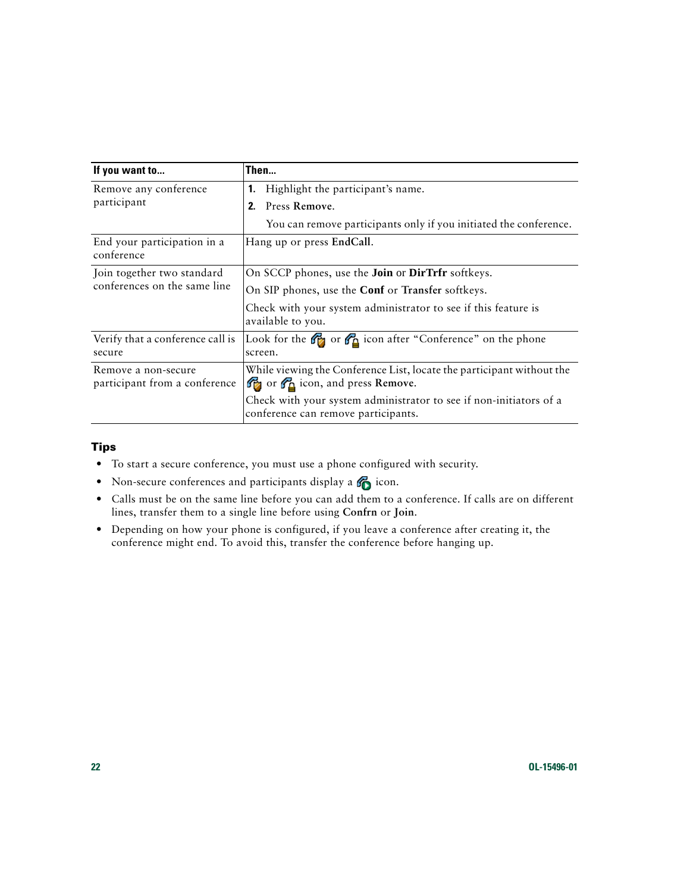<span id="page-29-0"></span>

| If you want to                                       | Then                                                                                                      |  |  |
|------------------------------------------------------|-----------------------------------------------------------------------------------------------------------|--|--|
| Remove any conference                                | Highlight the participant's name.<br>1.                                                                   |  |  |
| participant                                          | Press Remove.<br>2.                                                                                       |  |  |
|                                                      | You can remove participants only if you initiated the conference.                                         |  |  |
| End your participation in a<br>conference            | Hang up or press EndCall.                                                                                 |  |  |
| Join together two standard                           | On SCCP phones, use the <b>Join</b> or <b>DirTrfr</b> softkeys.                                           |  |  |
| conferences on the same line                         | On SIP phones, use the <b>Conf</b> or Transfer softkeys.                                                  |  |  |
|                                                      | Check with your system administrator to see if this feature is<br>available to you.                       |  |  |
| Verify that a conference call is<br>secure           | Look for the $\mathcal{C}_2$ or $\mathcal{C}_3$ icon after "Conference" on the phone<br>screen.           |  |  |
| Remove a non-secure<br>participant from a conference | While viewing the Conference List, locate the participant without the<br>or G icon, and press Remove.     |  |  |
|                                                      | Check with your system administrator to see if non-initiators of a<br>conference can remove participants. |  |  |

#### <span id="page-29-1"></span>**Tips**

- **•** To start a secure conference, you must use a phone configured with security.
- Non-secure conferences and participants display a  $\bigcirc$  icon.
- **•** Calls must be on the same line before you can add them to a conference. If calls are on different lines, transfer them to a single line before using **Confrn** or **Join**.
- **•** Depending on how your phone is configured, if you leave a conference after creating it, the conference might end. To avoid this, transfer the conference before hanging up.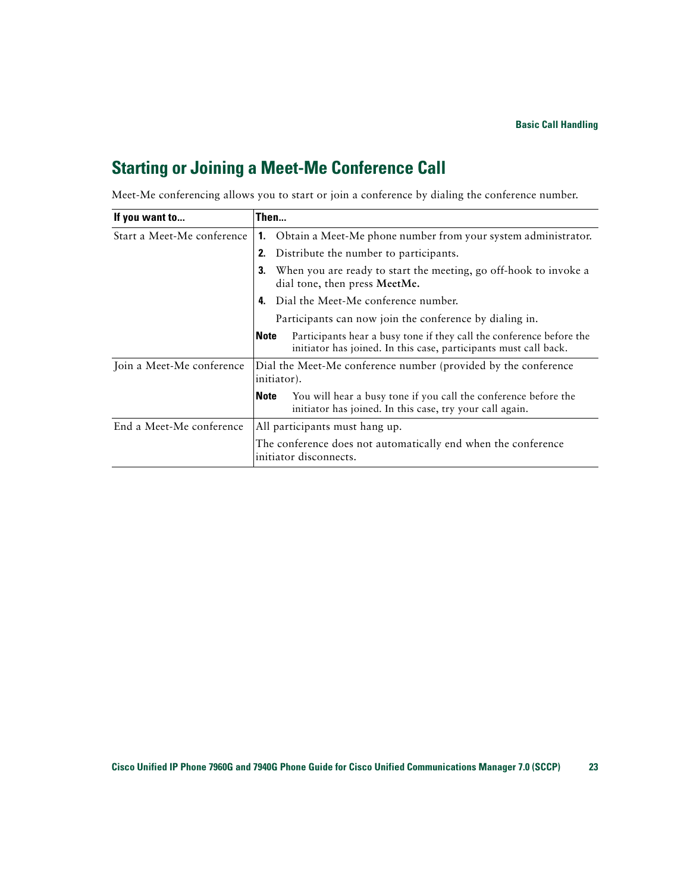### <span id="page-30-1"></span><span id="page-30-0"></span>**Starting or Joining a Meet-Me Conference Call**

| Meet-Me conferencing allows you to start or join a conference by dialing the conference number. |  |  |  |  |  |  |
|-------------------------------------------------------------------------------------------------|--|--|--|--|--|--|
|                                                                                                 |  |  |  |  |  |  |

| If you want to             | Then                                                                                                                                                    |  |  |
|----------------------------|---------------------------------------------------------------------------------------------------------------------------------------------------------|--|--|
| Start a Meet-Me conference | Obtain a Meet-Me phone number from your system administrator.<br>1.                                                                                     |  |  |
|                            | Distribute the number to participants.                                                                                                                  |  |  |
|                            | When you are ready to start the meeting, go off-hook to invoke a<br>3.<br>dial tone, then press MeetMe.                                                 |  |  |
|                            | Dial the Meet-Me conference number.<br>4.                                                                                                               |  |  |
|                            | Participants can now join the conference by dialing in.                                                                                                 |  |  |
|                            | Participants hear a busy tone if they call the conference before the<br><b>Note</b><br>initiator has joined. In this case, participants must call back. |  |  |
| Join a Meet-Me conference  | Dial the Meet-Me conference number (provided by the conference<br>initiator).                                                                           |  |  |
|                            | You will hear a busy tone if you call the conference before the<br><b>Note</b><br>initiator has joined. In this case, try your call again.              |  |  |
| End a Meet-Me conference   | All participants must hang up.                                                                                                                          |  |  |
|                            | The conference does not automatically end when the conference<br>initiator disconnects.                                                                 |  |  |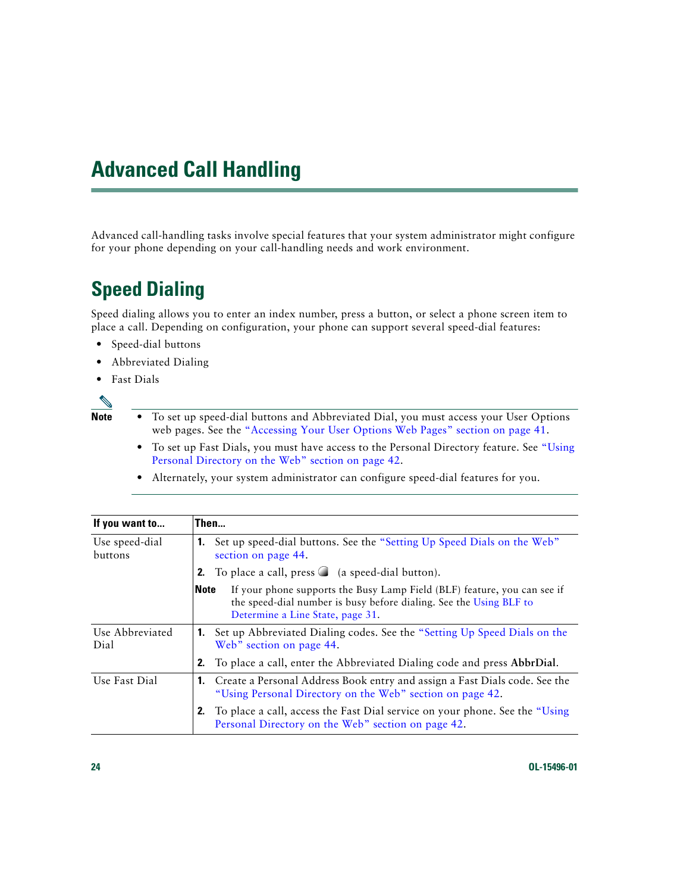# <span id="page-31-4"></span><span id="page-31-3"></span><span id="page-31-0"></span>**Advanced Call Handling**

Advanced call-handling tasks involve special features that your system administrator might configure for your phone depending on your call-handling needs and work environment.

# <span id="page-31-5"></span><span id="page-31-2"></span><span id="page-31-1"></span>**Speed Dialing**

Speed dialing allows you to enter an index number, press a button, or select a phone screen item to place a call. Depending on configuration, your phone can support several speed-dial features:

- **•** Speed-dial buttons
- **•** Abbreviated Dialing
- **•** Fast Dials

![](_page_31_Picture_7.jpeg)

**Note** • To set up speed-dial buttons and Abbreviated Dial, you must access your User Options web pages. See the "Accessing Your User Options Web [Pages" section on page](#page-48-3) 41.

- **•** To set up Fast Dials, you must have access to the Personal Directory feature. See ["Using](#page-49-3)  [Personal Directory on the Web" section on page](#page-49-3) 42.
- **•** Alternately, your system administrator can configure speed-dial features for you.

| If you want to            | Then                                                                                                                                                                                              |  |  |
|---------------------------|---------------------------------------------------------------------------------------------------------------------------------------------------------------------------------------------------|--|--|
| Use speed-dial<br>buttons | Set up speed-dial buttons. See the "Setting Up Speed Dials on the Web"<br>1.<br>section on page 44.                                                                                               |  |  |
|                           | To place a call, press $\bigcirc$ (a speed-dial button).<br>2.                                                                                                                                    |  |  |
|                           | If your phone supports the Busy Lamp Field (BLF) feature, you can see if<br><b>Note</b><br>the speed-dial number is busy before dialing. See the Using BLF to<br>Determine a Line State, page 31. |  |  |
| Use Abbreviated<br>Dial   | Set up Abbreviated Dialing codes. See the "Setting Up Speed Dials on the<br>Web" section on page 44.                                                                                              |  |  |
|                           | To place a call, enter the Abbreviated Dialing code and press AbbrDial.<br>2.                                                                                                                     |  |  |
| Use Fast Dial             | Create a Personal Address Book entry and assign a Fast Dials code. See the<br>1.<br>"Using Personal Directory on the Web" section on page 42.                                                     |  |  |
|                           | To place a call, access the Fast Dial service on your phone. See the "Using"<br>Personal Directory on the Web" section on page 42.                                                                |  |  |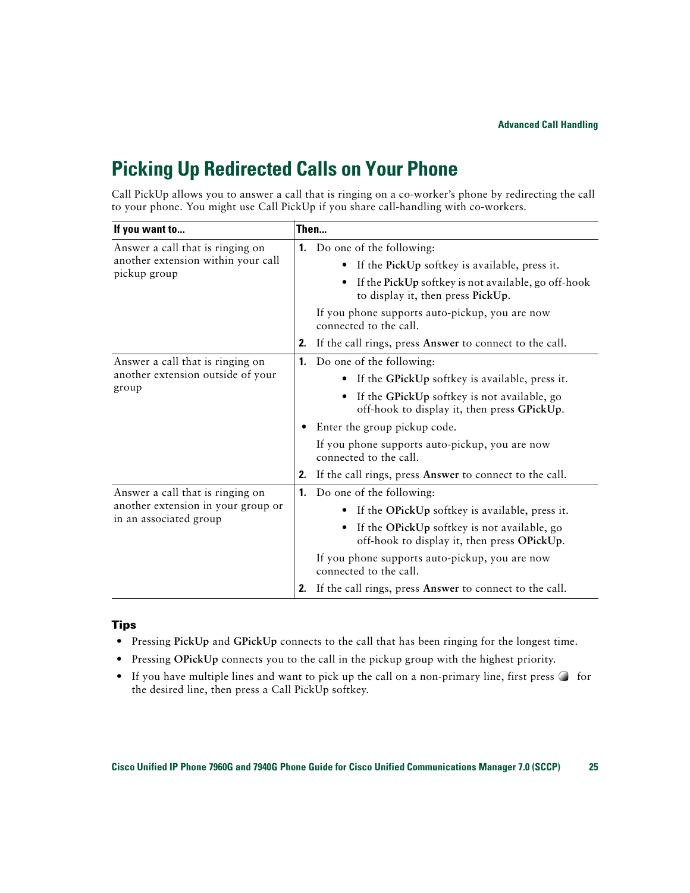## <span id="page-32-1"></span><span id="page-32-0"></span>**Picking Up Redirected Calls on Your Phone**

Call PickUp allows you to answer a call that is ringing on a co-worker's phone by redirecting the call to your phone. You might use Call PickUp if you share call-handling with co-workers.

| If you want to                     | Then                                                                                          |
|------------------------------------|-----------------------------------------------------------------------------------------------|
| Answer a call that is ringing on   | <b>1.</b> Do one of the following:                                                            |
| another extension within your call | If the PickUp softkey is available, press it.                                                 |
| pickup group                       | If the PickUp softkey is not available, go off-hook<br>٠<br>to display it, then press PickUp. |
|                                    | If you phone supports auto-pickup, you are now<br>connected to the call.                      |
|                                    | 2. If the call rings, press Answer to connect to the call.                                    |
| Answer a call that is ringing on   | Do one of the following:<br>1.                                                                |
| another extension outside of your  | If the GPickUp softkey is available, press it.<br>$\bullet$                                   |
| group                              | If the GPickUp softkey is not available, go<br>off-hook to display it, then press GPickUp.    |
|                                    | Enter the group pickup code.<br>٠                                                             |
|                                    | If you phone supports auto-pickup, you are now<br>connected to the call.                      |
|                                    | If the call rings, press Answer to connect to the call.<br>2.                                 |
| Answer a call that is ringing on   | <b>1.</b> Do one of the following:                                                            |
| another extension in your group or | If the OPickUp softkey is available, press it.<br>$\bullet$                                   |
| in an associated group             | If the OPickUp softkey is not available, go<br>off-hook to display it, then press OPickUp.    |
|                                    | If you phone supports auto-pickup, you are now<br>connected to the call.                      |
|                                    | 2. If the call rings, press Answer to connect to the call.                                    |

#### **Tips**

- **•** Pressing **PickUp** and **GPickUp** connects to the call that has been ringing for the longest time.
- **•** Pressing **OPickUp** connects you to the call in the pickup group with the highest priority.
- If you have multiple lines and want to pick up the call on a non-primary line, first press  $\bigcirc$  for the desired line, then press a Call PickUp softkey.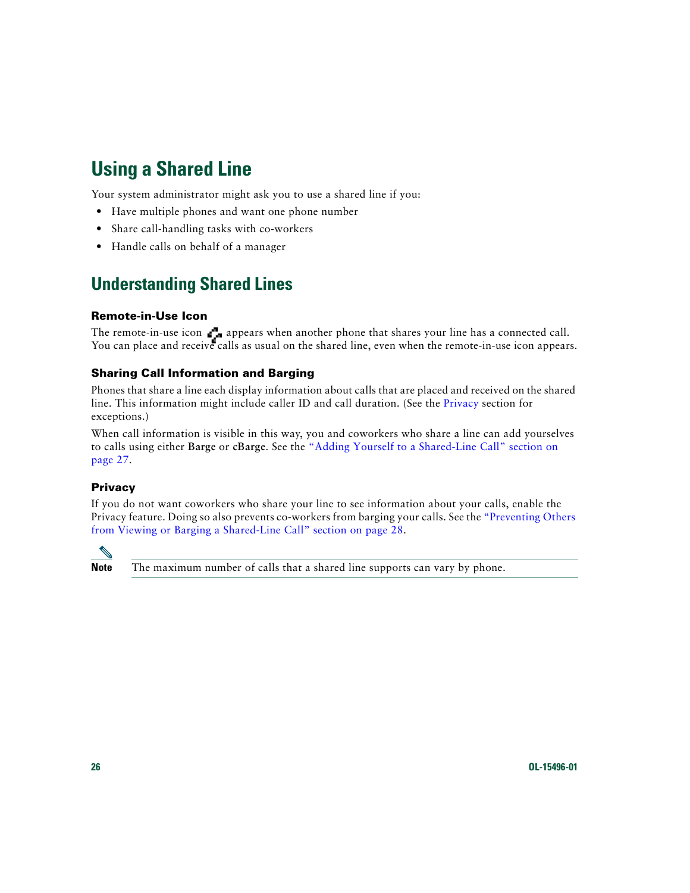# <span id="page-33-7"></span><span id="page-33-2"></span><span id="page-33-0"></span>**Using a Shared Line**

Your system administrator might ask you to use a shared line if you:

- **•** Have multiple phones and want one phone number
- **•** Share call-handling tasks with co-workers
- **•** Handle calls on behalf of a manager

### <span id="page-33-4"></span><span id="page-33-1"></span>**Understanding Shared Lines**

#### <span id="page-33-6"></span>**Remote-in-Use Icon**

The remote-in-use icon  $\mathbf{r}_n$  appears when another phone that shares your line has a connected call. You can place and receive calls as usual on the shared line, even when the remote-in-use icon appears.

#### <span id="page-33-5"></span>**Sharing Call Information and Barging**

Phones that share a line each display information about calls that are placed and received on the shared line. This information might include caller ID and call duration. (See the [Privacy](#page-33-3) section for exceptions.)

When call information is visible in this way, you and coworkers who share a line can add yourselves to calls using either **Barge** or **cBarge**. See the ["Adding Yourself to a Shared-Line Call" section on](#page-34-0)  [page](#page-34-0) 27.

#### <span id="page-33-3"></span>**Privacy**

If you do not want coworkers who share your line to see information about your calls, enable the Privacy feature. Doing so also prevents co-workers from barging your calls. See the ["Preventing Others](#page-35-0)  [from Viewing or Barging a Shared-Line Call" section on page](#page-35-0) 28.

![](_page_33_Picture_13.jpeg)

**Note** The maximum number of calls that a shared line supports can vary by phone.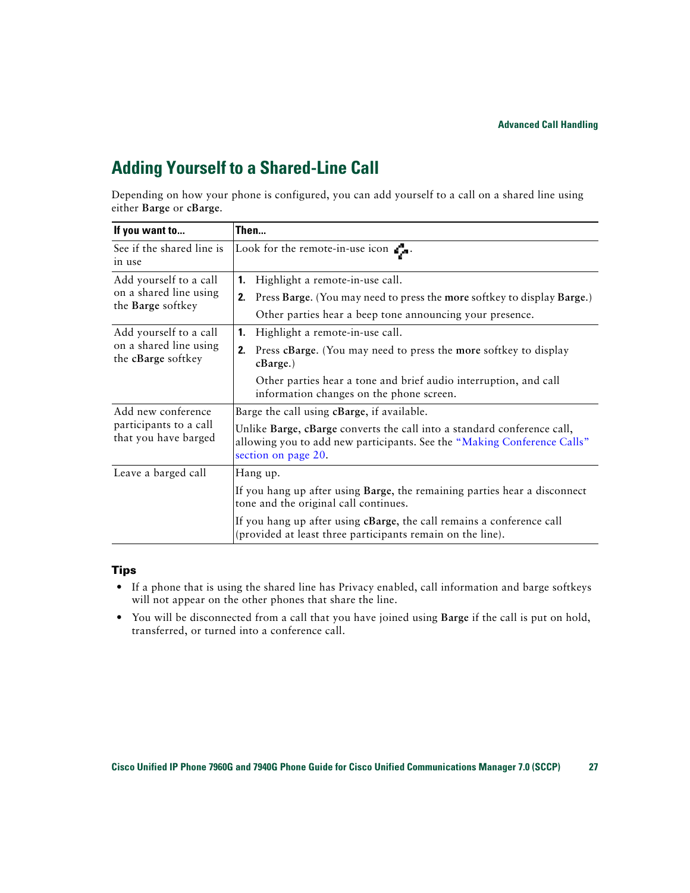### <span id="page-34-1"></span><span id="page-34-0"></span>**Adding Yourself to a Shared-Line Call**

Depending on how your phone is configured, you can add yourself to a call on a shared line using either **Barge** or **cBarge**.

| If you want to                                   | Then                                                                                                                                                                      |  |  |
|--------------------------------------------------|---------------------------------------------------------------------------------------------------------------------------------------------------------------------------|--|--|
| See if the shared line is<br>in use              | Look for the remote-in-use icon $\mathbf{r}$ .                                                                                                                            |  |  |
| Add yourself to a call<br>on a shared line using | Highlight a remote-in-use call.<br>1.                                                                                                                                     |  |  |
| the Barge softkey                                | Press Barge. (You may need to press the more softkey to display Barge.)<br>2.<br>Other parties hear a beep tone announcing your presence.                                 |  |  |
| Add yourself to a call                           | Highlight a remote-in-use call.<br>1.                                                                                                                                     |  |  |
| on a shared line using<br>the cBarge softkey     | Press cBarge. (You may need to press the more softkey to display<br>2.<br>$cBarge.$ )                                                                                     |  |  |
|                                                  | Other parties hear a tone and brief audio interruption, and call<br>information changes on the phone screen.                                                              |  |  |
| Add new conference                               | Barge the call using cBarge, if available.                                                                                                                                |  |  |
| participants to a call<br>that you have barged   | Unlike Barge, cBarge converts the call into a standard conference call,<br>allowing you to add new participants. See the "Making Conference Calls"<br>section on page 20. |  |  |
| Leave a barged call                              | Hang up.                                                                                                                                                                  |  |  |
|                                                  | If you hang up after using Barge, the remaining parties hear a disconnect<br>tone and the original call continues.                                                        |  |  |
|                                                  | If you hang up after using cBarge, the call remains a conference call<br>(provided at least three participants remain on the line).                                       |  |  |

#### **Tips**

- **•** If a phone that is using the shared line has Privacy enabled, call information and barge softkeys will not appear on the other phones that share the line.
- **•** You will be disconnected from a call that you have joined using **Barge** if the call is put on hold, transferred, or turned into a conference call.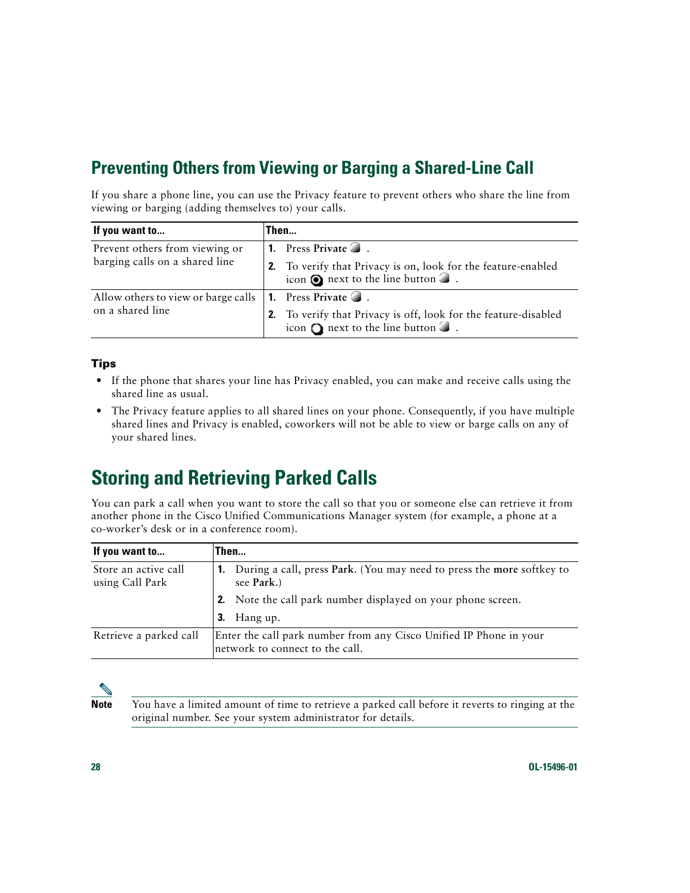### <span id="page-35-3"></span><span id="page-35-0"></span>**Preventing Others from Viewing or Barging a Shared-Line Call**

If you share a phone line, you can use the Privacy feature to prevent others who share the line from viewing or barging (adding themselves to) your calls.

| If you want to                      | Then                                                                                                                    |
|-------------------------------------|-------------------------------------------------------------------------------------------------------------------------|
| Prevent others from viewing or      | <b>1.</b> Press Private $\bigcirc$ .                                                                                    |
| barging calls on a shared line      | 2. To verify that Privacy is on, look for the feature-enabled<br>icon $\odot$ next to the line button $\odot$ .         |
| Allow others to view or barge calls | <b>1.</b> Press Private $\bigcirc$ .                                                                                    |
| on a shared line                    | 2. To verify that Privacy is off, look for the feature-disabled<br>icon $\bigcirc$ next to the line button $\bigcirc$ . |

#### **Tips**

- **•** If the phone that shares your line has Privacy enabled, you can make and receive calls using the shared line as usual.
- The Privacy feature applies to all shared lines on your phone. Consequently, if you have multiple shared lines and Privacy is enabled, coworkers will not be able to view or barge calls on any of your shared lines.

## <span id="page-35-4"></span><span id="page-35-2"></span><span id="page-35-1"></span>**Storing and Retrieving Parked Calls**

You can park a call when you want to store the call so that you or someone else can retrieve it from another phone in the Cisco Unified Communications Manager system (for example, a phone at a co-worker's desk or in a conference room).

| If you want to                          | Then                                                                                                  |  |
|-----------------------------------------|-------------------------------------------------------------------------------------------------------|--|
| Store an active call<br>using Call Park | During a call, press Park. (You may need to press the more softkey to<br>-1.<br>see Park.)            |  |
|                                         | <b>2.</b> Note the call park number displayed on your phone screen.                                   |  |
|                                         | $3.$ Hang up.                                                                                         |  |
| Retrieve a parked call                  | Enter the call park number from any Cisco Unified IP Phone in your<br>network to connect to the call. |  |

![](_page_35_Picture_9.jpeg)

**Note** You have a limited amount of time to retrieve a parked call before it reverts to ringing at the original number. See your system administrator for details.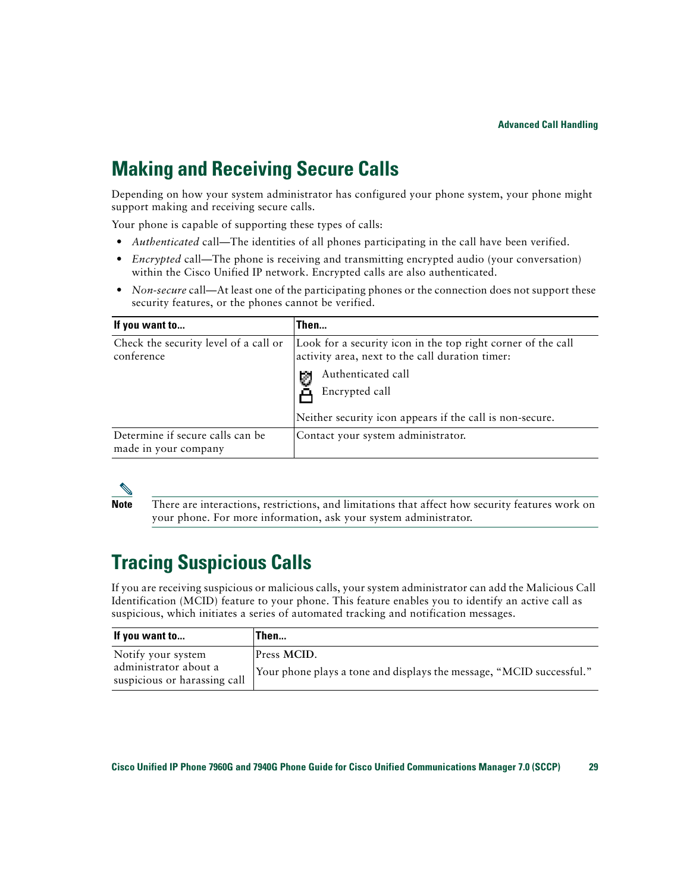## <span id="page-36-3"></span><span id="page-36-2"></span><span id="page-36-0"></span>**Making and Receiving Secure Calls**

Depending on how your system administrator has configured your phone system, your phone might support making and receiving secure calls.

Your phone is capable of supporting these types of calls:

- *Authenticated* call—The identities of all phones participating in the call have been verified.
- **•** *Encrypted* call—The phone is receiving and transmitting encrypted audio (your conversation) within the Cisco Unified IP network. Encrypted calls are also authenticated.
- *Non-secure* call—At least one of the participating phones or the connection does not support these security features, or the phones cannot be verified.

| If you want to                                           | Then                                                                                                            |
|----------------------------------------------------------|-----------------------------------------------------------------------------------------------------------------|
| Check the security level of a call or<br>conference      | Look for a security icon in the top right corner of the call<br>activity area, next to the call duration timer: |
|                                                          | Authenticated call<br>Ø                                                                                         |
|                                                          | Encrypted call                                                                                                  |
|                                                          | Neither security icon appears if the call is non-secure.                                                        |
| Determine if secure calls can be<br>made in your company | Contact your system administrator.                                                                              |

![](_page_36_Picture_8.jpeg)

**Note** There are interactions, restrictions, and limitations that affect how security features work on your phone. For more information, ask your system administrator.

# <span id="page-36-4"></span><span id="page-36-1"></span>**Tracing Suspicious Calls**

If you are receiving suspicious or malicious calls, your system administrator can add the Malicious Call Identification (MCID) feature to your phone. This feature enables you to identify an active call as suspicious, which initiates a series of automated tracking and notification messages.

| If you want to                                                              | Then                                                                                |
|-----------------------------------------------------------------------------|-------------------------------------------------------------------------------------|
| Notify your system<br>administrator about a<br>suspicious or harassing call | Press MCID.<br>Your phone plays a tone and displays the message, "MCID successful." |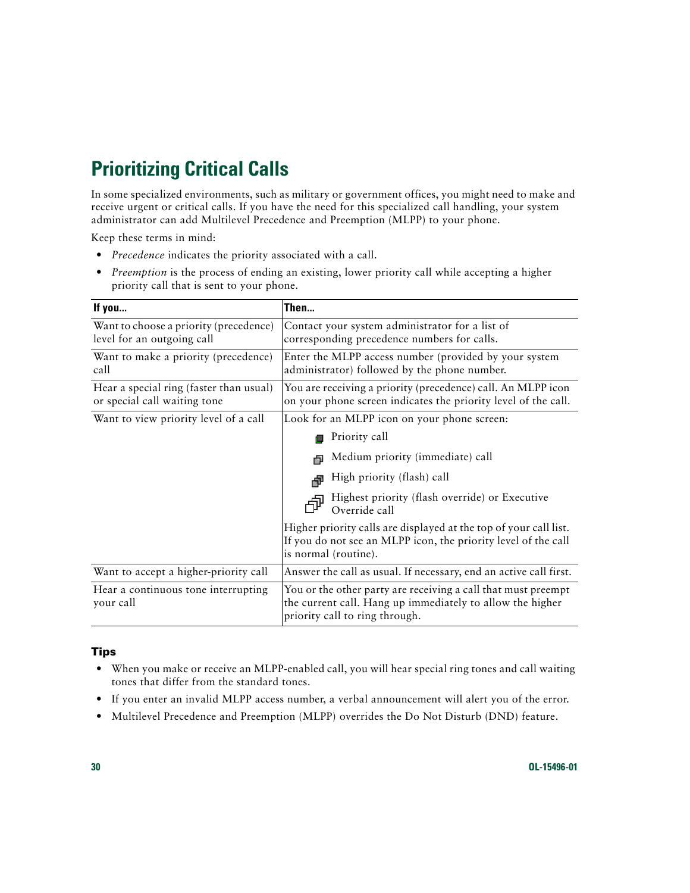# <span id="page-37-2"></span><span id="page-37-1"></span><span id="page-37-0"></span>**Prioritizing Critical Calls**

In some specialized environments, such as military or government offices, you might need to make and receive urgent or critical calls. If you have the need for this specialized call handling, your system administrator can add Multilevel Precedence and Preemption (MLPP) to your phone.

Keep these terms in mind:

- **•** *Precedence* indicates the priority associated with a call.
- **•** *Preemption* is the process of ending an existing, lower priority call while accepting a higher priority call that is sent to your phone.

| If you                                                                  | Then                                                                                                                                                         |
|-------------------------------------------------------------------------|--------------------------------------------------------------------------------------------------------------------------------------------------------------|
| Want to choose a priority (precedence)<br>level for an outgoing call    | Contact your system administrator for a list of<br>corresponding precedence numbers for calls.                                                               |
| Want to make a priority (precedence)<br>call                            | Enter the MLPP access number (provided by your system<br>administrator) followed by the phone number.                                                        |
| Hear a special ring (faster than usual)<br>or special call waiting tone | You are receiving a priority (precedence) call. An MLPP icon<br>on your phone screen indicates the priority level of the call.                               |
| Want to view priority level of a call                                   | Look for an MLPP icon on your phone screen:                                                                                                                  |
|                                                                         | Priority call                                                                                                                                                |
|                                                                         | Medium priority (immediate) call                                                                                                                             |
|                                                                         | High priority (flash) call                                                                                                                                   |
|                                                                         | Highest priority (flash override) or Executive<br>Override call                                                                                              |
|                                                                         | Higher priority calls are displayed at the top of your call list.<br>If you do not see an MLPP icon, the priority level of the call<br>is normal (routine).  |
| Want to accept a higher-priority call                                   | Answer the call as usual. If necessary, end an active call first.                                                                                            |
| Hear a continuous tone interrupting<br>your call                        | You or the other party are receiving a call that must preempt<br>the current call. Hang up immediately to allow the higher<br>priority call to ring through. |

#### **Tips**

- When you make or receive an MLPP-enabled call, you will hear special ring tones and call waiting tones that differ from the standard tones.
- If you enter an invalid MLPP access number, a verbal announcement will alert you of the error.
- **•** Multilevel Precedence and Preemption (MLPP) overrides the Do Not Disturb (DND) feature.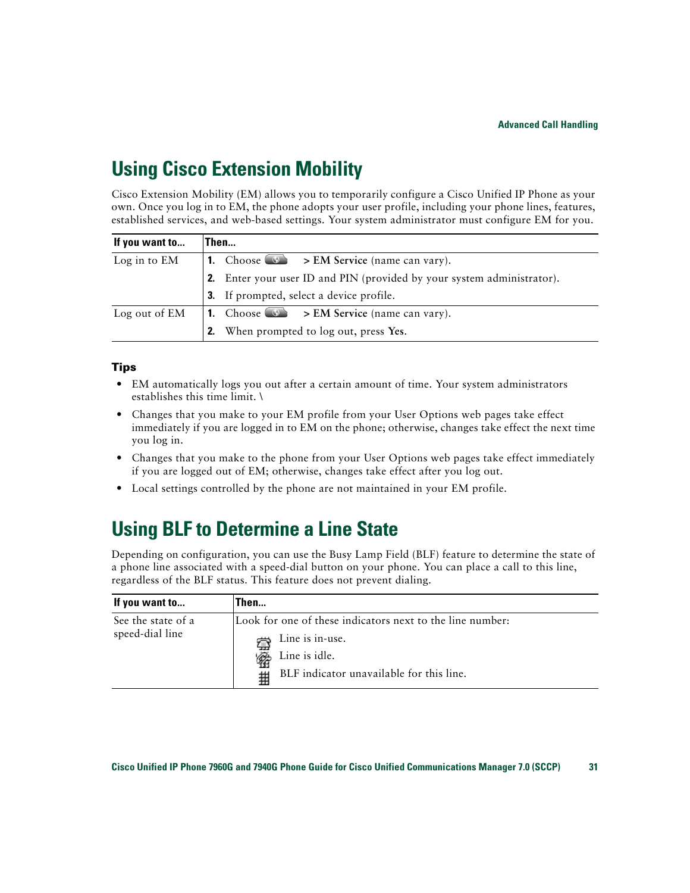# <span id="page-38-5"></span><span id="page-38-3"></span><span id="page-38-0"></span>**Using Cisco Extension Mobility**

Cisco Extension Mobility (EM) allows you to temporarily configure a Cisco Unified IP Phone as your own. Once you log in to EM, the phone adopts your user profile, including your phone lines, features, established services, and web-based settings. Your system administrator must configure EM for you.

<span id="page-38-6"></span>

| If you want to | Then                                                                          |
|----------------|-------------------------------------------------------------------------------|
| Log in to EM   | 1. Choose $\bullet$ > EM Service (name can vary).                             |
|                | <b>2.</b> Enter your user ID and PIN (provided by your system administrator). |
|                | <b>3.</b> If prompted, select a device profile.                               |
| Log out of EM  | 1. Choose $\bullet$ > EM Service (name can vary).                             |
|                | 2. When prompted to log out, press Yes.                                       |

#### <span id="page-38-7"></span>**Tips**

- EM automatically logs you out after a certain amount of time. Your system administrators establishes this time limit. \
- **•** Changes that you make to your EM profile from your User Options web pages take effect immediately if you are logged in to EM on the phone; otherwise, changes take effect the next time you log in.
- Changes that you make to the phone from your User Options web pages take effect immediately if you are logged out of EM; otherwise, changes take effect after you log out.
- <span id="page-38-4"></span>**•** Local settings controlled by the phone are not maintained in your EM profile.

# <span id="page-38-2"></span><span id="page-38-1"></span>**Using BLF to Determine a Line State**

Depending on configuration, you can use the Busy Lamp Field (BLF) feature to determine the state of a phone line associated with a speed-dial button on your phone. You can place a call to this line, regardless of the BLF status. This feature does not prevent dialing.

| If you want to                        | Then                                                                                                                                           |
|---------------------------------------|------------------------------------------------------------------------------------------------------------------------------------------------|
| See the state of a<br>speed-dial line | Look for one of these indicators next to the line number:<br>Line is in-use.<br>Line is idle.<br>BLF indicator unavailable for this line.<br># |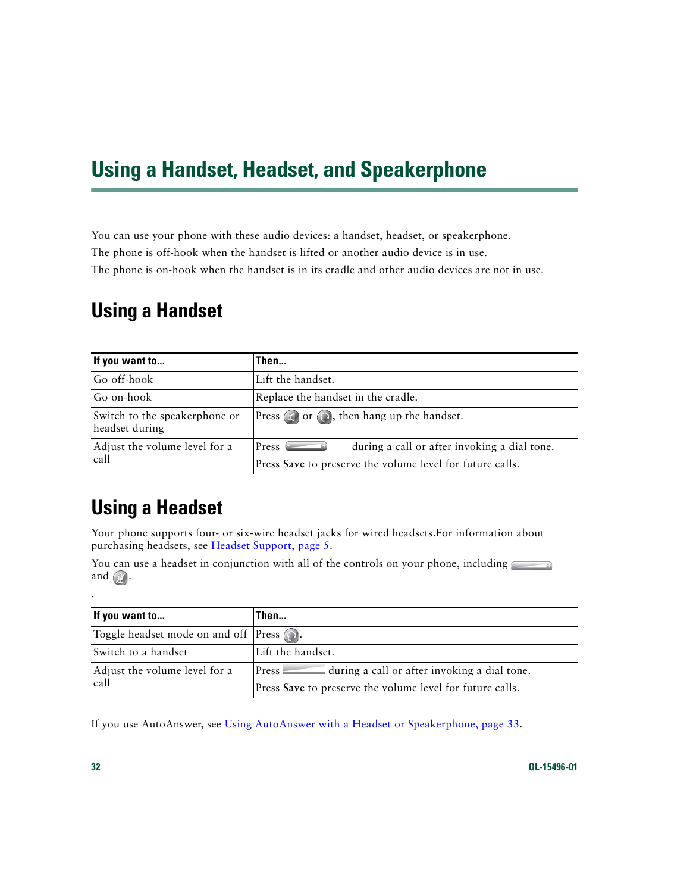# <span id="page-39-3"></span><span id="page-39-0"></span>**Using a Handset, Headset, and Speakerphone**

You can use your phone with these audio devices: a handset, headset, or speakerphone. The phone is off-hook when the handset is lifted or another audio device is in use. The phone is on-hook when the handset is in its cradle and other audio devices are not in use.

### <span id="page-39-1"></span>**Using a Handset**

| If you want to                                  | Then                                                                                                                            |
|-------------------------------------------------|---------------------------------------------------------------------------------------------------------------------------------|
| Go off-hook                                     | Lift the handset.                                                                                                               |
| Go on-hook                                      | Replace the handset in the cradle.                                                                                              |
| Switch to the speakerphone or<br>headset during | Press $\Box$ or $\bigodot$ , then hang up the handset.                                                                          |
| Adjust the volume level for a<br>call           | during a call or after invoking a dial tone.<br>Press <sup>(</sup><br>Press Save to preserve the volume level for future calls. |

## <span id="page-39-2"></span>**Using a Headset**

Your phone supports four- or six-wire headset jacks for wired headsets.For information about purchasing headsets, see [Headset Support, page](#page-12-0) 5.

You can use a headset in conjunction with all of the controls on your phone, including and  $\mathbb{Z}$ .

| If you want to                                             | Then                                                            |
|------------------------------------------------------------|-----------------------------------------------------------------|
| Toggle headset mode on and off $\lvert$ Press $\bigcirc$ . |                                                                 |
| Switch to a handset                                        | Lift the handset.                                               |
| Adjust the volume level for a                              | $\equiv$ during a call or after invoking a dial tone.<br>Preses |
| call                                                       | Press Save to preserve the volume level for future calls.       |

If you use AutoAnswer, see [Using AutoAnswer with a Headset or Speakerphone, page](#page-40-1) 33.

.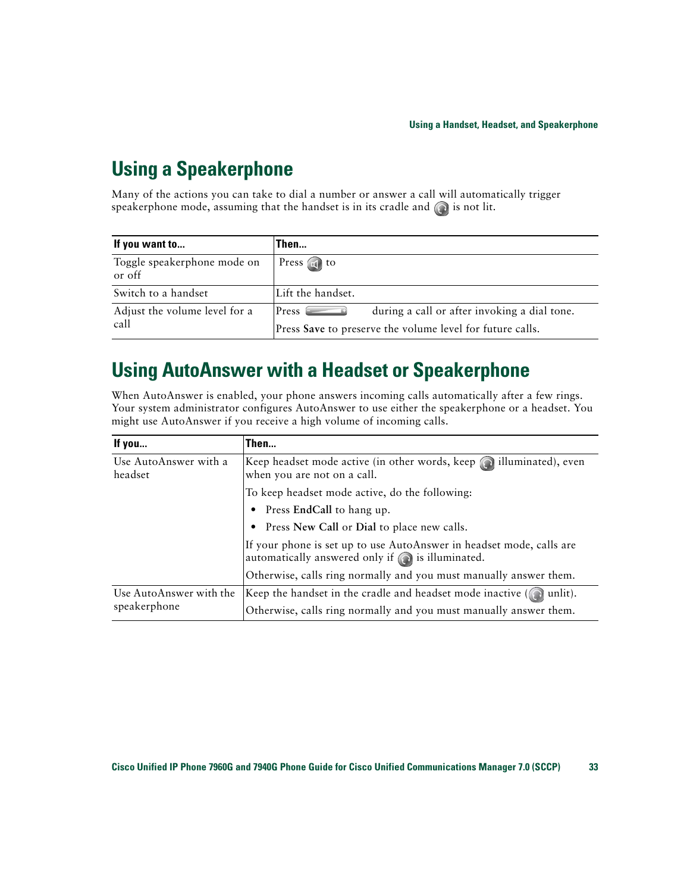# <span id="page-40-0"></span>**Using a Speakerphone**

Many of the actions you can take to dial a number or answer a call will automatically trigger speakerphone mode, assuming that the handset is in its cradle and  $\bigcirc$  is not lit.

| If you want to                        | Then                                                      |
|---------------------------------------|-----------------------------------------------------------|
| Toggle speakerphone mode on<br>or off | Press $\Box$ to                                           |
| Switch to a handset                   | Lift the handset.                                         |
| Adjust the volume level for a         | during a call or after invoking a dial tone.<br>Press     |
| call                                  | Press Save to preserve the volume level for future calls. |

## <span id="page-40-3"></span><span id="page-40-2"></span><span id="page-40-1"></span>**Using AutoAnswer with a Headset or Speakerphone**

When AutoAnswer is enabled, your phone answers incoming calls automatically after a few rings. Your system administrator configures AutoAnswer to use either the speakerphone or a headset. You might use AutoAnswer if you receive a high volume of incoming calls.

| If you                                  | Then                                                                                                                              |
|-----------------------------------------|-----------------------------------------------------------------------------------------------------------------------------------|
| Use AutoAnswer with a<br>headset        | Keep headset mode active (in other words, keep $\odot$ ) illuminated), even<br>when you are not on a call.                        |
|                                         | To keep headset mode active, do the following:                                                                                    |
|                                         | Press EndCall to hang up.                                                                                                         |
|                                         | • Press New Call or Dial to place new calls.                                                                                      |
|                                         | If your phone is set up to use AutoAnswer in headset mode, calls are<br>automatically answered only if $\bigodot$ is illuminated. |
|                                         | Otherwise, calls ring normally and you must manually answer them.                                                                 |
| Use AutoAnswer with the<br>speakerphone | Keep the handset in the cradle and headset mode inactive $($ $\bullet)$ unlit).                                                   |
|                                         | Otherwise, calls ring normally and you must manually answer them.                                                                 |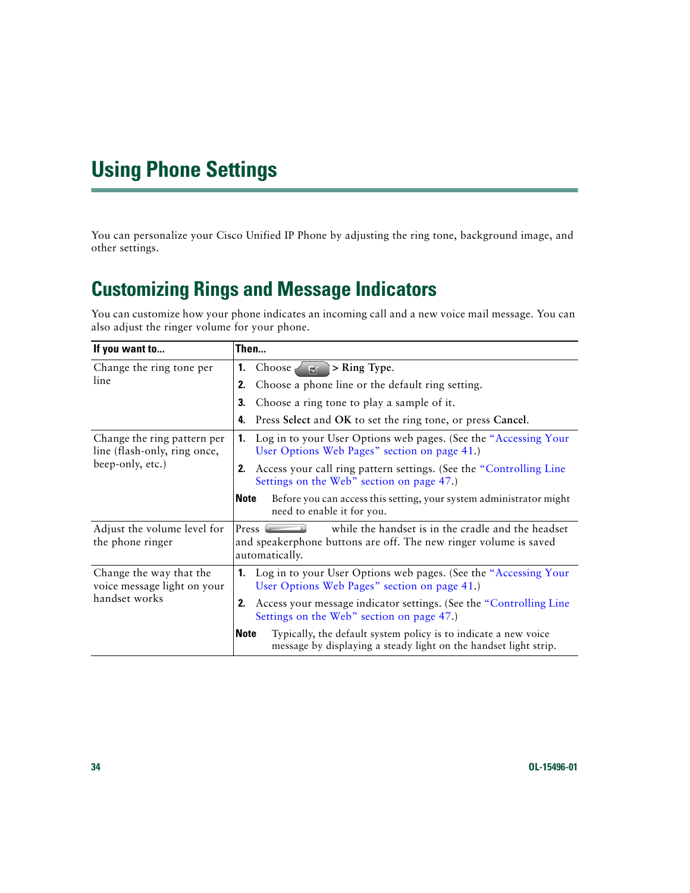# <span id="page-41-5"></span><span id="page-41-2"></span><span id="page-41-0"></span>**Using Phone Settings**

You can personalize your Cisco Unified IP Phone by adjusting the ring tone, background image, and other settings.

# <span id="page-41-4"></span><span id="page-41-3"></span><span id="page-41-1"></span>**Customizing Rings and Message Indicators**

You can customize how your phone indicates an incoming call and a new voice mail message. You can also adjust the ringer volume for your phone.

| If you want to                                                                  | Then                                                                                                                                                                     |
|---------------------------------------------------------------------------------|--------------------------------------------------------------------------------------------------------------------------------------------------------------------------|
| Change the ring tone per                                                        | 1. Choose $\sqrt{ \mathbf{w} }$<br>> Ring Type.                                                                                                                          |
| line                                                                            | Choose a phone line or the default ring setting.<br>2.                                                                                                                   |
|                                                                                 | Choose a ring tone to play a sample of it.<br>3.                                                                                                                         |
|                                                                                 | 4. Press Select and OK to set the ring tone, or press Cancel.                                                                                                            |
| Change the ring pattern per<br>line (flash-only, ring once,<br>beep-only, etc.) | Log in to your User Options web pages. (See the "Accessing Your<br>1.<br>User Options Web Pages" section on page 41.)                                                    |
|                                                                                 | Access your call ring pattern settings. (See the "Controlling Line"<br>2.<br>Settings on the Web" section on page 47.)                                                   |
|                                                                                 | Before you can access this setting, your system administrator might<br><b>Note</b><br>need to enable it for you.                                                         |
| Adjust the volume level for<br>the phone ringer                                 | while the handset is in the cradle and the headset<br>$Press$ $\qquad \qquad \Box$<br>and speakerphone buttons are off. The new ringer volume is saved<br>automatically. |
| Change the way that the<br>voice message light on your<br>handset works         | <b>1.</b> Log in to your User Options web pages. (See the "Accessing Your<br>User Options Web Pages" section on page 41.)                                                |
|                                                                                 | Access your message indicator settings. (See the "Controlling Line"<br>2.<br>Settings on the Web" section on page 47.)                                                   |
|                                                                                 | Typically, the default system policy is to indicate a new voice<br><b>Note</b><br>message by displaying a steady light on the handset light strip.                       |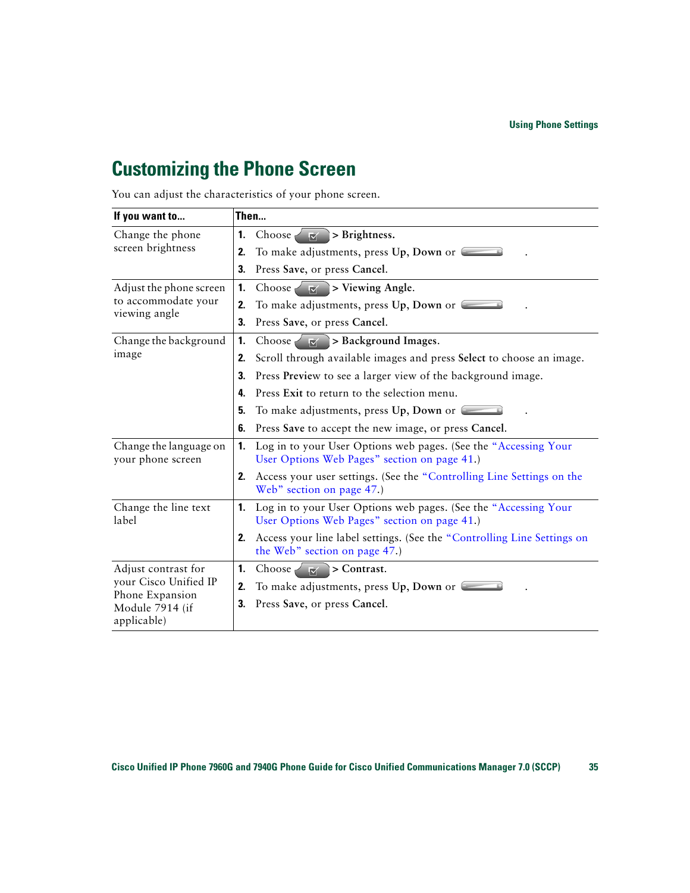## <span id="page-42-2"></span><span id="page-42-0"></span>**Customizing the Phone Screen**

You can adjust the characteristics of your phone screen.

<span id="page-42-1"></span>

| If you want to                                                             | Then                                                                                                                  |  |  |
|----------------------------------------------------------------------------|-----------------------------------------------------------------------------------------------------------------------|--|--|
| Change the phone                                                           | 1.<br>Choose $\vert \mathbf{w} \vert$ > Brightness.                                                                   |  |  |
| screen brightness                                                          | To make adjustments, press Up, Down or<br>2.                                                                          |  |  |
|                                                                            | Press Save, or press Cancel.<br>3.                                                                                    |  |  |
| Adjust the phone screen                                                    | > Viewing Angle.<br>1.<br>$\mathbb{R}^n$<br>Choose $\leq$                                                             |  |  |
| to accommodate your<br>viewing angle                                       | To make adjustments, press Up, Down or<br>2.                                                                          |  |  |
|                                                                            | Press Save, or press Cancel.<br>3.                                                                                    |  |  |
| Change the background                                                      | Choose $\geq$ $\geq$ > Background Images.<br>1.                                                                       |  |  |
| image                                                                      | Scroll through available images and press Select to choose an image.<br>2.                                            |  |  |
|                                                                            | Press Preview to see a larger view of the background image.<br>3.                                                     |  |  |
|                                                                            | Press Exit to return to the selection menu.<br>4.                                                                     |  |  |
|                                                                            | To make adjustments, press Up, Down or<br>5.                                                                          |  |  |
|                                                                            | Press Save to accept the new image, or press Cancel.<br>6.                                                            |  |  |
| Change the language on<br>your phone screen                                | Log in to your User Options web pages. (See the "Accessing Your<br>1.<br>User Options Web Pages" section on page 41.) |  |  |
|                                                                            | Access your user settings. (See the "Controlling Line Settings on the<br>2.<br>Web" section on page 47.)              |  |  |
| Change the line text<br>label                                              | Log in to your User Options web pages. (See the "Accessing Your<br>1.<br>User Options Web Pages" section on page 41.) |  |  |
|                                                                            | Access your line label settings. (See the "Controlling Line Settings on<br>2.<br>the Web" section on page 47.)        |  |  |
| Adjust contrast for                                                        | > Contrast.<br>1.<br>Choose $\leq$<br>$ \nabla $                                                                      |  |  |
| your Cisco Unified IP<br>Phone Expansion<br>Module 7914 (if<br>applicable) | To make adjustments, press $Up$ , Down or $\blacksquare$<br>2.                                                        |  |  |
|                                                                            | Press Save, or press Cancel.<br>3.                                                                                    |  |  |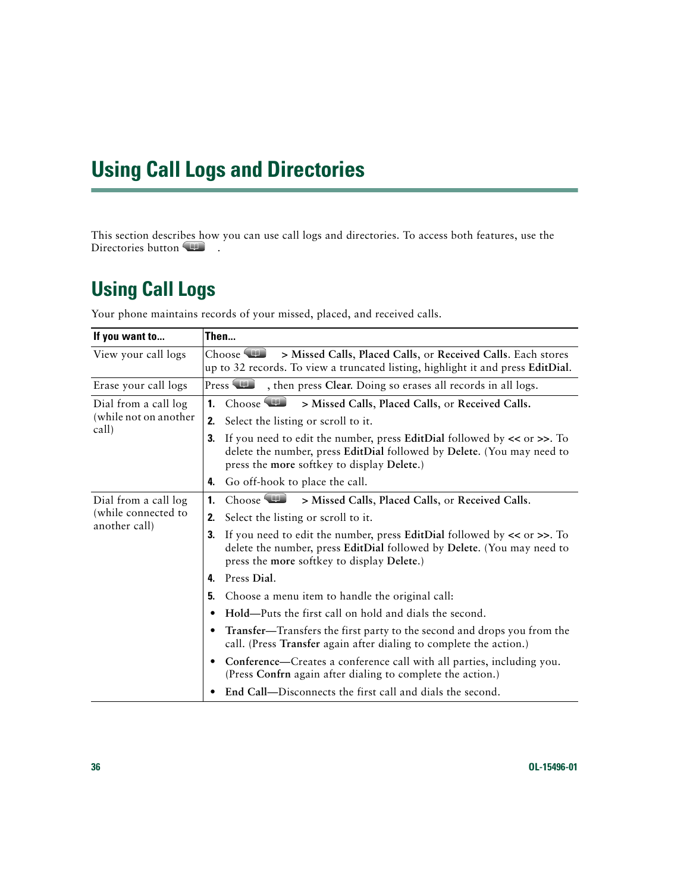# <span id="page-43-0"></span>**Using Call Logs and Directories**

This section describes how you can use call logs and directories. To access both features, use the Directories button

# <span id="page-43-3"></span><span id="page-43-2"></span><span id="page-43-1"></span>**Using Call Logs**

<span id="page-43-4"></span>

| If you want to        | Then                                                                                                                                                                                                         |
|-----------------------|--------------------------------------------------------------------------------------------------------------------------------------------------------------------------------------------------------------|
| View your call logs   | Choose $\Box$<br>> Missed Calls, Placed Calls, or Received Calls. Each stores<br>up to 32 records. To view a truncated listing, highlight it and press EditDial.                                             |
| Erase your call logs  | Press <b>THE</b><br>, then press Clear. Doing so erases all records in all logs.                                                                                                                             |
| Dial from a call log  | $\mathbf{1}$ .<br>Choose<br>> Missed Calls, Placed Calls, or Received Calls.                                                                                                                                 |
| (while not on another | Select the listing or scroll to it.<br>2.                                                                                                                                                                    |
| call)                 | If you need to edit the number, press EditDial followed by $\lt$ or $\gt$ . To<br>3.<br>delete the number, press EditDial followed by Delete. (You may need to<br>press the more softkey to display Delete.) |
|                       | Go off-hook to place the call.<br>4.                                                                                                                                                                         |
| Dial from a call log  | Choose <b>THE</b><br>> Missed Calls, Placed Calls, or Received Calls.<br>1.                                                                                                                                  |
| (while connected to   | Select the listing or scroll to it.<br>2.                                                                                                                                                                    |
| another call)         | If you need to edit the number, press EditDial followed by $\lt$ or $\gt$ . To<br>3.<br>delete the number, press EditDial followed by Delete. (You may need to<br>press the more softkey to display Delete.) |
|                       | Press Dial.<br>4.                                                                                                                                                                                            |
|                       | Choose a menu item to handle the original call:<br>5.                                                                                                                                                        |
|                       | Hold—Puts the first call on hold and dials the second.                                                                                                                                                       |
|                       | Transfer—Transfers the first party to the second and drops you from the<br>٠<br>call. (Press Transfer again after dialing to complete the action.)                                                           |
|                       | Conference—Creates a conference call with all parties, including you.<br>(Press Confrn again after dialing to complete the action.)                                                                          |
|                       | End Call-Disconnects the first call and dials the second.                                                                                                                                                    |

Your phone maintains records of your missed, placed, and received calls.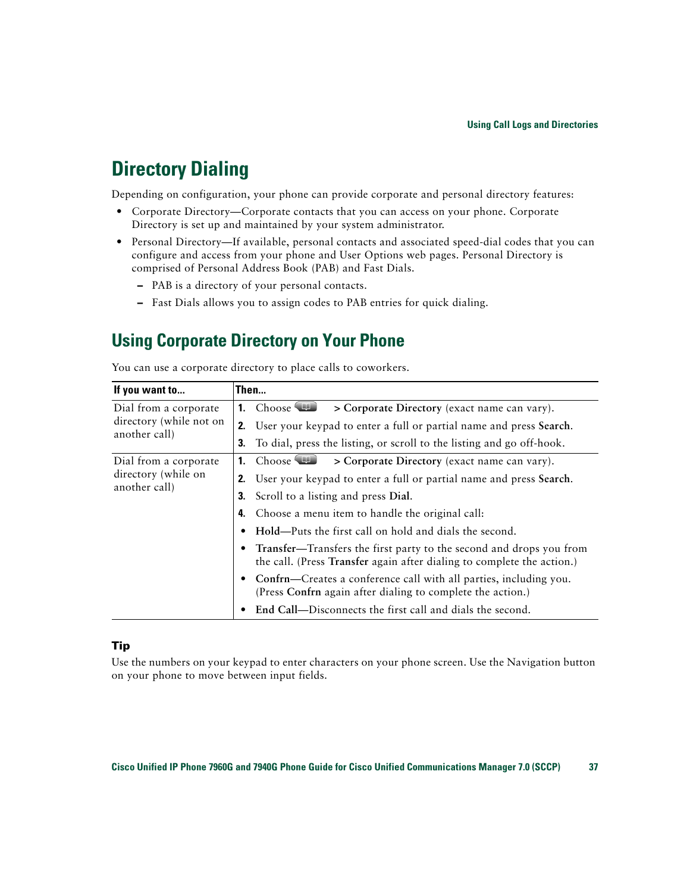## <span id="page-44-2"></span><span id="page-44-0"></span>**Directory Dialing**

Depending on configuration, your phone can provide corporate and personal directory features:

- **•** Corporate Directory—Corporate contacts that you can access on your phone. Corporate Directory is set up and maintained by your system administrator.
- **•** Personal Directory—If available, personal contacts and associated speed-dial codes that you can configure and access from your phone and User Options web pages. Personal Directory is comprised of Personal Address Book (PAB) and Fast Dials.
	- **–** PAB is a directory of your personal contacts.
	- **–** Fast Dials allows you to assign codes to PAB entries for quick dialing.

### <span id="page-44-1"></span>**Using Corporate Directory on Your Phone**

You can use a corporate directory to place calls to coworkers.

| If you want to                                                | Then |                                                                                                                                               |
|---------------------------------------------------------------|------|-----------------------------------------------------------------------------------------------------------------------------------------------|
| Dial from a corporate<br>directory (while not on              | 1.   | Choose <b>ID</b><br>> Corporate Directory (exact name can vary).                                                                              |
|                                                               | 2.   | User your keypad to enter a full or partial name and press Search.                                                                            |
| another call)                                                 | 3.   | To dial, press the listing, or scroll to the listing and go off-hook.                                                                         |
| Dial from a corporate<br>directory (while on<br>another call) |      | $Choose$ $\blacksquare$<br>> Corporate Directory (exact name can vary).                                                                       |
|                                                               |      | 2. User your keypad to enter a full or partial name and press Search.                                                                         |
|                                                               |      | <b>3.</b> Scroll to a listing and press Dial.                                                                                                 |
|                                                               | 4.   | Choose a menu item to handle the original call:                                                                                               |
|                                                               |      | Hold—Puts the first call on hold and dials the second.                                                                                        |
|                                                               |      | Transfer—Transfers the first party to the second and drops you from<br>the call. (Press Transfer again after dialing to complete the action.) |
|                                                               |      | Confrn—Creates a conference call with all parties, including you.<br>(Press Confrn again after dialing to complete the action.)               |
|                                                               |      | End Call—Disconnects the first call and dials the second.                                                                                     |

#### **Tip**

Use the numbers on your keypad to enter characters on your phone screen. Use the Navigation button on your phone to move between input fields.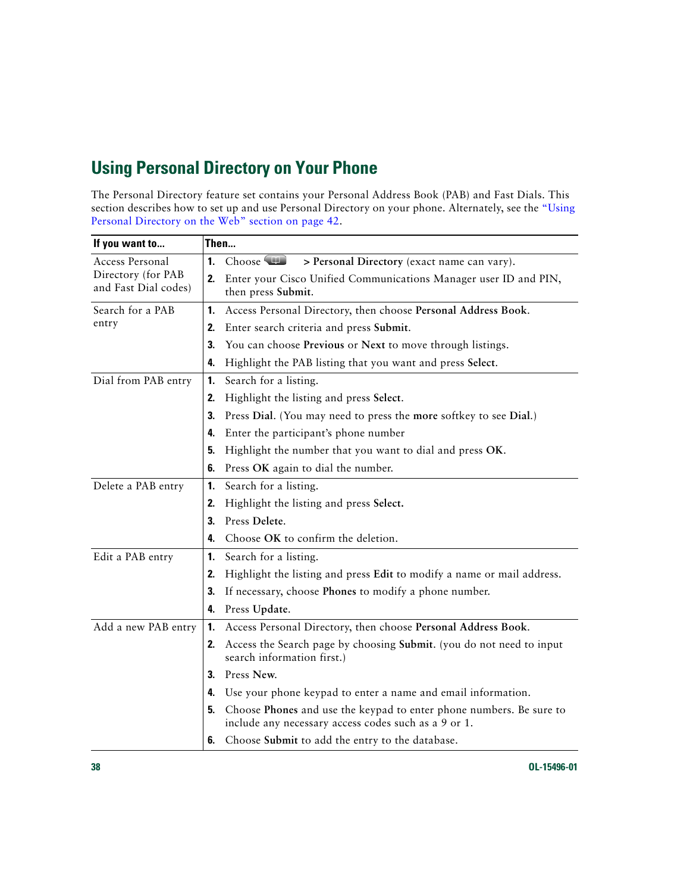### <span id="page-45-2"></span><span id="page-45-1"></span><span id="page-45-0"></span>**Using Personal Directory on Your Phone**

The Personal Directory feature set contains your Personal Address Book (PAB) and Fast Dials. This section describes how to set up and use Personal Directory on your phone. Alternately, see the ["Using](#page-49-3)  [Personal Directory on the Web" section on page](#page-49-3) 42.

| If you want to                                                | Then                                                                                                                              |  |  |
|---------------------------------------------------------------|-----------------------------------------------------------------------------------------------------------------------------------|--|--|
| Access Personal<br>Directory (for PAB<br>and Fast Dial codes) | Choose (<br>$\mathbf{1}$ .<br>> Personal Directory (exact name can vary).                                                         |  |  |
|                                                               | Enter your Cisco Unified Communications Manager user ID and PIN,<br>2.<br>then press Submit.                                      |  |  |
| Search for a PAB                                              | Access Personal Directory, then choose Personal Address Book.<br>1.                                                               |  |  |
| entry                                                         | Enter search criteria and press Submit.<br>2.                                                                                     |  |  |
|                                                               | 3.<br>You can choose Previous or Next to move through listings.                                                                   |  |  |
|                                                               | Highlight the PAB listing that you want and press Select.<br>4.                                                                   |  |  |
| Dial from PAB entry                                           | 1.<br>Search for a listing.                                                                                                       |  |  |
|                                                               | Highlight the listing and press Select.<br>2.                                                                                     |  |  |
|                                                               | 3.<br>Press Dial. (You may need to press the more softkey to see Dial.)                                                           |  |  |
|                                                               | Enter the participant's phone number<br>4.                                                                                        |  |  |
|                                                               | Highlight the number that you want to dial and press OK.<br>5.                                                                    |  |  |
|                                                               | Press OK again to dial the number.<br>6.                                                                                          |  |  |
| Delete a PAB entry                                            | $\mathbf{1}$<br>Search for a listing.                                                                                             |  |  |
|                                                               | Highlight the listing and press Select.<br>2.                                                                                     |  |  |
|                                                               | Press Delete.<br>3.                                                                                                               |  |  |
|                                                               | Choose OK to confirm the deletion.<br>4.                                                                                          |  |  |
| Edit a PAB entry                                              | Search for a listing.<br>1.                                                                                                       |  |  |
|                                                               | Highlight the listing and press Edit to modify a name or mail address.<br>2.                                                      |  |  |
|                                                               | 3.<br>If necessary, choose Phones to modify a phone number.                                                                       |  |  |
|                                                               | Press Update.<br>4.                                                                                                               |  |  |
| Add a new PAB entry                                           | Access Personal Directory, then choose Personal Address Book.<br>1.                                                               |  |  |
|                                                               | Access the Search page by choosing Submit. (you do not need to input<br>2.<br>search information first.)                          |  |  |
|                                                               | Press New.<br>3.                                                                                                                  |  |  |
|                                                               | Use your phone keypad to enter a name and email information.<br>4.                                                                |  |  |
|                                                               | Choose Phones and use the keypad to enter phone numbers. Be sure to<br>5.<br>include any necessary access codes such as a 9 or 1. |  |  |
|                                                               | Choose Submit to add the entry to the database.<br>6.                                                                             |  |  |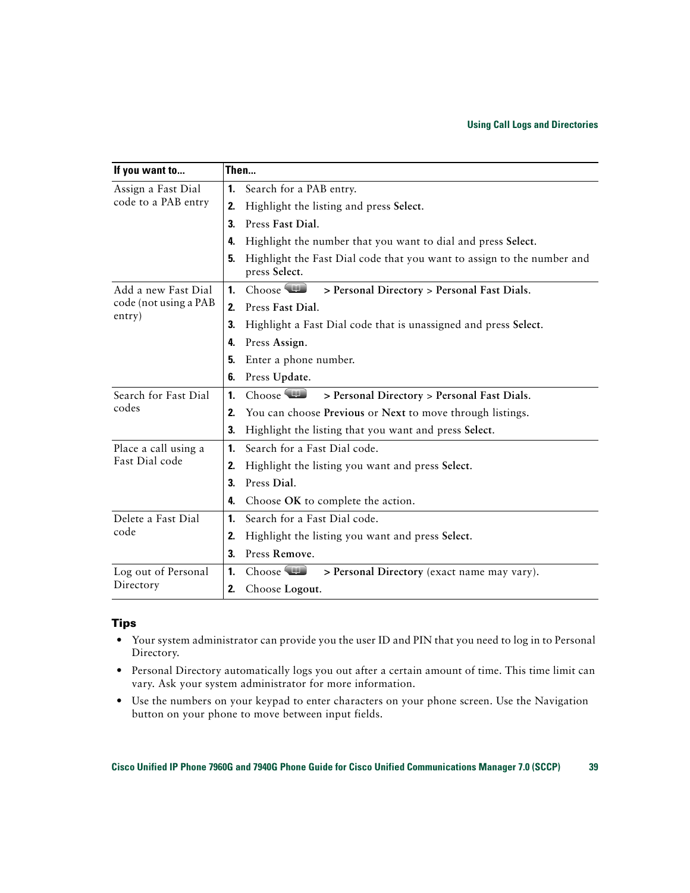| If you want to                            | Then                                                                                          |
|-------------------------------------------|-----------------------------------------------------------------------------------------------|
| Assign a Fast Dial<br>code to a PAB entry | Search for a PAB entry.<br>1.                                                                 |
|                                           | Highlight the listing and press Select.<br>2.                                                 |
|                                           | Press Fast Dial.<br>3.                                                                        |
|                                           | Highlight the number that you want to dial and press Select.<br>4.                            |
|                                           | Highlight the Fast Dial code that you want to assign to the number and<br>5.<br>press Select. |
| Add a new Fast Dial                       | Choose <b>TI</b><br>$\mathbf{1}$ .<br>> Personal Directory > Personal Fast Dials.             |
| code (not using a PAB                     | Press Fast Dial.<br>2.                                                                        |
| entry)                                    | 3.<br>Highlight a Fast Dial code that is unassigned and press Select.                         |
|                                           | Press Assign.<br>4.                                                                           |
|                                           | Enter a phone number.<br>5.                                                                   |
|                                           | Press Update.<br>6.                                                                           |
| Search for Fast Dial                      | Choose <b>TID</b><br>$\mathbf{1}$<br>> Personal Directory > Personal Fast Dials.              |
| codes                                     | You can choose Previous or Next to move through listings.<br>2.                               |
|                                           | 3.<br>Highlight the listing that you want and press Select.                                   |
| Place a call using a                      | Search for a Fast Dial code.<br>1.                                                            |
| Fast Dial code                            | Highlight the listing you want and press Select.<br>2.                                        |
|                                           | Press Dial.<br>3.                                                                             |
|                                           | Choose OK to complete the action.<br>4.                                                       |
| Delete a Fast Dial                        | Search for a Fast Dial code.<br>$\mathbf{1}$                                                  |
| code                                      | Highlight the listing you want and press Select.<br>2.                                        |
|                                           | Press Remove.<br>3.                                                                           |
| Log out of Personal                       | Choose<br>$\mathbf{1}$<br>> Personal Directory (exact name may vary).                         |
| Directory                                 | Choose Logout.<br>2.                                                                          |

#### **Tips**

- **•** Your system administrator can provide you the user ID and PIN that you need to log in to Personal Directory.
- **•** Personal Directory automatically logs you out after a certain amount of time. This time limit can vary. Ask your system administrator for more information.
- **•** Use the numbers on your keypad to enter characters on your phone screen. Use the Navigation button on your phone to move between input fields.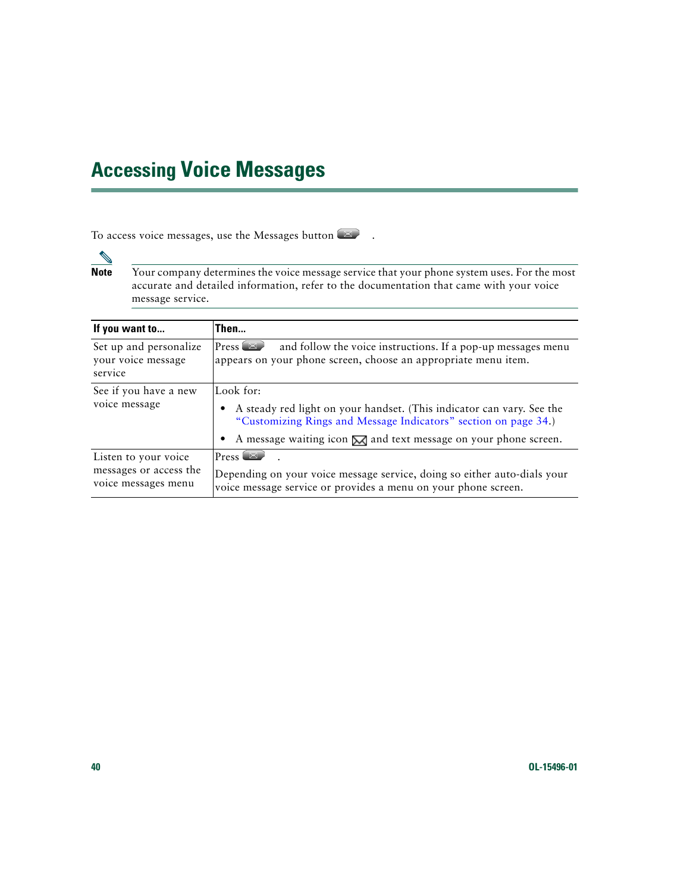# <span id="page-47-2"></span><span id="page-47-1"></span><span id="page-47-0"></span>**Accessing Voice Messages**

To access voice messages, use the Messages button  $\blacksquare$ .

**Note** Your company determines the voice message service that your phone system uses. For the most accurate and detailed information, refer to the documentation that came with your voice message service.

| If you want to                                          | Then                                                                                                                                                                                                                                           |
|---------------------------------------------------------|------------------------------------------------------------------------------------------------------------------------------------------------------------------------------------------------------------------------------------------------|
| Set up and personalize<br>your voice message<br>service | $Press \n$<br>and follow the voice instructions. If a pop-up messages menu<br>appears on your phone screen, choose an appropriate menu item.                                                                                                   |
| See if you have a new<br>voice message                  | Look for:<br>A steady red light on your handset. (This indicator can vary. See the<br>"Customizing Rings and Message Indicators" section on page 34.)<br>A message waiting icon $\mathbb{\overline{M}}$ and text message on your phone screen. |
| Listen to your voice                                    | $Press \n$                                                                                                                                                                                                                                     |
| messages or access the<br>voice messages menu           | Depending on your voice message service, doing so either auto-dials your<br>voice message service or provides a menu on your phone screen.                                                                                                     |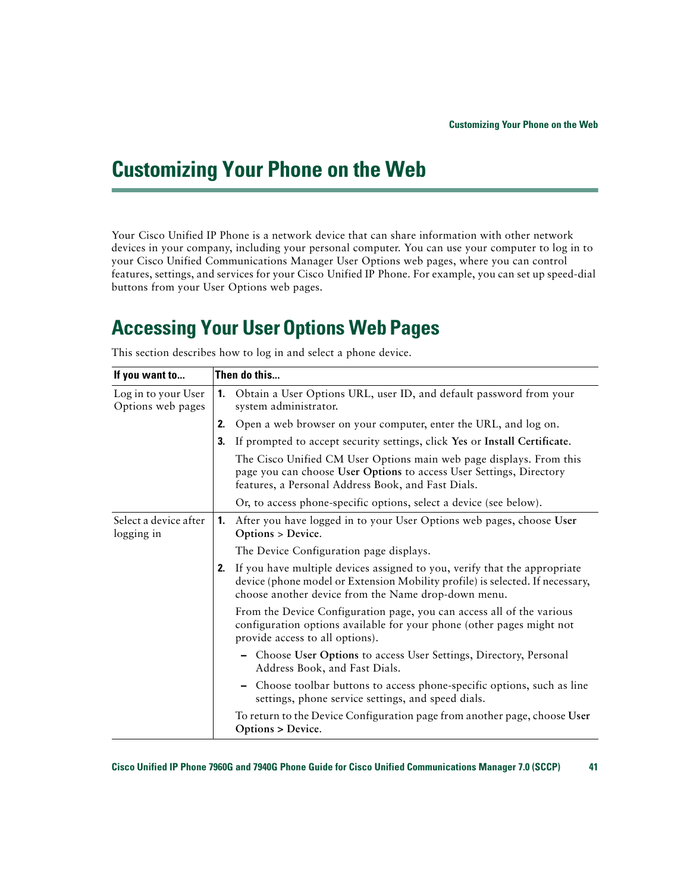# <span id="page-48-4"></span><span id="page-48-2"></span><span id="page-48-0"></span>**Customizing Your Phone on the Web**

Your Cisco Unified IP Phone is a network device that can share information with other network devices in your company, including your personal computer. You can use your computer to log in to your Cisco Unified Communications Manager User Options web pages, where you can control features, settings, and services for your Cisco Unified IP Phone. For example, you can set up speed-dial buttons from your User Options web pages.

## <span id="page-48-3"></span><span id="page-48-1"></span>**Accessing Your UserOptions Web Pages**

<span id="page-48-5"></span>

| If you want to                           |    | Then do this                                                                                                                                                                                                      |
|------------------------------------------|----|-------------------------------------------------------------------------------------------------------------------------------------------------------------------------------------------------------------------|
| Log in to your User<br>Options web pages |    | 1. Obtain a User Options URL, user ID, and default password from your<br>system administrator.                                                                                                                    |
|                                          | 2. | Open a web browser on your computer, enter the URL, and log on.                                                                                                                                                   |
|                                          | 3. | If prompted to accept security settings, click Yes or Install Certificate.                                                                                                                                        |
|                                          |    | The Cisco Unified CM User Options main web page displays. From this<br>page you can choose User Options to access User Settings, Directory<br>features, a Personal Address Book, and Fast Dials.                  |
|                                          |    | Or, to access phone-specific options, select a device (see below).                                                                                                                                                |
| Select a device after<br>logging in      |    | 1. After you have logged in to your User Options web pages, choose User<br>Options > Device.                                                                                                                      |
|                                          |    | The Device Configuration page displays.                                                                                                                                                                           |
|                                          | 2. | If you have multiple devices assigned to you, verify that the appropriate<br>device (phone model or Extension Mobility profile) is selected. If necessary,<br>choose another device from the Name drop-down menu. |
|                                          |    | From the Device Configuration page, you can access all of the various<br>configuration options available for your phone (other pages might not<br>provide access to all options).                                 |
|                                          |    | - Choose User Options to access User Settings, Directory, Personal<br>Address Book, and Fast Dials.                                                                                                               |
|                                          |    | Choose toolbar buttons to access phone-specific options, such as line<br>settings, phone service settings, and speed dials.                                                                                       |
|                                          |    | To return to the Device Configuration page from another page, choose User<br>Options > Device.                                                                                                                    |

This section describes how to log in and select a phone device.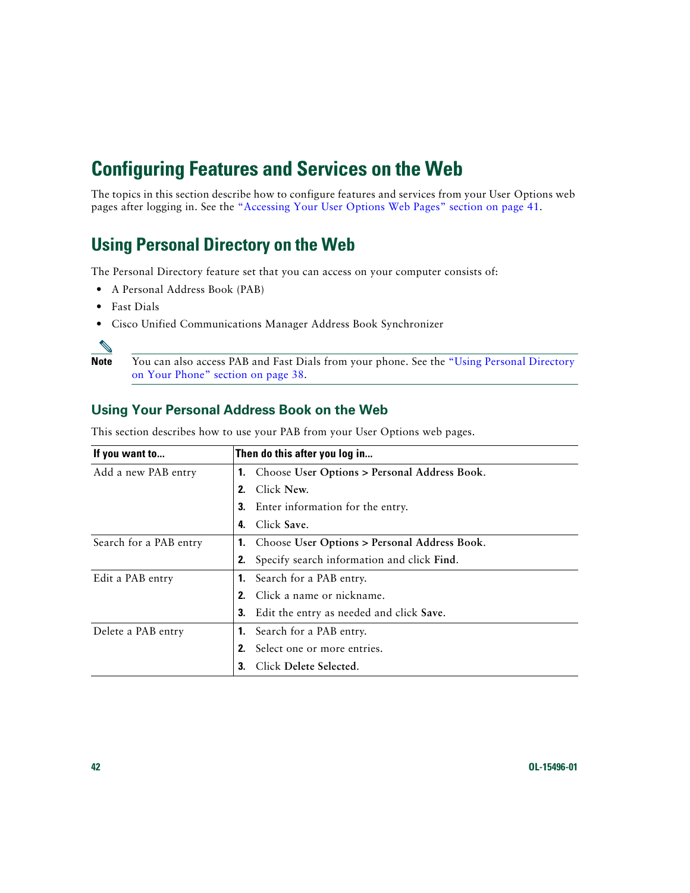## <span id="page-49-6"></span><span id="page-49-0"></span>**Configuring Features and Services on the Web**

The topics in this section describe how to configure features and services from your User Options web pages after logging in. See the "Accessing Your User Options Web [Pages" section on page](#page-48-1) 41.

### <span id="page-49-5"></span><span id="page-49-3"></span><span id="page-49-1"></span>**Using Personal Directory on the Web**

The Personal Directory feature set that you can access on your computer consists of:

- **•** A Personal Address Book (PAB)
- **•** Fast Dials
- **•** Cisco Unified Communications Manager Address Book Synchronizer

![](_page_49_Picture_7.jpeg)

**Note** You can also access PAB and Fast Dials from your phone. See the ["Using Personal Directory](#page-45-1)  [on Your Phone" section on page](#page-45-1) 38.

### <span id="page-49-4"></span><span id="page-49-2"></span>**Using Your Personal Address Book on the Web**

| If you want to         | Then do this after you log in                    |
|------------------------|--------------------------------------------------|
| Add a new PAB entry    | 1. Choose User Options > Personal Address Book.  |
|                        | Click New.<br>2.                                 |
|                        | <b>3.</b> Enter information for the entry.       |
|                        | Click Save.<br>4.                                |
| Search for a PAB entry | 1. Choose User Options > Personal Address Book.  |
|                        | Specify search information and click Find.<br>2. |
| Edit a PAB entry       | <b>1.</b> Search for a PAB entry.                |
|                        | Click a name or nickname.                        |
|                        | Edit the entry as needed and click Save.<br>3.   |
| Delete a PAB entry     | <b>1.</b> Search for a PAB entry.                |
|                        | Select one or more entries.<br>2.                |
|                        | Click Delete Selected.                           |

This section describes how to use your PAB from your User Options web pages.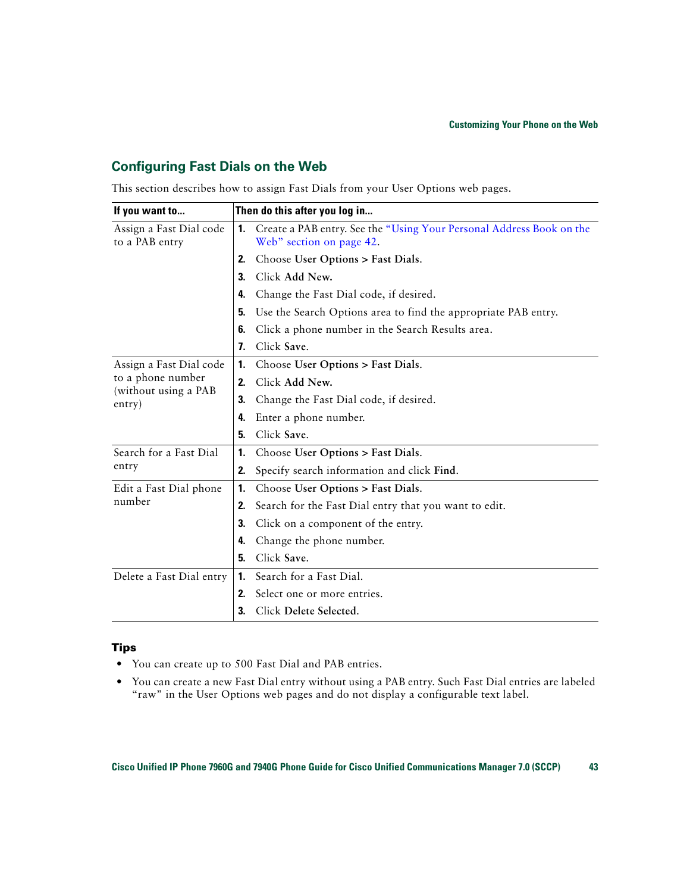### <span id="page-50-1"></span><span id="page-50-0"></span>**Configuring Fast Dials on the Web**

This section describes how to assign Fast Dials from your User Options web pages.

| If you want to                            | Then do this after you log in                                                                          |  |  |
|-------------------------------------------|--------------------------------------------------------------------------------------------------------|--|--|
| Assign a Fast Dial code<br>to a PAB entry | Create a PAB entry. See the "Using Your Personal Address Book on the<br>1.<br>Web" section on page 42. |  |  |
|                                           | Choose User Options > Fast Dials.<br>2.                                                                |  |  |
|                                           | Click Add New.<br>3.                                                                                   |  |  |
|                                           | Change the Fast Dial code, if desired.<br>4.                                                           |  |  |
|                                           | Use the Search Options area to find the appropriate PAB entry.<br>5.                                   |  |  |
|                                           | Click a phone number in the Search Results area.<br>6.                                                 |  |  |
|                                           | Click Save.<br>7.                                                                                      |  |  |
| Assign a Fast Dial code                   | Choose User Options > Fast Dials.<br>1.                                                                |  |  |
| to a phone number<br>(without using a PAB | Click Add New.<br>2.                                                                                   |  |  |
| entry)                                    | Change the Fast Dial code, if desired.<br>3.                                                           |  |  |
|                                           | Enter a phone number.<br>4.                                                                            |  |  |
|                                           | Click Save.<br>5.                                                                                      |  |  |
| Search for a Fast Dial                    | Choose User Options > Fast Dials.<br>1.                                                                |  |  |
| entry                                     | Specify search information and click Find.<br>2.                                                       |  |  |
| Edit a Fast Dial phone                    | Choose User Options > Fast Dials.<br>1.                                                                |  |  |
| number                                    | Search for the Fast Dial entry that you want to edit.<br>2.                                            |  |  |
|                                           | Click on a component of the entry.<br>3.                                                               |  |  |
|                                           | Change the phone number.<br>4.                                                                         |  |  |
|                                           | Click Save.<br>5.                                                                                      |  |  |
| Delete a Fast Dial entry                  | Search for a Fast Dial.<br>1.                                                                          |  |  |
|                                           | Select one or more entries.<br>2.                                                                      |  |  |
|                                           | Click Delete Selected.<br>3.                                                                           |  |  |

#### **Tips**

- **•** You can create up to 500 Fast Dial and PAB entries.
- **•** You can create a new Fast Dial entry without using a PAB entry. Such Fast Dial entries are labeled "raw" in the User Options web pages and do not display a configurable text label.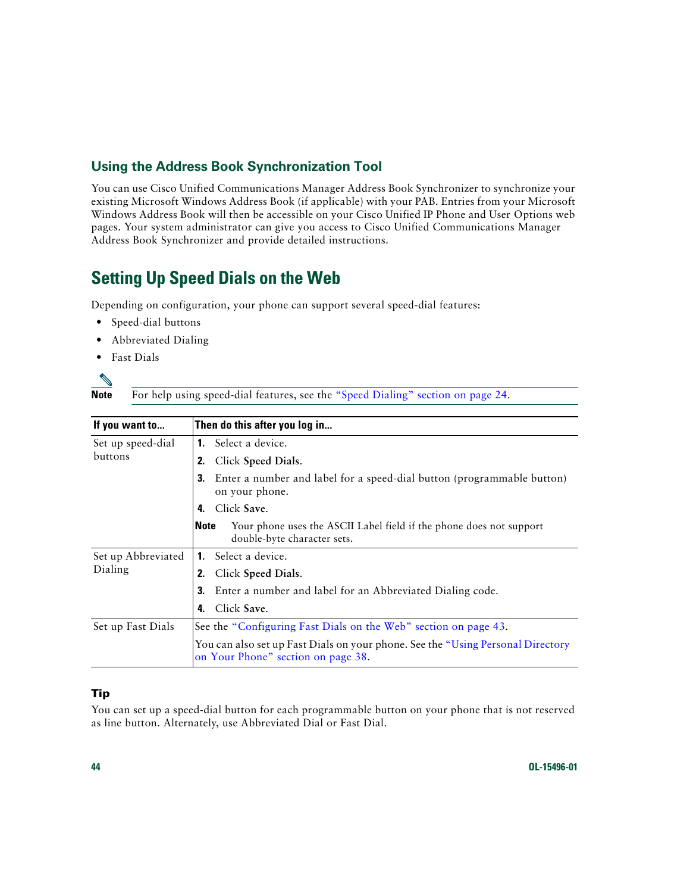### <span id="page-51-5"></span><span id="page-51-0"></span>**Using the Address Book Synchronization Tool**

You can use Cisco Unified Communications Manager Address Book Synchronizer to synchronize your existing Microsoft Windows Address Book (if applicable) with your PAB. Entries from your Microsoft Windows Address Book will then be accessible on your Cisco Unified IP Phone and User Options web pages. Your system administrator can give you access to Cisco Unified Communications Manager Address Book Synchronizer and provide detailed instructions.

### <span id="page-51-3"></span><span id="page-51-2"></span><span id="page-51-1"></span>**Setting Up Speed Dials on the Web**

Depending on configuration, your phone can support several speed-dial features:

- **•** Speed-dial buttons
- **•** Abbreviated Dialing
- **•** Fast Dials

Note For help using speed-dial features, see the ["Speed Dialing" section on page](#page-31-2) 24.

<span id="page-51-4"></span>

| If you want to                | Then do this after you log in                                                                                          |  |  |
|-------------------------------|------------------------------------------------------------------------------------------------------------------------|--|--|
| Set up speed-dial<br>buttons  | <b>1.</b> Select a device.                                                                                             |  |  |
|                               | Click Speed Dials.<br>2.                                                                                               |  |  |
|                               | 3.<br>Enter a number and label for a speed-dial button (programmable button)<br>on your phone.                         |  |  |
|                               | Click Save.<br>4.                                                                                                      |  |  |
|                               | <b>Note</b><br>Your phone uses the ASCII Label field if the phone does not support<br>double-byte character sets.      |  |  |
| Set up Abbreviated<br>Dialing | <b>1.</b> Select a device.                                                                                             |  |  |
|                               | Click Speed Dials.<br>2.                                                                                               |  |  |
|                               | 3.<br>Enter a number and label for an Abbreviated Dialing code.                                                        |  |  |
|                               | Click Save.<br>4.                                                                                                      |  |  |
| Set up Fast Dials             | See the "Configuring Fast Dials on the Web" section on page 43.                                                        |  |  |
|                               | You can also set up Fast Dials on your phone. See the "Using Personal Directory"<br>on Your Phone" section on page 38. |  |  |

#### **Tip**

You can set up a speed-dial button for each programmable button on your phone that is not reserved as line button. Alternately, use Abbreviated Dial or Fast Dial.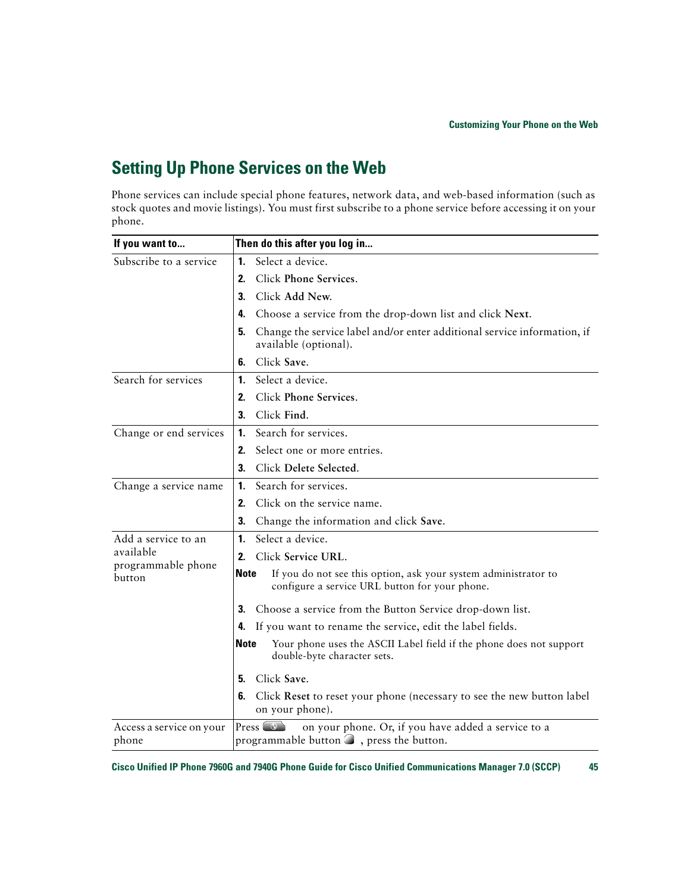### <span id="page-52-1"></span><span id="page-52-0"></span>**Setting Up Phone Services on the Web**

Phone services can include special phone features, network data, and web-based information (such as stock quotes and movie listings). You must first subscribe to a phone service before accessing it on your phone.

| If you want to                    | Then do this after you log in                                                                                             |  |
|-----------------------------------|---------------------------------------------------------------------------------------------------------------------------|--|
| Subscribe to a service            | Select a device.<br>1.                                                                                                    |  |
|                                   | Click Phone Services.<br>2.                                                                                               |  |
|                                   | Click Add New.<br>3.                                                                                                      |  |
|                                   | Choose a service from the drop-down list and click Next.<br>4.                                                            |  |
|                                   | Change the service label and/or enter additional service information, if<br>5.<br>available (optional).                   |  |
|                                   | Click Save.<br>6.                                                                                                         |  |
| Search for services               | Select a device.<br>1.                                                                                                    |  |
|                                   | Click Phone Services.<br>2.                                                                                               |  |
|                                   | Click Find.<br>3.                                                                                                         |  |
| Change or end services            | Search for services.<br>1.                                                                                                |  |
|                                   | Select one or more entries.<br>2.                                                                                         |  |
|                                   | Click Delete Selected.<br>3.                                                                                              |  |
| Change a service name             | Search for services.<br>1.                                                                                                |  |
|                                   | Click on the service name.<br>2.                                                                                          |  |
|                                   | 3.<br>Change the information and click Save.                                                                              |  |
| Add a service to an               | Select a device.<br>1.                                                                                                    |  |
| available<br>programmable phone   | Click Service URL.<br>2.                                                                                                  |  |
| button                            | Note<br>If you do not see this option, ask your system administrator to<br>configure a service URL button for your phone. |  |
|                                   | Choose a service from the Button Service drop-down list.<br>З.                                                            |  |
|                                   | If you want to rename the service, edit the label fields.<br>4.                                                           |  |
|                                   | Note<br>Your phone uses the ASCII Label field if the phone does not support<br>double-byte character sets.                |  |
|                                   | Click Save.<br>5.                                                                                                         |  |
|                                   | 6.<br>Click Reset to reset your phone (necessary to see the new button label<br>on your phone).                           |  |
| Access a service on your<br>phone | on your phone. Or, if you have added a service to a<br>programmable button $\Box$ , press the button.                     |  |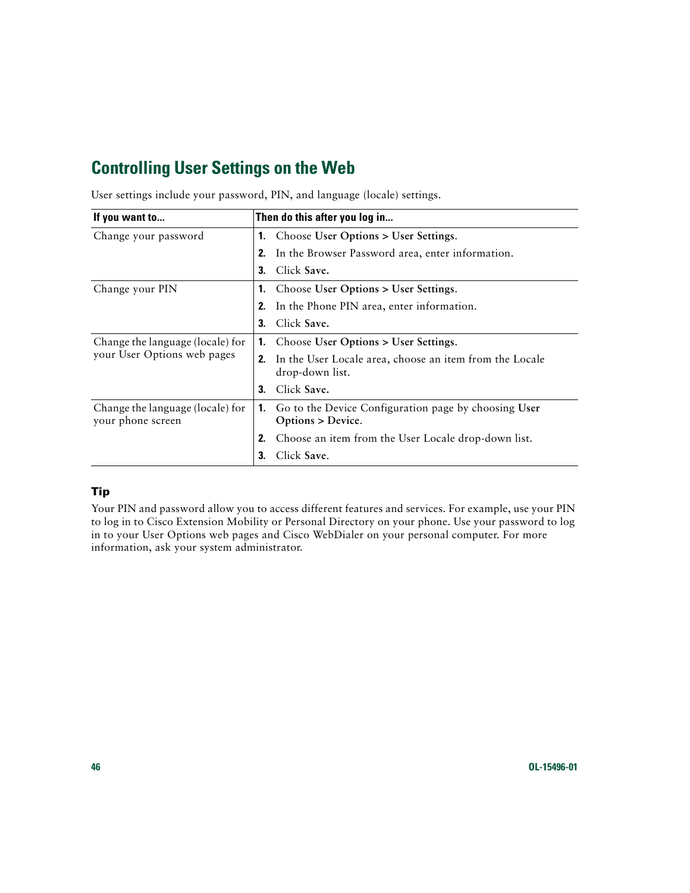### <span id="page-53-1"></span><span id="page-53-0"></span>**Controlling User Settings on the Web**

| If you want to                                        | Then do this after you log in                                                    |
|-------------------------------------------------------|----------------------------------------------------------------------------------|
| Change your password                                  | Choose User Options > User Settings.<br>1.                                       |
|                                                       | In the Browser Password area, enter information.<br>2.                           |
|                                                       | Click Save.<br>3.                                                                |
| Change your PIN                                       | Choose User Options > User Settings.<br>1.                                       |
|                                                       | In the Phone PIN area, enter information.<br>2.                                  |
|                                                       | Click Save.<br>3.                                                                |
| Change the language (locale) for                      | Choose User Options > User Settings.<br>1.                                       |
| your User Options web pages                           | In the User Locale area, choose an item from the Locale<br>2.<br>drop-down list. |
|                                                       | Click Save.<br>3.                                                                |
| Change the language (locale) for<br>your phone screen | Go to the Device Configuration page by choosing User<br>1.<br>Options > Device.  |
|                                                       | Choose an item from the User Locale drop-down list.<br>2.                        |
|                                                       | Click Save.<br>3.                                                                |

User settings include your password, PIN, and language (locale) settings.

#### **Tip**

Your PIN and password allow you to access different features and services. For example, use your PIN to log in to Cisco Extension Mobility or Personal Directory on your phone. Use your password to log in to your User Options web pages and Cisco WebDialer on your personal computer. For more information, ask your system administrator.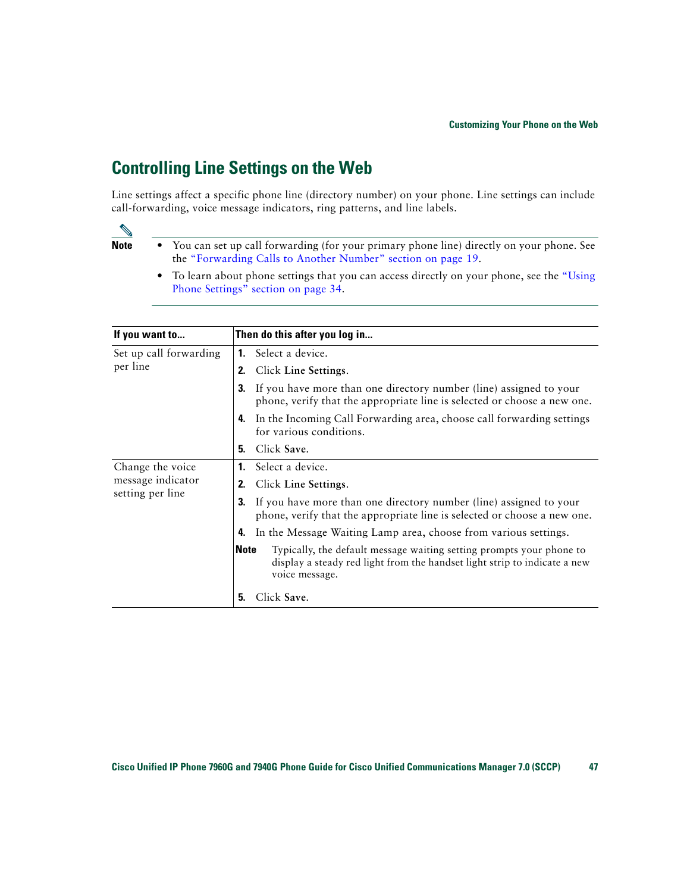### <span id="page-54-3"></span><span id="page-54-2"></span><span id="page-54-1"></span><span id="page-54-0"></span>**Controlling Line Settings on the Web**

Line settings affect a specific phone line (directory number) on your phone. Line settings can include call-forwarding, voice message indicators, ring patterns, and line labels.

- **Note •** You can set up call forwarding (for your primary phone line) directly on your phone. See the ["Forwarding Calls to Another Number" section on page](#page-26-1) 19.
	- **•** To learn about phone settings that you can access directly on your phone, see the ["Using](#page-41-2)  [Phone Settings" section on page](#page-41-2) 34.

| If you want to         | Then do this after you log in                                                                                                                                                      |
|------------------------|------------------------------------------------------------------------------------------------------------------------------------------------------------------------------------|
| Set up call forwarding | <b>1.</b> Select a device.                                                                                                                                                         |
| per line               | Click Line Settings.<br>2.                                                                                                                                                         |
|                        | If you have more than one directory number (line) assigned to your<br>3.<br>phone, verify that the appropriate line is selected or choose a new one.                               |
|                        | In the Incoming Call Forwarding area, choose call forwarding settings<br>4.<br>for various conditions.                                                                             |
|                        | Click Save.<br>5.                                                                                                                                                                  |
| Change the voice       | Select a device.<br>1.                                                                                                                                                             |
| message indicator      | Click Line Settings.<br>2.                                                                                                                                                         |
| setting per line       | If you have more than one directory number (line) assigned to your<br>3.<br>phone, verify that the appropriate line is selected or choose a new one.                               |
|                        | In the Message Waiting Lamp area, choose from various settings.<br>4.                                                                                                              |
|                        | <b>Note</b><br>Typically, the default message waiting setting prompts your phone to<br>display a steady red light from the handset light strip to indicate a new<br>voice message. |
|                        | Click Save.<br>5.                                                                                                                                                                  |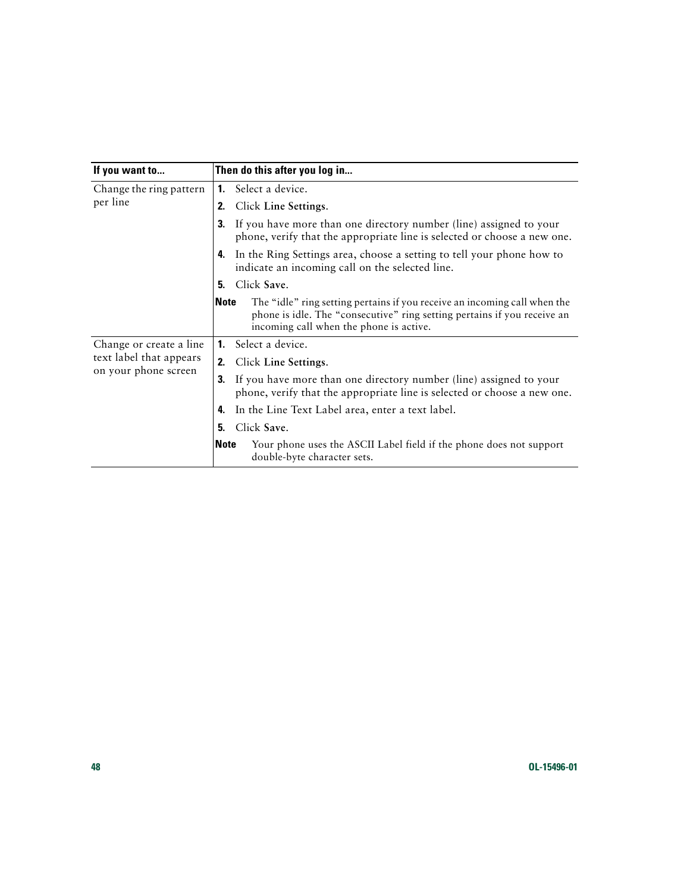| If you want to                      |                | Then do this after you log in                                                                                                                                                                    |
|-------------------------------------|----------------|--------------------------------------------------------------------------------------------------------------------------------------------------------------------------------------------------|
| Change the ring pattern<br>per line |                | <b>1.</b> Select a device.                                                                                                                                                                       |
|                                     | 2.             | Click Line Settings.                                                                                                                                                                             |
|                                     | 3.             | If you have more than one directory number (line) assigned to your<br>phone, verify that the appropriate line is selected or choose a new one.                                                   |
|                                     | 4.             | In the Ring Settings area, choose a setting to tell your phone how to<br>indicate an incoming call on the selected line.                                                                         |
|                                     | 5.             | Click Save.                                                                                                                                                                                      |
|                                     | <b>Note</b>    | The "idle" ring setting pertains if you receive an incoming call when the<br>phone is idle. The "consecutive" ring setting pertains if you receive an<br>incoming call when the phone is active. |
| Change or create a line             | $\mathbf{1}$ . | Select a device.                                                                                                                                                                                 |
| text label that appears             | 2.             | Click Line Settings.                                                                                                                                                                             |
| on your phone screen                | 3.             | If you have more than one directory number (line) assigned to your<br>phone, verify that the appropriate line is selected or choose a new one.                                                   |
|                                     | 4.             | In the Line Text Label area, enter a text label.                                                                                                                                                 |
|                                     | 5.             | Click Save.                                                                                                                                                                                      |
|                                     | <b>Note</b>    | Your phone uses the ASCII Label field if the phone does not support<br>double-byte character sets.                                                                                               |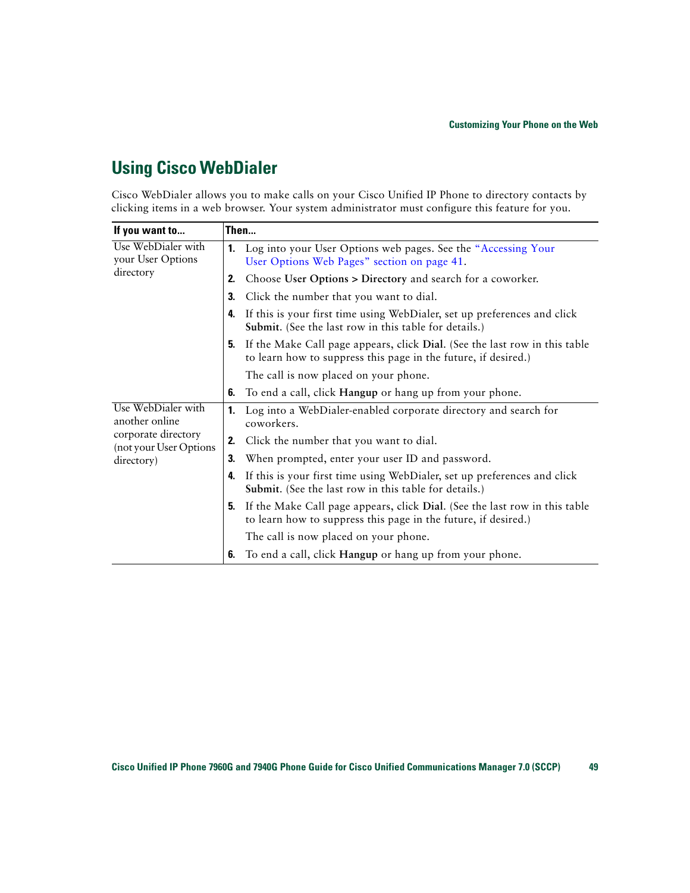### <span id="page-56-1"></span><span id="page-56-0"></span>**Using Cisco WebDialer**

Cisco WebDialer allows you to make calls on your Cisco Unified IP Phone to directory contacts by clicking items in a web browser. Your system administrator must configure this feature for you.

| If you want to                                                                                      | Then |                                                                                                                                              |  |
|-----------------------------------------------------------------------------------------------------|------|----------------------------------------------------------------------------------------------------------------------------------------------|--|
| Use WebDialer with<br>your User Options                                                             | 1.   | Log into your User Options web pages. See the "Accessing Your<br>User Options Web Pages" section on page 41.                                 |  |
| directory                                                                                           | 2.   | Choose User Options > Directory and search for a coworker.                                                                                   |  |
|                                                                                                     | 3.   | Click the number that you want to dial.                                                                                                      |  |
|                                                                                                     | 4.   | If this is your first time using WebDialer, set up preferences and click<br>Submit. (See the last row in this table for details.)            |  |
|                                                                                                     | 5.   | If the Make Call page appears, click Dial. (See the last row in this table<br>to learn how to suppress this page in the future, if desired.) |  |
|                                                                                                     |      | The call is now placed on your phone.                                                                                                        |  |
|                                                                                                     | 6.   | To end a call, click Hangup or hang up from your phone.                                                                                      |  |
| Use WebDialer with<br>another online<br>corporate directory<br>(not your User Options<br>directory) | 1.   | Log into a WebDialer-enabled corporate directory and search for<br>coworkers.                                                                |  |
|                                                                                                     | 2.   | Click the number that you want to dial.                                                                                                      |  |
|                                                                                                     | 3.   | When prompted, enter your user ID and password.                                                                                              |  |
|                                                                                                     | 4.   | If this is your first time using WebDialer, set up preferences and click<br>Submit. (See the last row in this table for details.)            |  |
|                                                                                                     | 5.   | If the Make Call page appears, click Dial. (See the last row in this table<br>to learn how to suppress this page in the future, if desired.) |  |
|                                                                                                     |      | The call is now placed on your phone.                                                                                                        |  |
|                                                                                                     | 6.   | To end a call, click Hangup or hang up from your phone.                                                                                      |  |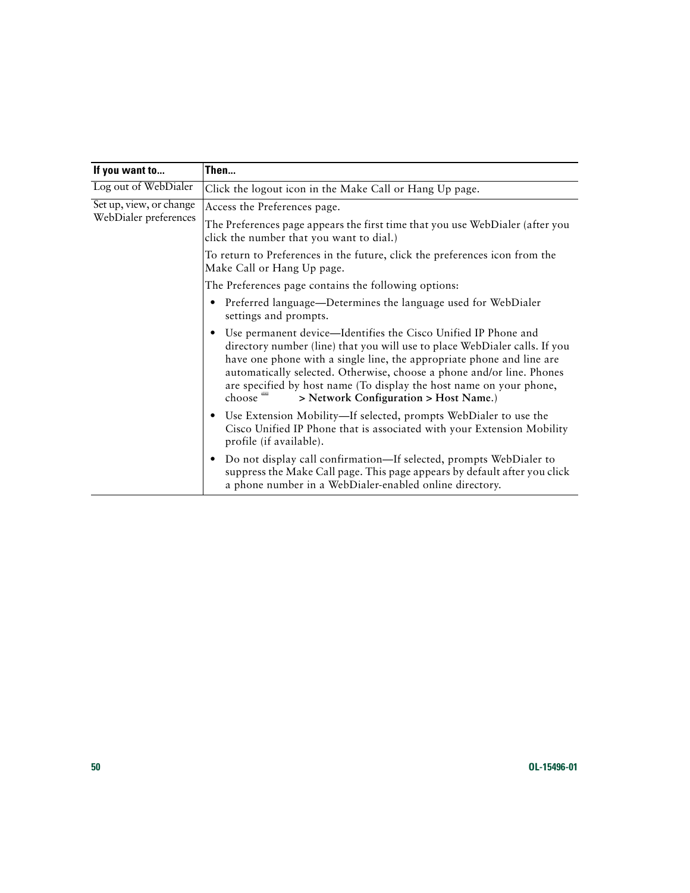| If you want to                                   | Then                                                                                                                                                                                                                                                                                                                                                                                                                            |  |
|--------------------------------------------------|---------------------------------------------------------------------------------------------------------------------------------------------------------------------------------------------------------------------------------------------------------------------------------------------------------------------------------------------------------------------------------------------------------------------------------|--|
| Log out of WebDialer                             | Click the logout icon in the Make Call or Hang Up page.                                                                                                                                                                                                                                                                                                                                                                         |  |
| Set up, view, or change<br>WebDialer preferences | Access the Preferences page.                                                                                                                                                                                                                                                                                                                                                                                                    |  |
|                                                  | The Preferences page appears the first time that you use WebDialer (after you<br>click the number that you want to dial.)                                                                                                                                                                                                                                                                                                       |  |
|                                                  | To return to Preferences in the future, click the preferences icon from the<br>Make Call or Hang Up page.                                                                                                                                                                                                                                                                                                                       |  |
|                                                  | The Preferences page contains the following options:                                                                                                                                                                                                                                                                                                                                                                            |  |
|                                                  | Preferred language—Determines the language used for WebDialer<br>٠<br>settings and prompts.                                                                                                                                                                                                                                                                                                                                     |  |
|                                                  | Use permanent device—Identifies the Cisco Unified IP Phone and<br>٠<br>directory number (line) that you will use to place WebDialer calls. If you<br>have one phone with a single line, the appropriate phone and line are<br>automatically selected. Otherwise, choose a phone and/or line. Phones<br>are specified by host name (To display the host name on your phone,<br>choose –<br>> Network Configuration > Host Name.) |  |
|                                                  | Use Extension Mobility—If selected, prompts WebDialer to use the<br>$\bullet$<br>Cisco Unified IP Phone that is associated with your Extension Mobility<br>profile (if available).                                                                                                                                                                                                                                              |  |
|                                                  | Do not display call confirmation—If selected, prompts WebDialer to<br>$\bullet$<br>suppress the Make Call page. This page appears by default after you click<br>a phone number in a WebDialer-enabled online directory.                                                                                                                                                                                                         |  |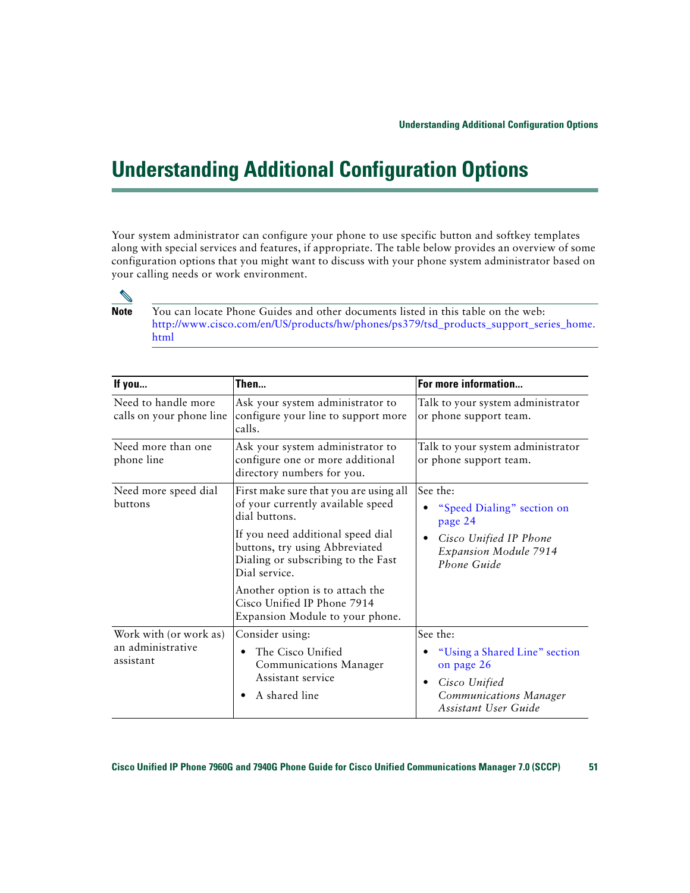# <span id="page-58-1"></span><span id="page-58-0"></span>**Understanding Additional Configuration Options**

Your system administrator can configure your phone to use specific button and softkey templates along with special services and features, if appropriate. The table below provides an overview of some configuration options that you might want to discuss with your phone system administrator based on your calling needs or work environment.

![](_page_58_Picture_3.jpeg)

**Note** You can locate Phone Guides and other documents listed in this table on the web: [http://www.cisco.com/en/US/products/hw/phones/ps379/tsd\\_products\\_support\\_series\\_home.](http://www.cisco.com/en/US/products/hw/phones/ps379/tsd_products_support_series_home.html) html

<span id="page-58-2"></span>

| If you                                                   | Then                                                                                                                              | For more information                                                                                           |
|----------------------------------------------------------|-----------------------------------------------------------------------------------------------------------------------------------|----------------------------------------------------------------------------------------------------------------|
| Need to handle more<br>calls on your phone line          | Ask your system administrator to<br>configure your line to support more<br>calls.                                                 | Talk to your system administrator<br>or phone support team.                                                    |
| Need more than one<br>phone line                         | Ask your system administrator to<br>configure one or more additional<br>directory numbers for you.                                | Talk to your system administrator<br>or phone support team.                                                    |
| Need more speed dial<br>buttons                          | First make sure that you are using all<br>of your currently available speed<br>dial buttons.<br>If you need additional speed dial | See the:<br>"Speed Dialing" section on<br>page 24<br>Cisco Unified IP Phone                                    |
|                                                          | buttons, try using Abbreviated<br>Dialing or subscribing to the Fast<br>Dial service.                                             | Expansion Module 7914<br>Phone Guide                                                                           |
|                                                          | Another option is to attach the<br>Cisco Unified IP Phone 7914<br>Expansion Module to your phone.                                 |                                                                                                                |
| Work with (or work as)<br>an administrative<br>assistant | Consider using:                                                                                                                   | See the:                                                                                                       |
|                                                          | The Cisco Unified<br>٠<br>Communications Manager<br>Assistant service<br>A shared line                                            | "Using a Shared Line" section<br>on page 26<br>Cisco Unified<br>Communications Manager<br>Assistant User Guide |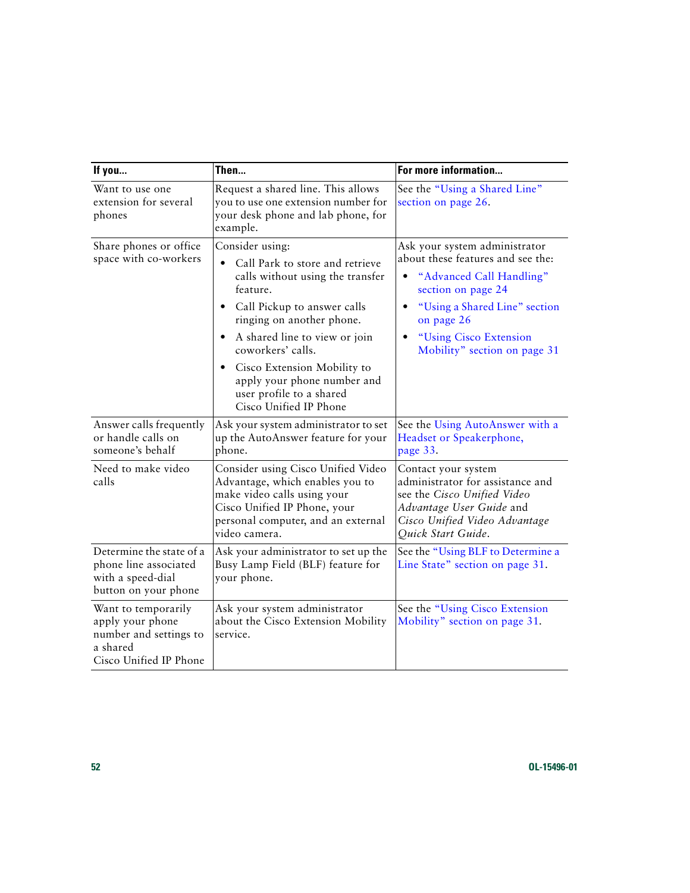<span id="page-59-0"></span>

| If you                                                                                                  | Then                                                                                                                                                                                                                                                                                                                                                  | For more information                                                                                                                                                                                                          |
|---------------------------------------------------------------------------------------------------------|-------------------------------------------------------------------------------------------------------------------------------------------------------------------------------------------------------------------------------------------------------------------------------------------------------------------------------------------------------|-------------------------------------------------------------------------------------------------------------------------------------------------------------------------------------------------------------------------------|
| Want to use one<br>extension for several<br>phones                                                      | Request a shared line. This allows<br>you to use one extension number for<br>your desk phone and lab phone, for<br>example.                                                                                                                                                                                                                           | See the "Using a Shared Line"<br>section on page 26.                                                                                                                                                                          |
| Share phones or office<br>space with co-workers                                                         | Consider using:<br>Call Park to store and retrieve<br>calls without using the transfer<br>feature.<br>Call Pickup to answer calls<br>ringing on another phone.<br>A shared line to view or join<br>coworkers' calls.<br>Cisco Extension Mobility to<br>$\bullet$<br>apply your phone number and<br>user profile to a shared<br>Cisco Unified IP Phone | Ask your system administrator<br>about these features and see the:<br>"Advanced Call Handling"<br>section on page 24<br>"Using a Shared Line" section<br>on page 26<br>"Using Cisco Extension<br>Mobility" section on page 31 |
| Answer calls frequently<br>or handle calls on<br>someone's behalf                                       | Ask your system administrator to set<br>up the AutoAnswer feature for your<br>phone.                                                                                                                                                                                                                                                                  | See the Using AutoAnswer with a<br>Headset or Speakerphone,<br>page 33.                                                                                                                                                       |
| Need to make video<br>calls                                                                             | Consider using Cisco Unified Video<br>Advantage, which enables you to<br>make video calls using your<br>Cisco Unified IP Phone, your<br>personal computer, and an external<br>video camera.                                                                                                                                                           | Contact your system<br>administrator for assistance and<br>see the Cisco Unified Video<br>Advantage User Guide and<br>Cisco Unified Video Advantage<br>Quick Start Guide.                                                     |
| Determine the state of a<br>phone line associated<br>with a speed-dial<br>button on your phone          | Ask your administrator to set up the<br>Busy Lamp Field (BLF) feature for<br>your phone.                                                                                                                                                                                                                                                              | See the "Using BLF to Determine a<br>Line State" section on page 31.                                                                                                                                                          |
| Want to temporarily<br>apply your phone<br>number and settings to<br>a shared<br>Cisco Unified IP Phone | Ask your system administrator<br>about the Cisco Extension Mobility<br>service.                                                                                                                                                                                                                                                                       | See the "Using Cisco Extension<br>Mobility" section on page 31.                                                                                                                                                               |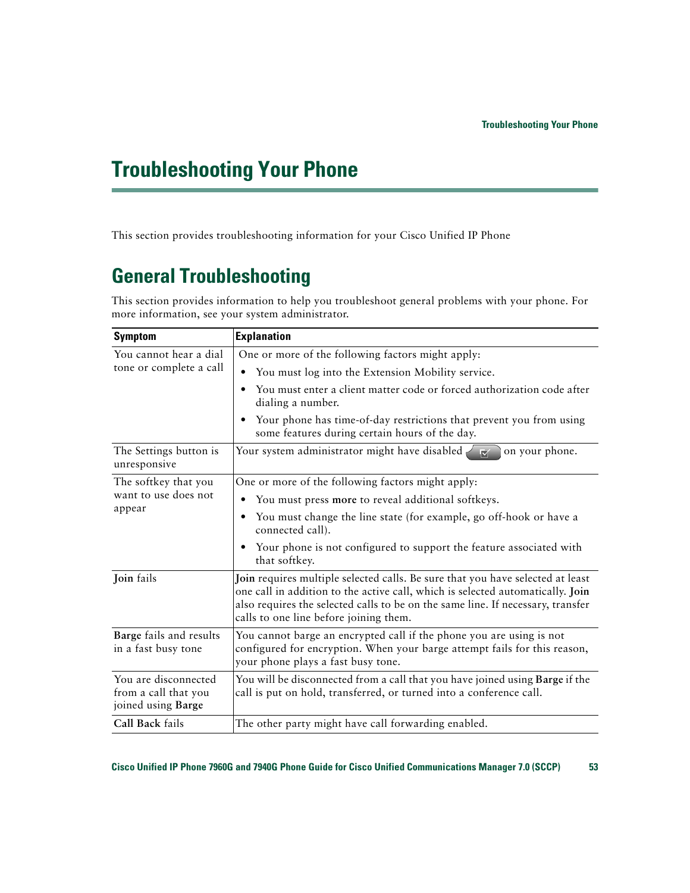# <span id="page-60-2"></span><span id="page-60-0"></span>**Troubleshooting Your Phone**

This section provides troubleshooting information for your Cisco Unified IP Phone

## <span id="page-60-1"></span>**General Troubleshooting**

This section provides information to help you troubleshoot general problems with your phone. For more information, see your system administrator.

| <b>Symptom</b>                                                     | <b>Explanation</b>                                                                                                                                                                                                                                                                            |  |
|--------------------------------------------------------------------|-----------------------------------------------------------------------------------------------------------------------------------------------------------------------------------------------------------------------------------------------------------------------------------------------|--|
| You cannot hear a dial                                             | One or more of the following factors might apply:                                                                                                                                                                                                                                             |  |
| tone or complete a call                                            | You must log into the Extension Mobility service.<br>$\bullet$                                                                                                                                                                                                                                |  |
|                                                                    | You must enter a client matter code or forced authorization code after<br>٠<br>dialing a number.                                                                                                                                                                                              |  |
|                                                                    | Your phone has time-of-day restrictions that prevent you from using<br>٠<br>some features during certain hours of the day.                                                                                                                                                                    |  |
| The Settings button is<br>unresponsive                             | Your system administrator might have disabled<br>on your phone.<br>$\overline{\mathbf{w}}$                                                                                                                                                                                                    |  |
| The softkey that you                                               | One or more of the following factors might apply:                                                                                                                                                                                                                                             |  |
| want to use does not                                               | You must press more to reveal additional softkeys.                                                                                                                                                                                                                                            |  |
| appear                                                             | You must change the line state (for example, go off-hook or have a<br>٠<br>connected call).                                                                                                                                                                                                   |  |
|                                                                    | Your phone is not configured to support the feature associated with<br>٠<br>that softkey.                                                                                                                                                                                                     |  |
| Join fails                                                         | Join requires multiple selected calls. Be sure that you have selected at least<br>one call in addition to the active call, which is selected automatically. Join<br>also requires the selected calls to be on the same line. If necessary, transfer<br>calls to one line before joining them. |  |
| Barge fails and results<br>in a fast busy tone                     | You cannot barge an encrypted call if the phone you are using is not<br>configured for encryption. When your barge attempt fails for this reason,<br>your phone plays a fast busy tone.                                                                                                       |  |
| You are disconnected<br>from a call that you<br>joined using Barge | You will be disconnected from a call that you have joined using Barge if the<br>call is put on hold, transferred, or turned into a conference call.                                                                                                                                           |  |
| Call Back fails                                                    | The other party might have call forwarding enabled.                                                                                                                                                                                                                                           |  |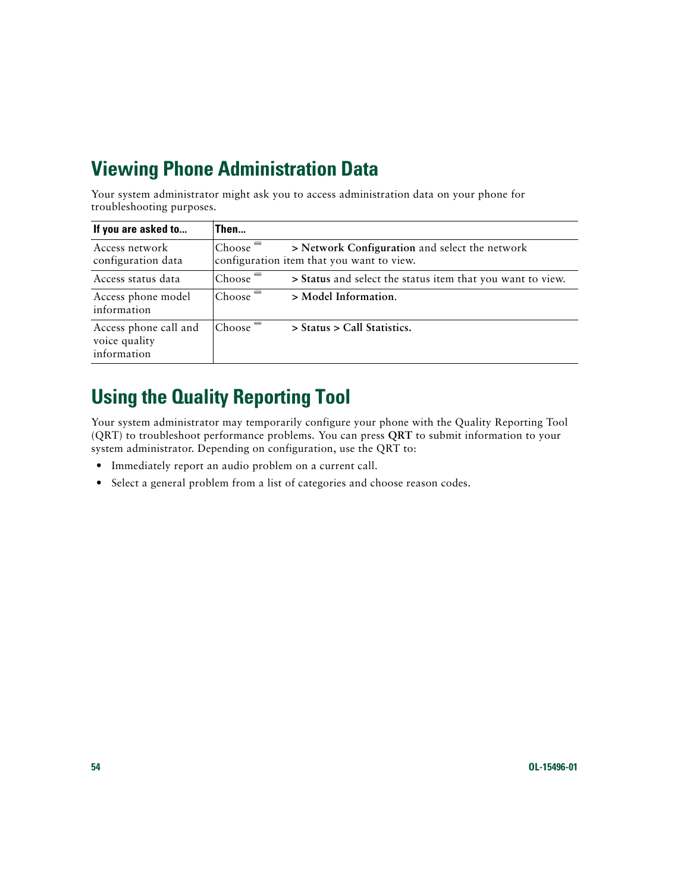# <span id="page-61-0"></span>**Viewing Phone Administration Data**

Your system administrator might ask you to access administration data on your phone for troubleshooting purposes.

| If you are asked to                                   | Then                                                                                                               |
|-------------------------------------------------------|--------------------------------------------------------------------------------------------------------------------|
| Access network<br>configuration data                  | Choose <sup>-</sup><br>> Network Configuration and select the network<br>configuration item that you want to view. |
| Access status data                                    | Choose <sup>-</sup><br>> Status and select the status item that you want to view.                                  |
| Access phone model<br>information                     | Choose <sup>-</sup><br>> Model Information.                                                                        |
| Access phone call and<br>voice quality<br>information | Choose <sup>+</sup><br>> Status > Call Statistics.                                                                 |

# <span id="page-61-2"></span><span id="page-61-1"></span>**Using the Quality Reporting Tool**

Your system administrator may temporarily configure your phone with the Quality Reporting Tool (QRT) to troubleshoot performance problems. You can press **QRT** to submit information to your system administrator. Depending on configuration, use the QRT to:

- **•** Immediately report an audio problem on a current call.
- Select a general problem from a list of categories and choose reason codes.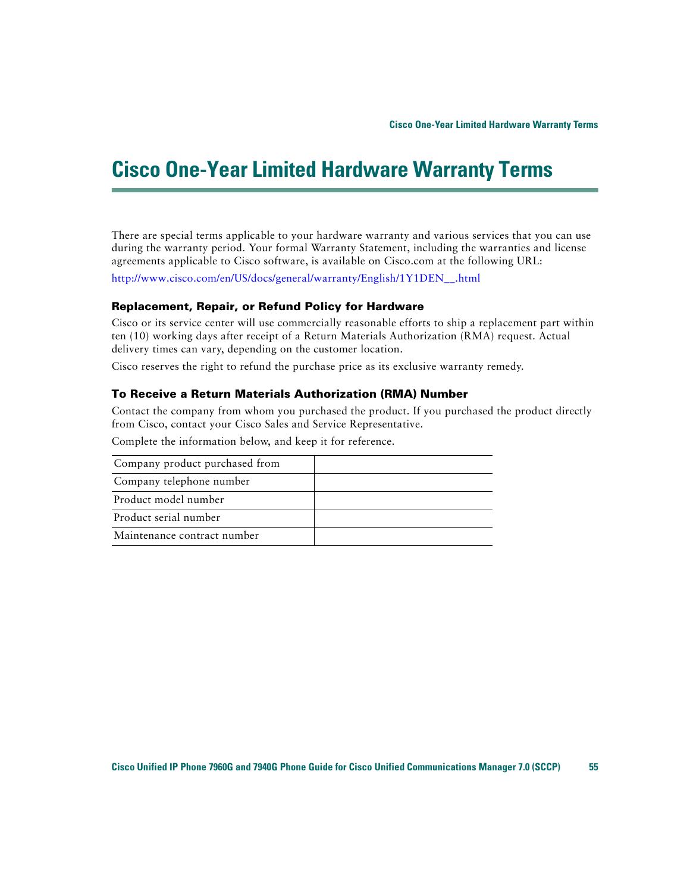# <span id="page-62-0"></span>**Cisco One-Year Limited Hardware Warranty Terms**

<span id="page-62-1"></span>There are special terms applicable to your hardware warranty and various services that you can use during the warranty period. Your formal Warranty Statement, including the warranties and license agreements applicable to Cisco software, is available on Cisco.com at the following URL:

[http://www.cisco.com/en/US/docs/general/warranty/English/1Y1DEN\\_\\_.html](http://www.cisco.com/en/US/docs/general/warranty/English/1Y1DEN__.html)

#### **Replacement, Repair, or Refund Policy for Hardware**

Cisco or its service center will use commercially reasonable efforts to ship a replacement part within ten (10) working days after receipt of a Return Materials Authorization (RMA) request. Actual delivery times can vary, depending on the customer location.

Cisco reserves the right to refund the purchase price as its exclusive warranty remedy.

#### **To Receive a Return Materials Authorization (RMA) Number**

Contact the company from whom you purchased the product. If you purchased the product directly from Cisco, contact your Cisco Sales and Service Representative.

Complete the information below, and keep it for reference.

| Company product purchased from |  |
|--------------------------------|--|
| Company telephone number       |  |
| Product model number           |  |
| Product serial number          |  |
| Maintenance contract number    |  |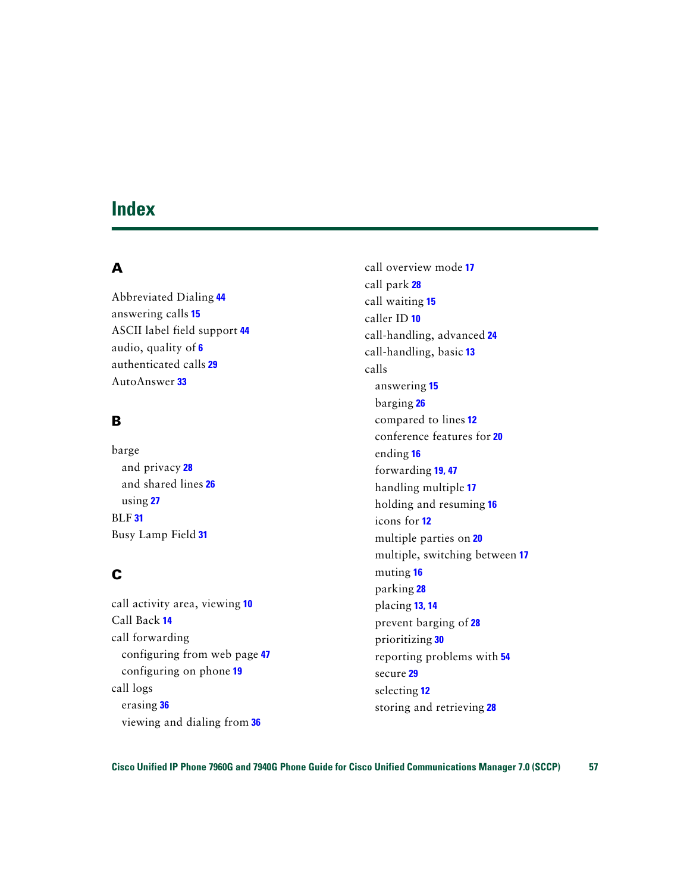### <span id="page-64-0"></span>**Index**

### **A**

Abbreviated Dialing **[44](#page-51-3)** answering calls **[15](#page-22-1)** ASCII label field support **[44](#page-51-4)** audio, quality of **[6](#page-13-0)** authenticated calls **[29](#page-36-3)** AutoAnswer **[33](#page-40-3)**

### **B**

barge and privacy **[28](#page-35-3)** and shared lines **[26](#page-33-4)** using **[27](#page-34-1)** BLF **[31](#page-38-4)** Busy Lamp Field **[31](#page-38-4)**

### **C**

call activity area, viewing **[10](#page-17-2)** Call Back **[14](#page-21-1)** call forwarding configuring from web page **[47](#page-54-2)** configuring on phone **[19](#page-26-2)** call logs erasing **[36](#page-43-3)** viewing and dialing from **[36](#page-43-3)**

call overview mode **[17](#page-24-3)** call park **[28](#page-35-4)** call waiting **[15](#page-22-2)** caller ID **[10](#page-17-3)** call-handling, advanced **[24](#page-31-4)** call-handling, basic **[13](#page-20-4)** calls answering **[15](#page-22-1)** barging **[26](#page-33-5)** compared to lines **[12](#page-19-3)** conference features for **[20](#page-27-3)** ending **[16](#page-23-5)** forwarding **[19,](#page-26-2) [47](#page-54-2)** handling multiple **[17](#page-24-4)** holding and resuming **[16](#page-23-6)** icons for **[12](#page-19-4)** multiple parties on **[20](#page-27-3)** multiple, switching between **[17](#page-24-4)** muting **[16](#page-23-7)** parking **[28](#page-35-4)** placing **[13,](#page-20-5) [14](#page-21-2)** prevent barging of **[28](#page-35-3)** prioritizing **[30](#page-37-2)** reporting problems with **[54](#page-61-2)** secure **[29](#page-36-3)** selecting **[12](#page-19-5)** storing and retrieving **[28](#page-35-4)**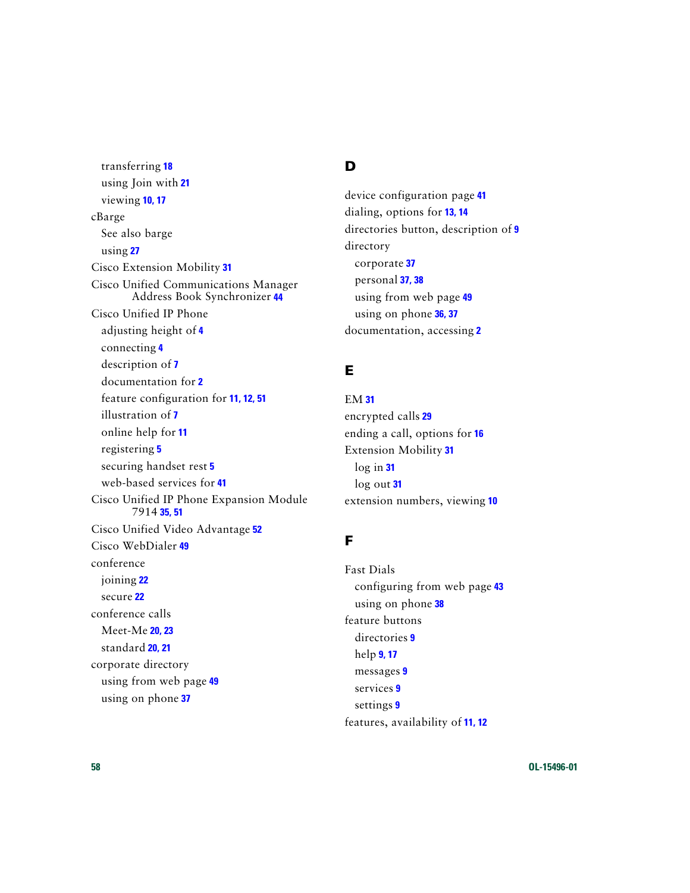transferring **[18](#page-25-2)** using Join with **[21](#page-28-1)** viewing **[10,](#page-17-2) [17](#page-24-3)** cBarge [See also barge](#page-34-1) using **[27](#page-34-1)** Cisco Extension Mobility **[31](#page-38-5)** Cisco Unified Communications Manager Address Book Synchronizer **[44](#page-51-5)** Cisco Unified IP Phone adjusting height of **[4](#page-11-3)** connecting **[4](#page-11-4)** description of **[7](#page-14-4)** documentation for **[2](#page-9-3)** feature configuration for **[11,](#page-18-2) [12,](#page-19-6) [51](#page-58-1)** illustration of **[7](#page-14-5)** online help for **[11](#page-18-3)** registering **[5](#page-12-1)** securing handset rest **[5](#page-12-2)** web-based services for **[41](#page-48-4)** Cisco Unified IP [Phone Expansion Module](#page-58-2)  7914 **[35,](#page-42-1) 51** Cisco Unified Video Advantage **[52](#page-59-0)** Cisco WebDialer **[49](#page-56-1)** conference joining **[22](#page-29-0)** secure **[22](#page-29-1)** conference calls Meet-Me **[20,](#page-27-4) [23](#page-30-1)** standard **[20,](#page-27-5) [21](#page-28-2)** corporate directory using from web page **[49](#page-56-1)** using on phone **[37](#page-44-2)**

### **D**

device configuration page **[41](#page-48-5)** dialing, options for **[13,](#page-20-5) [14](#page-21-2)** directories button, description of **[9](#page-16-0)** directory corporate **[37](#page-44-2)** personal **[37,](#page-44-2) [38](#page-45-2)** using from web page **[49](#page-56-1)** using on phone **[36,](#page-43-3) [37](#page-44-2)** documentation, accessing **[2](#page-9-3)**

### **E**

EM **[31](#page-38-5)** encrypted calls **[29](#page-36-3)** ending a call, options for **[16](#page-23-5)** Extension Mobility **[31](#page-38-5)** log in **[31](#page-38-6)** log out **[31](#page-38-7)** extension numbers, viewing **[10](#page-17-2)**

### **F**

Fast Dials configuring from web page **[43](#page-50-1)** using on phone **[38](#page-45-2)** feature buttons directories **[9](#page-16-0)** help **[9,](#page-16-1) [17](#page-24-5)** messages **[9](#page-16-2)** services **[9](#page-16-3)** settings **[9](#page-16-4)** features, availability of **[11,](#page-18-2) [12](#page-19-6)**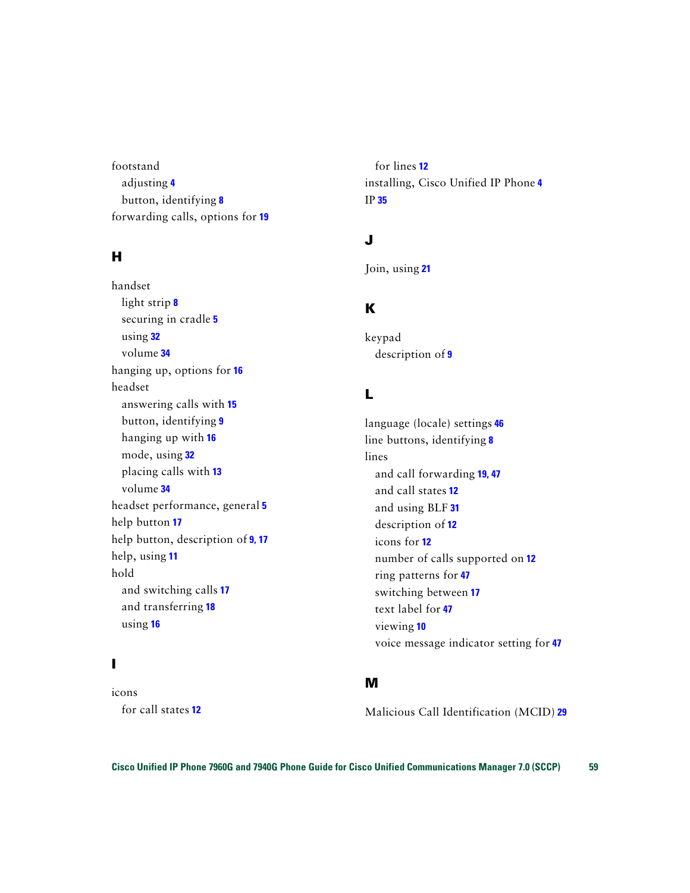footstand adjusting **[4](#page-11-3)** button, identifying **[8](#page-15-0)** forwarding calls, options for **[19](#page-26-2)**

### **H**

handset light strip **[8](#page-15-1)** securing in cradle **[5](#page-12-2)** using **[32](#page-39-3)** volume **[34](#page-41-4)** hanging up, options for **[16](#page-23-5)** headset answering calls with **[15](#page-22-3)** button, identifying **[9](#page-16-5)** hanging up with **[16](#page-23-5)** mode, using **[32](#page-39-3)** placing calls with **[13](#page-20-6)** volume **[34](#page-41-4)** headset performance, general **[5](#page-12-3)** help button **[17](#page-24-6)** help button, description of **[9,](#page-16-1) [17](#page-24-5)** help, using **[11](#page-18-3)** hold and switching calls **[17](#page-24-4)** and transferring **[18](#page-25-2)** using **[16](#page-23-6)**

### **I**

icons for call states **[12](#page-19-4)**

for lines **[12](#page-19-4)** installing, Cisco Unified IP Phone **[4](#page-11-4)** IP **[35](#page-42-1)**

### **J**

Join, using **[21](#page-28-1)**

### **K**

keypad description of **[9](#page-16-6)**

### **L**

language (locale) settings **[46](#page-53-1)** line buttons, identifying **[8](#page-15-2)** lines and call forwarding **[19,](#page-26-2) [47](#page-54-2)** and call states **[12](#page-19-4)** and using BLF **[31](#page-38-4)** description of **[12](#page-19-3)** icons for **[12](#page-19-4)** number of calls supported on **[12](#page-19-3)** ring patterns for **[47](#page-54-3)** switching between **[17](#page-24-4)** text label for **[47](#page-54-3)** viewing **[10](#page-17-2)** voice message indicator setting for **[47](#page-54-3)**

#### **M**

Malicious Call Identification (MCID) **[29](#page-36-4)**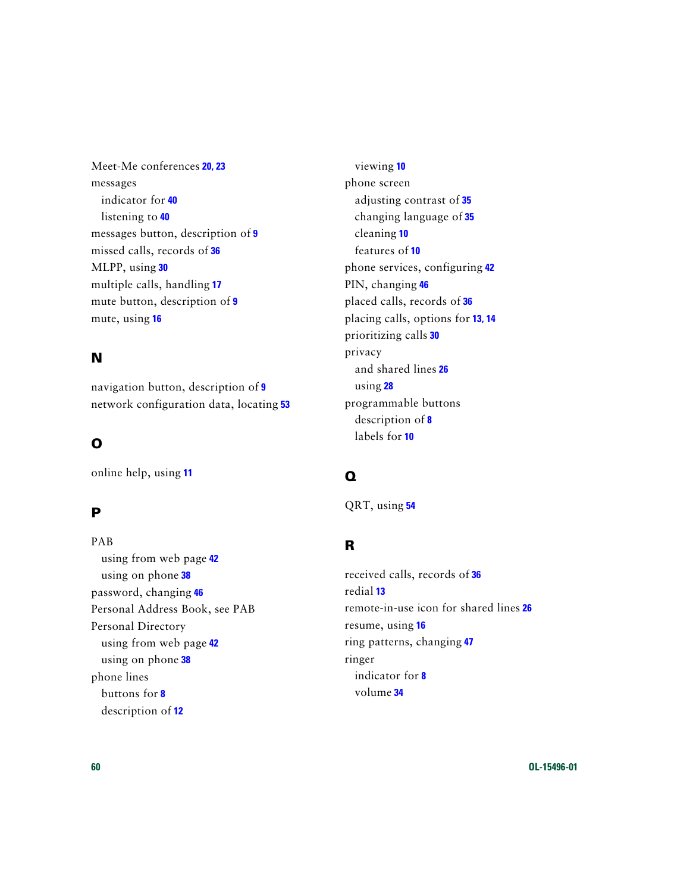Meet-Me conferences **[20,](#page-27-4) [23](#page-30-1)** messages indicator for **[40](#page-47-2)** listening to **[40](#page-47-2)** messages button, description of **[9](#page-16-2)** missed calls, records of **[36](#page-43-4)** MLPP, using **[30](#page-37-2)** multiple calls, handling **[17](#page-24-4)** mute button, description of **[9](#page-16-7)** mute, using **[16](#page-23-7)**

### **N**

navigation button, description of **[9](#page-16-8)** network configuration data, locating **[53](#page-60-2)**

### **O**

online help, using **[11](#page-18-3)**

### **P**

PAB using from web page **[42](#page-49-4)** using on phone **[38](#page-45-2)** password, changing **[46](#page-53-1)** [Personal Address Book, see PAB](#page-45-2) Personal Directory using from web page **[42](#page-49-5)** using on phone **[38](#page-45-2)** phone lines buttons for **[8](#page-15-2)** description of **[12](#page-19-3)**

viewing **[10](#page-17-2)** phone screen adjusting contrast of **[35](#page-42-2)** changing language of **[35](#page-42-2)** cleaning **[10](#page-17-4)** features of **[10](#page-17-2)** phone services, configuring **[42](#page-49-6)** PIN, changing **[46](#page-53-1)** placed calls, records of **[36](#page-43-4)** placing calls, options for **[13,](#page-20-5) [14](#page-21-2)** prioritizing calls **[30](#page-37-2)** privacy and shared lines **[26](#page-33-4)** using **[28](#page-35-3)** programmable buttons description of **[8](#page-15-2)** labels for **[10](#page-17-2)**

### **Q**

QRT, using **[54](#page-61-2)**

### **R**

received calls, records of **[36](#page-43-4)** redial **[13](#page-20-7)** remote-in-use icon for shared lines **[26](#page-33-6)** resume, using **[16](#page-23-6)** ring patterns, changing **[47](#page-54-3)** ringer indicator for **[8](#page-15-1)** volume **[34](#page-41-4)**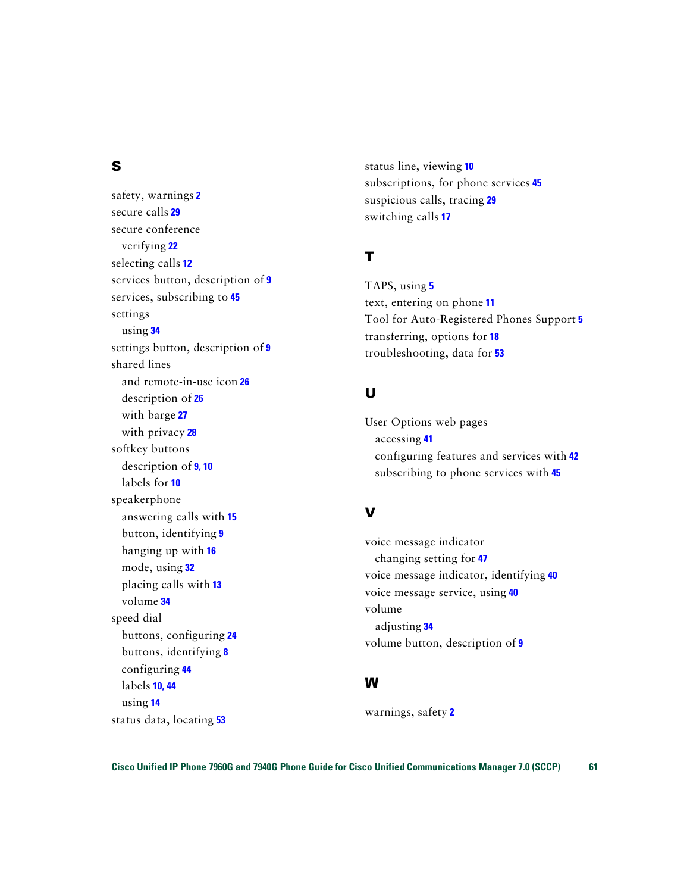### **S**

safety, warnings **[2](#page-9-4)** secure calls **[29](#page-36-3)** secure conference verifying **[22](#page-29-1)** selecting calls **[12](#page-19-5)** services button, description of **[9](#page-16-3)** services, subscribing to **[45](#page-52-1)** settings using **[34](#page-41-5)** settings button, description of **[9](#page-16-4)** shared lines and remote-in-use icon **[26](#page-33-6)** description of **[26](#page-33-7)** with barge **[27](#page-34-1)** with privacy **[28](#page-35-3)** softkey buttons description of **[9,](#page-16-9) [10](#page-17-5)** labels for **[10](#page-17-2)** speakerphone answering calls with **[15](#page-22-4)** button, identifying **[9](#page-16-10)** hanging up with **[16](#page-23-5)** mode, using **[32](#page-39-3)** placing calls with **[13](#page-20-8)** volume **[34](#page-41-4)** speed dial buttons, configuring **[24](#page-31-5)** buttons, identifying **[8](#page-15-2)** configuring **[44](#page-51-3)** labels **[10,](#page-17-2) [44](#page-51-3)** using **[14](#page-21-3)** status data, locating **[53](#page-60-2)**

status line, viewing **[10](#page-17-2)** subscriptions, for phone services **[45](#page-52-1)** suspicious calls, tracing **[29](#page-36-4)** switching calls **[17](#page-24-4)**

### **T**

TAPS, using **[5](#page-12-1)** text, entering on phone **[11](#page-18-3)** Tool for Auto-Registered Phones Support **[5](#page-12-1)** transferring, options for **[18](#page-25-2)** troubleshooting, data for **[53](#page-60-2)**

### **U**

User Options web pages accessing **[41](#page-48-4)** configuring features and services with **[42](#page-49-6)** subscribing to phone services with **[45](#page-52-1)**

#### **V**

voice message indicator changing setting for **[47](#page-54-2)** voice message indicator, identifying **[40](#page-47-2)** voice message service, using **[40](#page-47-2)** volume adjusting **[34](#page-41-4)** volume button, description of **[9](#page-16-11)**

#### **W**

warnings, safety **[2](#page-9-4)**